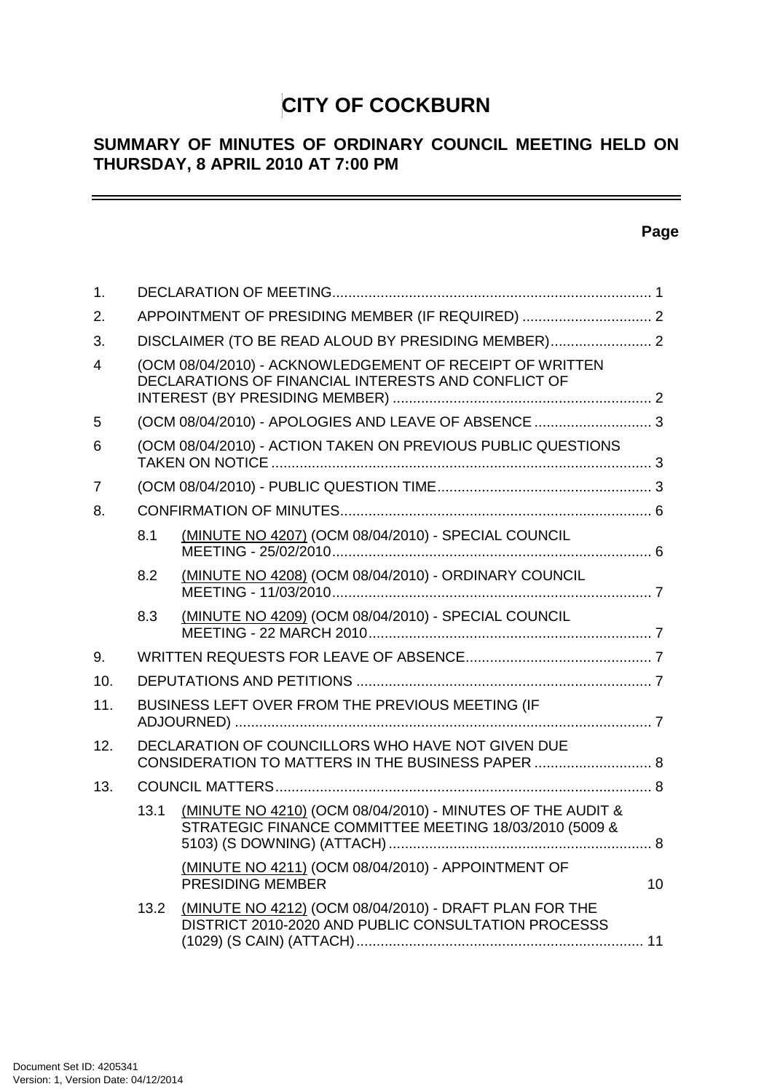# **CITY OF COCKBURN**

# **SUMMARY OF MINUTES OF ORDINARY COUNCIL MEETING HELD ON THURSDAY, 8 APRIL 2010 AT 7:00 PM**

# **Page**

 $\equiv$ 

| 1.             |      |                                                                                                                      |                 |
|----------------|------|----------------------------------------------------------------------------------------------------------------------|-----------------|
| 2.             |      | APPOINTMENT OF PRESIDING MEMBER (IF REQUIRED)  2                                                                     |                 |
| 3.             |      |                                                                                                                      |                 |
| 4              |      | (OCM 08/04/2010) - ACKNOWLEDGEMENT OF RECEIPT OF WRITTEN<br>DECLARATIONS OF FINANCIAL INTERESTS AND CONFLICT OF      |                 |
| 5              |      | (OCM 08/04/2010) - APOLOGIES AND LEAVE OF ABSENCE  3                                                                 |                 |
| 6              |      | (OCM 08/04/2010) - ACTION TAKEN ON PREVIOUS PUBLIC QUESTIONS                                                         |                 |
| $\overline{7}$ |      |                                                                                                                      |                 |
| 8.             |      |                                                                                                                      |                 |
|                | 8.1  | (MINUTE NO 4207) (OCM 08/04/2010) - SPECIAL COUNCIL                                                                  |                 |
|                | 8.2  | (MINUTE NO 4208) (OCM 08/04/2010) - ORDINARY COUNCIL                                                                 |                 |
|                | 8.3  | (MINUTE NO 4209) (OCM 08/04/2010) - SPECIAL COUNCIL                                                                  |                 |
| 9.             |      |                                                                                                                      |                 |
| 10.            |      |                                                                                                                      |                 |
| 11.            |      | BUSINESS LEFT OVER FROM THE PREVIOUS MEETING (IF                                                                     |                 |
| 12.            |      | DECLARATION OF COUNCILLORS WHO HAVE NOT GIVEN DUE<br>CONSIDERATION TO MATTERS IN THE BUSINESS PAPER  8               |                 |
| 13.            |      |                                                                                                                      |                 |
|                | 13.1 | (MINUTE NO 4210) (OCM 08/04/2010) - MINUTES OF THE AUDIT &<br>STRATEGIC FINANCE COMMITTEE MEETING 18/03/2010 (5009 & |                 |
|                |      | (MINUTE NO 4211) (OCM 08/04/2010) - APPOINTMENT OF<br>PRESIDING MEMBER                                               | 10 <sup>1</sup> |
|                | 13.2 | (MINUTE NO 4212) (OCM 08/04/2010) - DRAFT PLAN FOR THE<br>DISTRICT 2010-2020 AND PUBLIC CONSULTATION PROCESSS        |                 |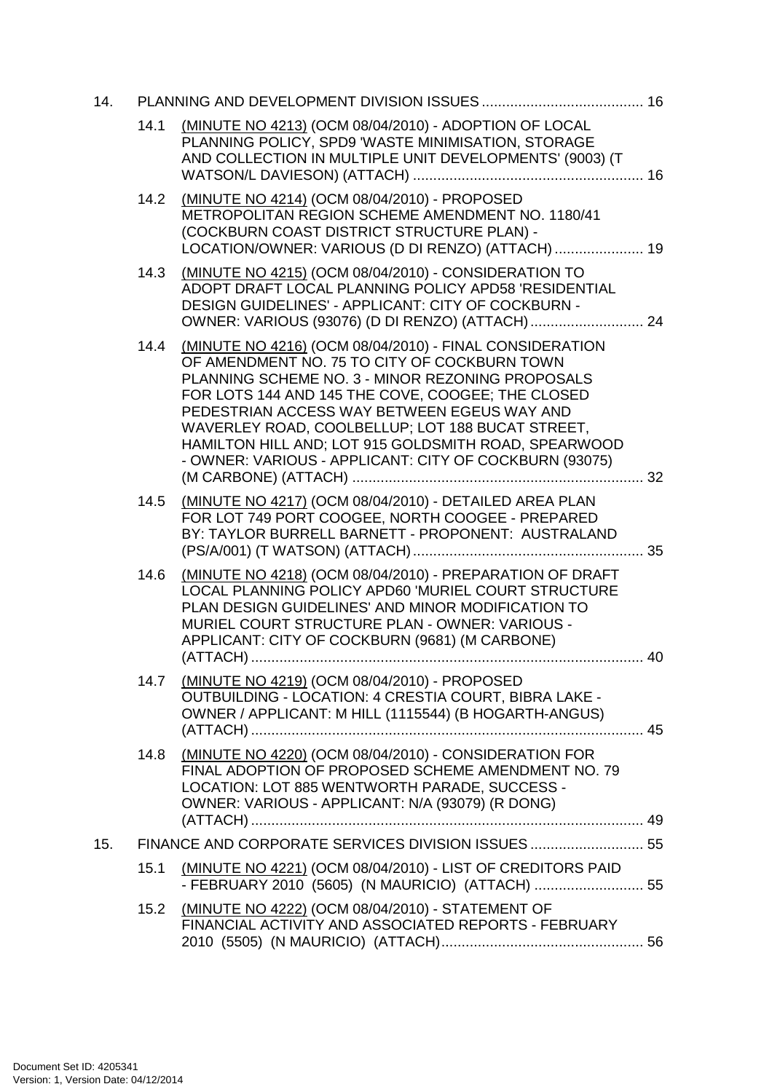| 14. |      |                                                                                                                                                                                                                                                                                                                                                                                                                                       |  |
|-----|------|---------------------------------------------------------------------------------------------------------------------------------------------------------------------------------------------------------------------------------------------------------------------------------------------------------------------------------------------------------------------------------------------------------------------------------------|--|
|     | 14.1 | (MINUTE NO 4213) (OCM 08/04/2010) - ADOPTION OF LOCAL<br>PLANNING POLICY, SPD9 'WASTE MINIMISATION, STORAGE<br>AND COLLECTION IN MULTIPLE UNIT DEVELOPMENTS' (9003) (T                                                                                                                                                                                                                                                                |  |
|     | 14.2 | (MINUTE NO 4214) (OCM 08/04/2010) - PROPOSED<br>METROPOLITAN REGION SCHEME AMENDMENT NO. 1180/41<br>(COCKBURN COAST DISTRICT STRUCTURE PLAN) -<br>LOCATION/OWNER: VARIOUS (D DI RENZO) (ATTACH)  19                                                                                                                                                                                                                                   |  |
|     | 14.3 | (MINUTE NO 4215) (OCM 08/04/2010) - CONSIDERATION TO<br>ADOPT DRAFT LOCAL PLANNING POLICY APD58 'RESIDENTIAL<br>DESIGN GUIDELINES' - APPLICANT: CITY OF COCKBURN -                                                                                                                                                                                                                                                                    |  |
|     | 14.4 | (MINUTE NO 4216) (OCM 08/04/2010) - FINAL CONSIDERATION<br>OF AMENDMENT NO. 75 TO CITY OF COCKBURN TOWN<br>PLANNING SCHEME NO. 3 - MINOR REZONING PROPOSALS<br>FOR LOTS 144 AND 145 THE COVE, COOGEE; THE CLOSED<br>PEDESTRIAN ACCESS WAY BETWEEN EGEUS WAY AND<br>WAVERLEY ROAD, COOLBELLUP; LOT 188 BUCAT STREET,<br>HAMILTON HILL AND; LOT 915 GOLDSMITH ROAD, SPEARWOOD<br>- OWNER: VARIOUS - APPLICANT: CITY OF COCKBURN (93075) |  |
|     | 14.5 | (MINUTE NO 4217) (OCM 08/04/2010) - DETAILED AREA PLAN<br>FOR LOT 749 PORT COOGEE, NORTH COOGEE - PREPARED<br>BY: TAYLOR BURRELL BARNETT - PROPONENT: AUSTRALAND                                                                                                                                                                                                                                                                      |  |
|     | 14.6 | (MINUTE NO 4218) (OCM 08/04/2010) - PREPARATION OF DRAFT<br>LOCAL PLANNING POLICY APD60 'MURIEL COURT STRUCTURE<br>PLAN DESIGN GUIDELINES' AND MINOR MODIFICATION TO<br>MURIEL COURT STRUCTURE PLAN - OWNER: VARIOUS -<br>APPLICANT: CITY OF COCKBURN (9681) (M CARBONE)                                                                                                                                                              |  |
|     | 14.7 | (MINUTE NO 4219) (OCM 08/04/2010) - PROPOSED<br>OUTBUILDING - LOCATION: 4 CRESTIA COURT, BIBRA LAKE -<br>OWNER / APPLICANT: M HILL (1115544) (B HOGARTH-ANGUS)                                                                                                                                                                                                                                                                        |  |
|     | 14.8 | (MINUTE NO 4220) (OCM 08/04/2010) - CONSIDERATION FOR<br>FINAL ADOPTION OF PROPOSED SCHEME AMENDMENT NO. 79<br>LOCATION: LOT 885 WENTWORTH PARADE, SUCCESS -<br>OWNER: VARIOUS - APPLICANT: N/A (93079) (R DONG)                                                                                                                                                                                                                      |  |
| 15. |      | FINANCE AND CORPORATE SERVICES DIVISION ISSUES  55                                                                                                                                                                                                                                                                                                                                                                                    |  |
|     | 15.1 | (MINUTE NO 4221) (OCM 08/04/2010) - LIST OF CREDITORS PAID<br>- FEBRUARY 2010 (5605) (N MAURICIO) (ATTACH)  55                                                                                                                                                                                                                                                                                                                        |  |
|     | 15.2 | (MINUTE NO 4222) (OCM 08/04/2010) - STATEMENT OF<br>FINANCIAL ACTIVITY AND ASSOCIATED REPORTS - FEBRUARY                                                                                                                                                                                                                                                                                                                              |  |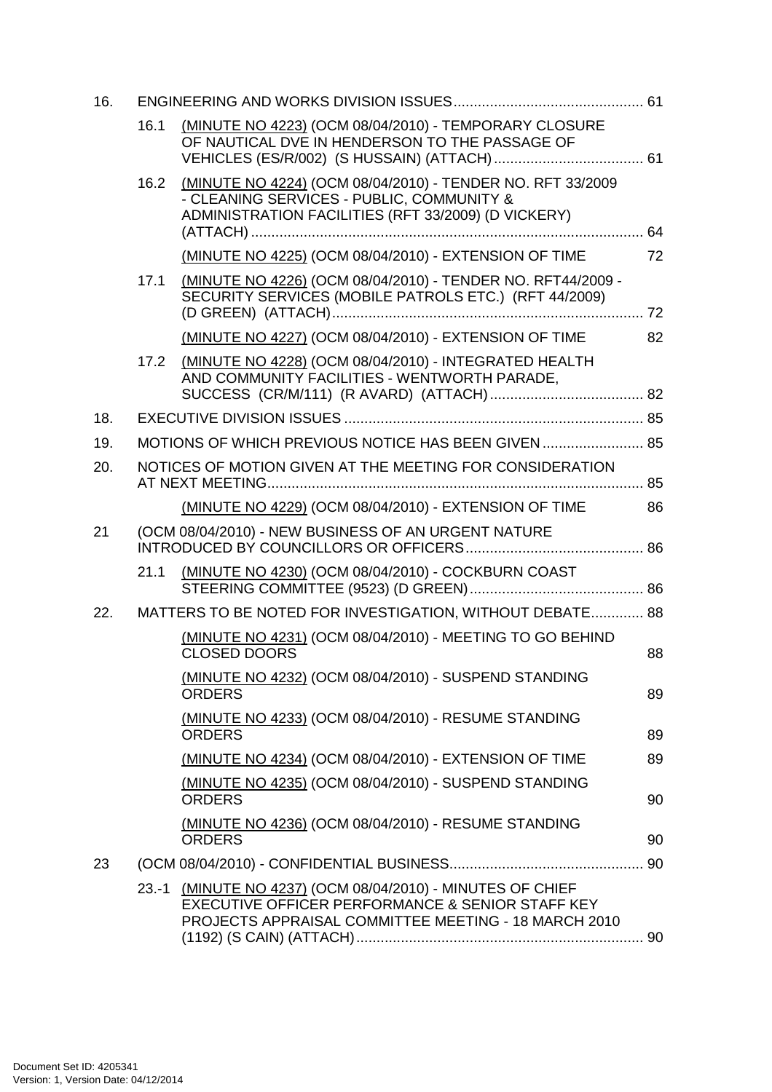| 16. |      |                                                                                                                                                                        |    |
|-----|------|------------------------------------------------------------------------------------------------------------------------------------------------------------------------|----|
|     | 16.1 | (MINUTE NO 4223) (OCM 08/04/2010) - TEMPORARY CLOSURE<br>OF NAUTICAL DVE IN HENDERSON TO THE PASSAGE OF                                                                |    |
|     | 16.2 | (MINUTE NO 4224) (OCM 08/04/2010) - TENDER NO. RFT 33/2009<br>- CLEANING SERVICES - PUBLIC, COMMUNITY &<br>ADMINISTRATION FACILITIES (RFT 33/2009) (D VICKERY)         |    |
|     |      | (MINUTE NO 4225) (OCM 08/04/2010) - EXTENSION OF TIME                                                                                                                  | 72 |
|     | 17.1 | (MINUTE NO 4226) (OCM 08/04/2010) - TENDER NO. RFT44/2009 -<br>SECURITY SERVICES (MOBILE PATROLS ETC.) (RFT 44/2009)                                                   | 72 |
|     |      | (MINUTE NO 4227) (OCM 08/04/2010) - EXTENSION OF TIME                                                                                                                  | 82 |
|     | 17.2 | (MINUTE NO 4228) (OCM 08/04/2010) - INTEGRATED HEALTH<br>AND COMMUNITY FACILITIES - WENTWORTH PARADE,                                                                  |    |
| 18. |      |                                                                                                                                                                        |    |
| 19. |      | MOTIONS OF WHICH PREVIOUS NOTICE HAS BEEN GIVEN  85                                                                                                                    |    |
| 20. |      | NOTICES OF MOTION GIVEN AT THE MEETING FOR CONSIDERATION                                                                                                               |    |
|     |      |                                                                                                                                                                        |    |
|     |      | (MINUTE NO 4229) (OCM 08/04/2010) - EXTENSION OF TIME                                                                                                                  | 86 |
| 21  |      | (OCM 08/04/2010) - NEW BUSINESS OF AN URGENT NATURE                                                                                                                    |    |
|     | 21.1 | (MINUTE NO 4230) (OCM 08/04/2010) - COCKBURN COAST                                                                                                                     |    |
| 22. |      | MATTERS TO BE NOTED FOR INVESTIGATION, WITHOUT DEBATE 88                                                                                                               |    |
|     |      | (MINUTE NO 4231) (OCM 08/04/2010) - MEETING TO GO BEHIND<br><b>CLOSED DOORS</b>                                                                                        | 88 |
|     |      | (MINUTE NO 4232) (OCM 08/04/2010) - SUSPEND STANDING<br><b>ORDERS</b>                                                                                                  | 89 |
|     |      | (MINUTE NO 4233) (OCM 08/04/2010) - RESUME STANDING<br><b>ORDERS</b>                                                                                                   | 89 |
|     |      | (MINUTE NO 4234) (OCM 08/04/2010) - EXTENSION OF TIME                                                                                                                  | 89 |
|     |      | (MINUTE NO 4235) (OCM 08/04/2010) - SUSPEND STANDING<br><b>ORDERS</b>                                                                                                  | 90 |
|     |      | (MINUTE NO 4236) (OCM 08/04/2010) - RESUME STANDING<br><b>ORDERS</b>                                                                                                   | 90 |
| 23  |      |                                                                                                                                                                        |    |
|     |      | 23.-1 (MINUTE NO 4237) (OCM 08/04/2010) - MINUTES OF CHIEF<br>EXECUTIVE OFFICER PERFORMANCE & SENIOR STAFF KEY<br>PROJECTS APPRAISAL COMMITTEE MEETING - 18 MARCH 2010 |    |
|     |      |                                                                                                                                                                        |    |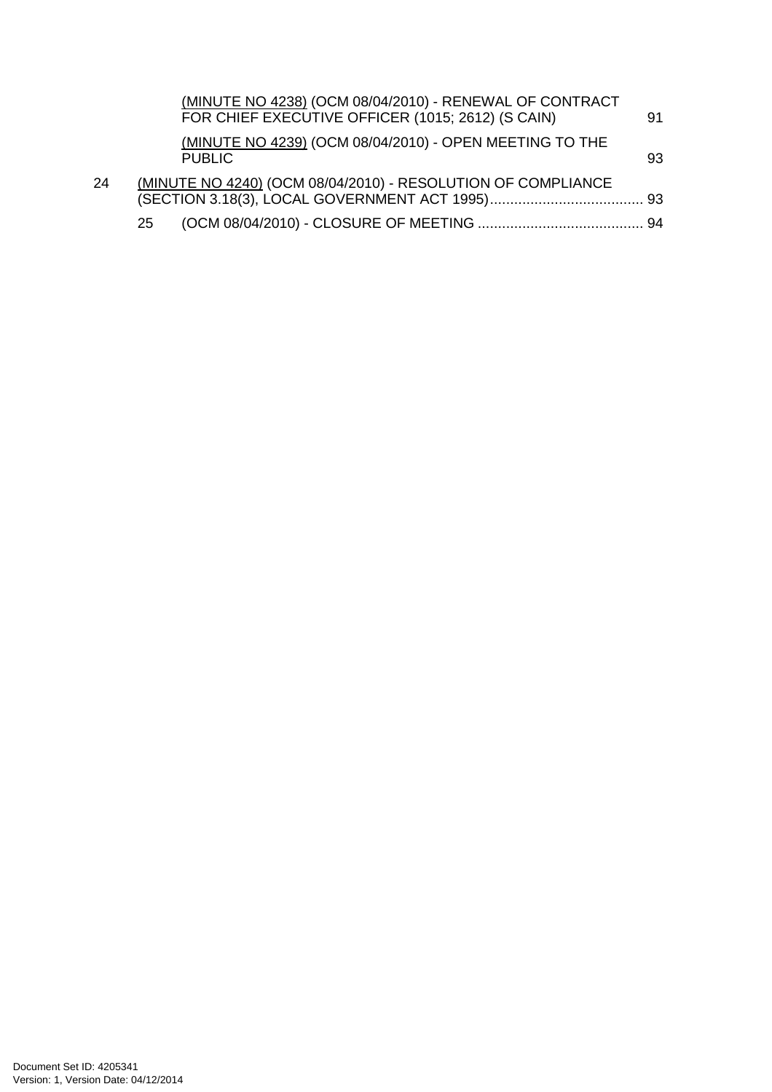|    |    | (MINUTE NO 4238) (OCM 08/04/2010) - RENEWAL OF CONTRACT<br>FOR CHIEF EXECUTIVE OFFICER (1015; 2612) (S CAIN) | 91 |
|----|----|--------------------------------------------------------------------------------------------------------------|----|
|    |    | (MINUTE NO 4239) (OCM 08/04/2010) - OPEN MEETING TO THE<br><b>PUBLIC</b>                                     | 93 |
| 24 |    | (MINUTE NO 4240) (OCM 08/04/2010) - RESOLUTION OF COMPLIANCE                                                 |    |
|    | 25 |                                                                                                              |    |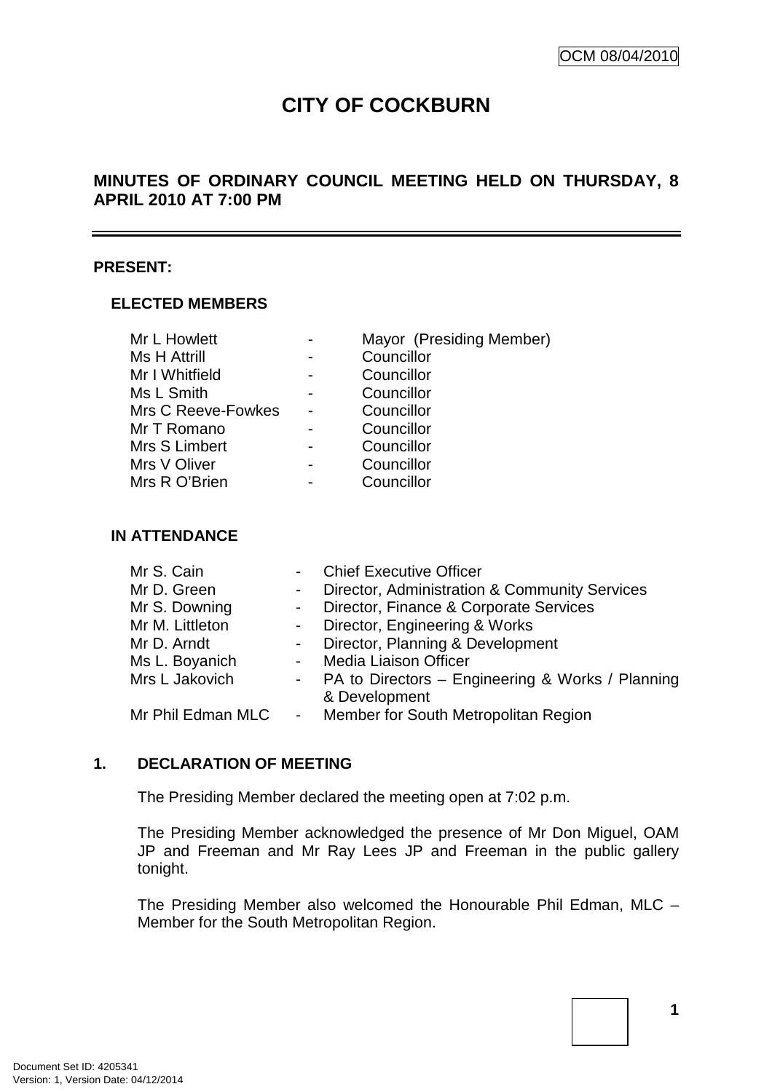# **CITY OF COCKBURN**

# **MINUTES OF ORDINARY COUNCIL MEETING HELD ON THURSDAY, 8 APRIL 2010 AT 7:00 PM**

#### **PRESENT:**

#### **ELECTED MEMBERS**

| Mr L Howlett        | Mayor (Presiding Member) |
|---------------------|--------------------------|
| <b>Ms H Attrill</b> | Councillor               |
| Mr I Whitfield      | Councillor               |
| Ms L Smith          | Councillor               |
| Mrs C Reeve-Fowkes  | Councillor               |
| Mr T Romano         | Councillor               |
| Mrs S Limbert       | Councillor               |
| Mrs V Oliver        | Councillor               |
| Mrs R O'Brien       | Councillor               |

#### **IN ATTENDANCE**

| Mr S. Cain      |            | - Chief Executive Officer                                |
|-----------------|------------|----------------------------------------------------------|
| Mr D. Green     | $\sim 100$ | Director, Administration & Community Services            |
| Mr S. Downing   |            | - Director, Finance & Corporate Services                 |
| Mr M. Littleton |            | - Director, Engineering & Works                          |
| Mr D. Arndt     |            | - Director, Planning & Development                       |
| Ms L. Boyanich  | $\sim 100$ | <b>Media Liaison Officer</b>                             |
| Mrs L Jakovich  |            | - PA to Directors – Engineering & Works / Planning       |
|                 |            | & Development                                            |
|                 |            | Mr Phil Edman MLC - Member for South Metropolitan Region |

# **1. DECLARATION OF MEETING**

The Presiding Member declared the meeting open at 7:02 p.m.

The Presiding Member acknowledged the presence of Mr Don Miguel, OAM JP and Freeman and Mr Ray Lees JP and Freeman in the public gallery tonight.

The Presiding Member also welcomed the Honourable Phil Edman, MLC – Member for the South Metropolitan Region.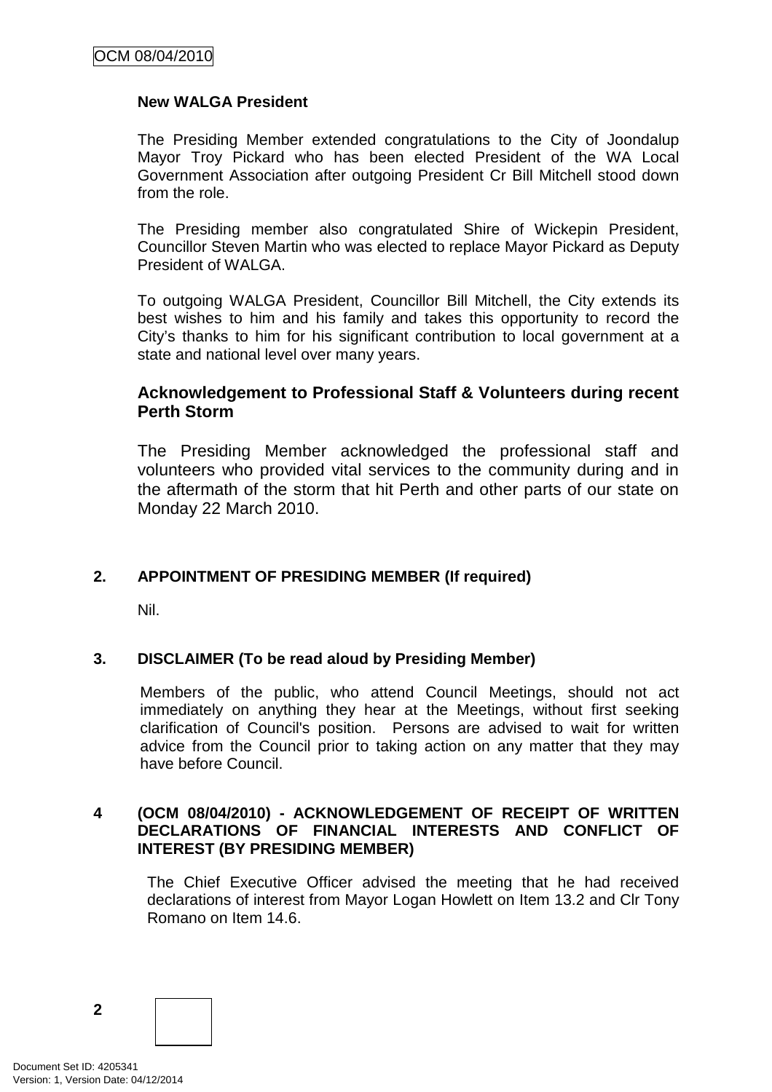#### **New WALGA President**

The Presiding Member extended congratulations to the City of Joondalup Mayor Troy Pickard who has been elected President of the WA Local Government Association after outgoing President Cr Bill Mitchell stood down from the role.

The Presiding member also congratulated Shire of Wickepin President, Councillor Steven Martin who was elected to replace Mayor Pickard as Deputy President of WALGA.

To outgoing WALGA President, Councillor Bill Mitchell, the City extends its best wishes to him and his family and takes this opportunity to record the City's thanks to him for his significant contribution to local government at a state and national level over many years.

## **Acknowledgement to Professional Staff & Volunteers during recent Perth Storm**

The Presiding Member acknowledged the professional staff and volunteers who provided vital services to the community during and in the aftermath of the storm that hit Perth and other parts of our state on Monday 22 March 2010.

# **2. APPOINTMENT OF PRESIDING MEMBER (If required)**

Nil.

#### **3. DISCLAIMER (To be read aloud by Presiding Member)**

Members of the public, who attend Council Meetings, should not act immediately on anything they hear at the Meetings, without first seeking clarification of Council's position. Persons are advised to wait for written advice from the Council prior to taking action on any matter that they may have before Council.

#### **4 (OCM 08/04/2010) - ACKNOWLEDGEMENT OF RECEIPT OF WRITTEN DECLARATIONS OF FINANCIAL INTERESTS AND CONFLICT OF INTEREST (BY PRESIDING MEMBER)**

The Chief Executive Officer advised the meeting that he had received declarations of interest from Mayor Logan Howlett on Item 13.2 and Clr Tony Romano on Item 14.6.

**2**

Document Set ID: 4205341<br>Version: 1, Version Date: 04/12/2014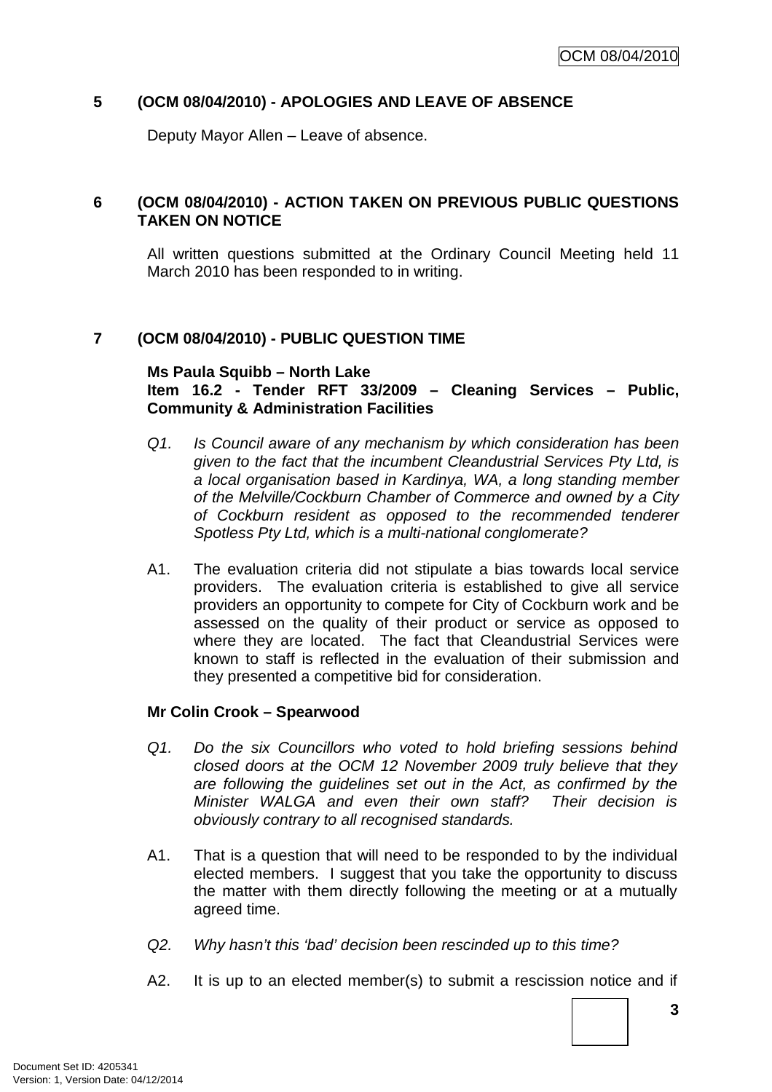## **5 (OCM 08/04/2010) - APOLOGIES AND LEAVE OF ABSENCE**

Deputy Mayor Allen – Leave of absence.

## **6 (OCM 08/04/2010) - ACTION TAKEN ON PREVIOUS PUBLIC QUESTIONS TAKEN ON NOTICE**

All written questions submitted at the Ordinary Council Meeting held 11 March 2010 has been responded to in writing.

## **7 (OCM 08/04/2010) - PUBLIC QUESTION TIME**

#### **Ms Paula Squibb – North Lake**

## **Item 16.2 - Tender RFT 33/2009 – Cleaning Services – Public, Community & Administration Facilities**

- Q1. Is Council aware of any mechanism by which consideration has been given to the fact that the incumbent Cleandustrial Services Pty Ltd, is a local organisation based in Kardinya, WA, a long standing member of the Melville/Cockburn Chamber of Commerce and owned by a City of Cockburn resident as opposed to the recommended tenderer Spotless Pty Ltd, which is a multi-national conglomerate?
- A1. The evaluation criteria did not stipulate a bias towards local service providers. The evaluation criteria is established to give all service providers an opportunity to compete for City of Cockburn work and be assessed on the quality of their product or service as opposed to where they are located. The fact that Cleandustrial Services were known to staff is reflected in the evaluation of their submission and they presented a competitive bid for consideration.

#### **Mr Colin Crook – Spearwood**

- Q1. Do the six Councillors who voted to hold briefing sessions behind closed doors at the OCM 12 November 2009 truly believe that they are following the guidelines set out in the Act, as confirmed by the Minister WALGA and even their own staff? Their decision is obviously contrary to all recognised standards.
- A1. That is a question that will need to be responded to by the individual elected members. I suggest that you take the opportunity to discuss the matter with them directly following the meeting or at a mutually agreed time.
- Q2. Why hasn't this 'bad' decision been rescinded up to this time?
- A2. It is up to an elected member(s) to submit a rescission notice and if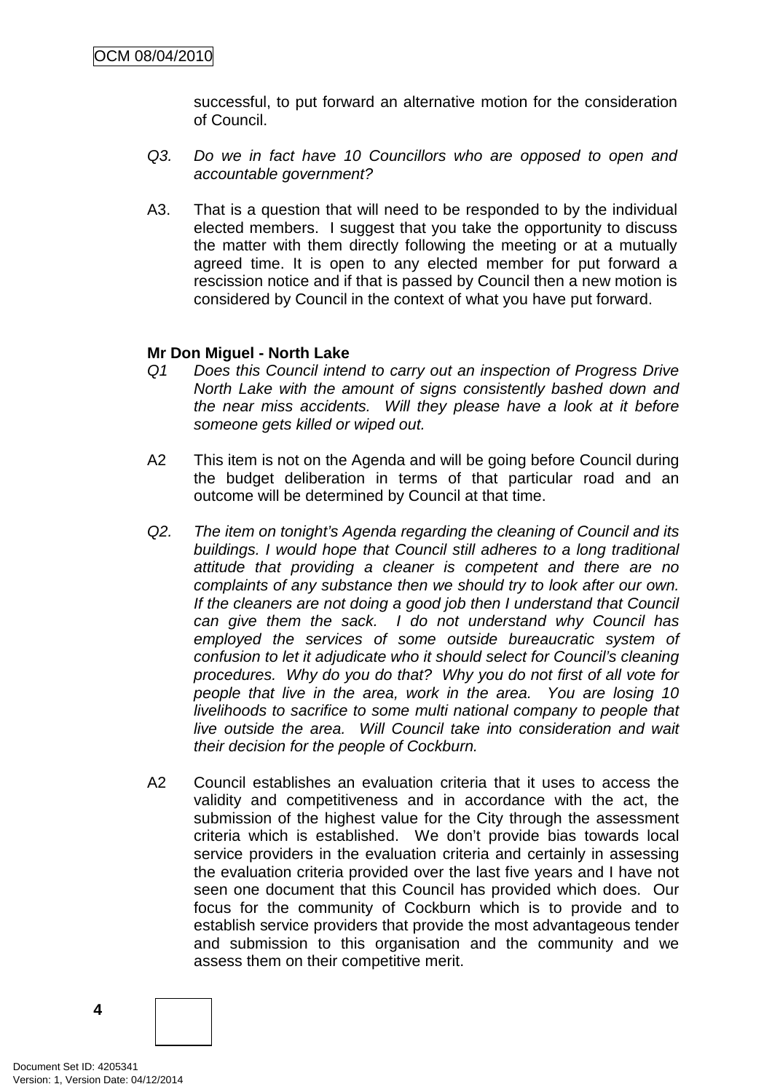successful, to put forward an alternative motion for the consideration of Council.

- Q3. Do we in fact have 10 Councillors who are opposed to open and accountable government?
- A3. That is a question that will need to be responded to by the individual elected members. I suggest that you take the opportunity to discuss the matter with them directly following the meeting or at a mutually agreed time. It is open to any elected member for put forward a rescission notice and if that is passed by Council then a new motion is considered by Council in the context of what you have put forward.

#### **Mr Don Miguel - North Lake**

- Q1 Does this Council intend to carry out an inspection of Progress Drive North Lake with the amount of signs consistently bashed down and the near miss accidents. Will they please have a look at it before someone gets killed or wiped out.
- A2 This item is not on the Agenda and will be going before Council during the budget deliberation in terms of that particular road and an outcome will be determined by Council at that time.
- Q2. The item on tonight's Agenda regarding the cleaning of Council and its buildings. I would hope that Council still adheres to a long traditional attitude that providing a cleaner is competent and there are no complaints of any substance then we should try to look after our own. If the cleaners are not doing a good job then I understand that Council can give them the sack. I do not understand why Council has employed the services of some outside bureaucratic system of confusion to let it adjudicate who it should select for Council's cleaning procedures. Why do you do that? Why you do not first of all vote for people that live in the area, work in the area. You are losing 10 livelihoods to sacrifice to some multi national company to people that live outside the area. Will Council take into consideration and wait their decision for the people of Cockburn.
- A2 Council establishes an evaluation criteria that it uses to access the validity and competitiveness and in accordance with the act, the submission of the highest value for the City through the assessment criteria which is established. We don't provide bias towards local service providers in the evaluation criteria and certainly in assessing the evaluation criteria provided over the last five years and I have not seen one document that this Council has provided which does. Our focus for the community of Cockburn which is to provide and to establish service providers that provide the most advantageous tender and submission to this organisation and the community and we assess them on their competitive merit.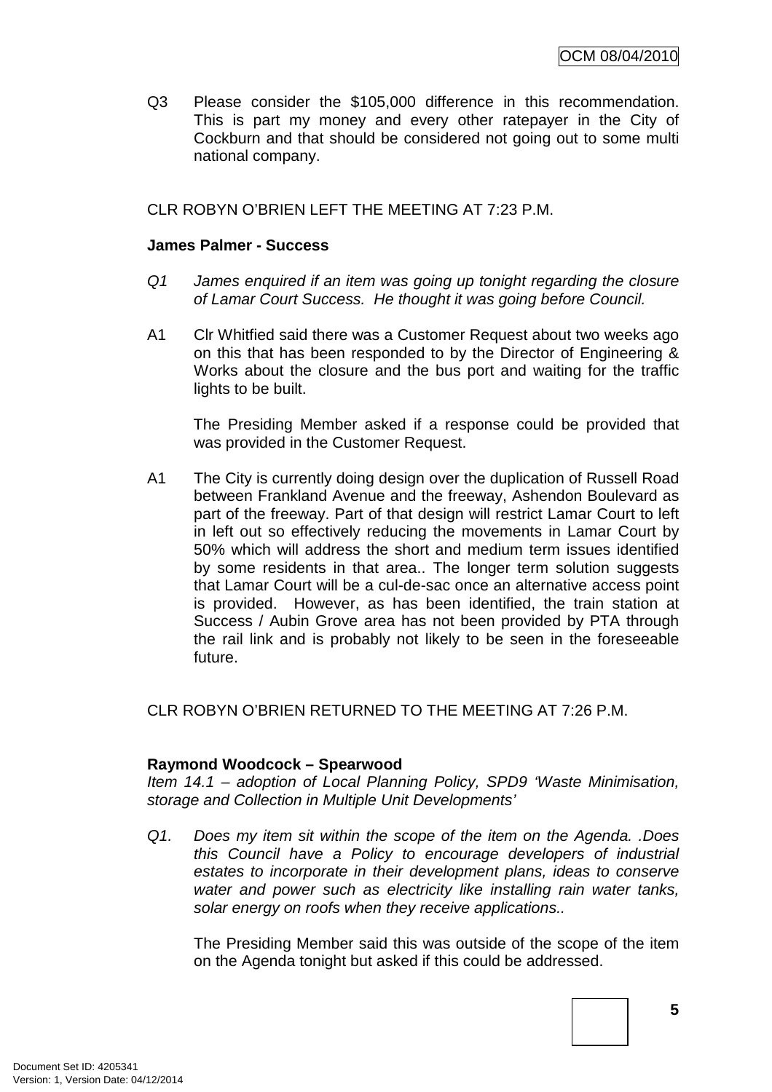Q3 Please consider the \$105,000 difference in this recommendation. This is part my money and every other ratepayer in the City of Cockburn and that should be considered not going out to some multi national company.

#### CLR ROBYN O'BRIEN LEFT THE MEETING AT 7:23 P.M.

#### **James Palmer - Success**

- Q1 James enquired if an item was going up tonight regarding the closure of Lamar Court Success. He thought it was going before Council.
- A1 Clr Whitfied said there was a Customer Request about two weeks ago on this that has been responded to by the Director of Engineering & Works about the closure and the bus port and waiting for the traffic lights to be built.

The Presiding Member asked if a response could be provided that was provided in the Customer Request.

A1 The City is currently doing design over the duplication of Russell Road between Frankland Avenue and the freeway, Ashendon Boulevard as part of the freeway. Part of that design will restrict Lamar Court to left in left out so effectively reducing the movements in Lamar Court by 50% which will address the short and medium term issues identified by some residents in that area.. The longer term solution suggests that Lamar Court will be a cul-de-sac once an alternative access point is provided. However, as has been identified, the train station at Success / Aubin Grove area has not been provided by PTA through the rail link and is probably not likely to be seen in the foreseeable future.

CLR ROBYN O'BRIEN RETURNED TO THE MEETING AT 7:26 P.M.

#### **Raymond Woodcock – Spearwood**

Item 14.1 – adoption of Local Planning Policy, SPD9 'Waste Minimisation, storage and Collection in Multiple Unit Developments'

Q1. Does my item sit within the scope of the item on the Agenda. .Does this Council have a Policy to encourage developers of industrial estates to incorporate in their development plans, ideas to conserve water and power such as electricity like installing rain water tanks, solar energy on roofs when they receive applications..

The Presiding Member said this was outside of the scope of the item on the Agenda tonight but asked if this could be addressed.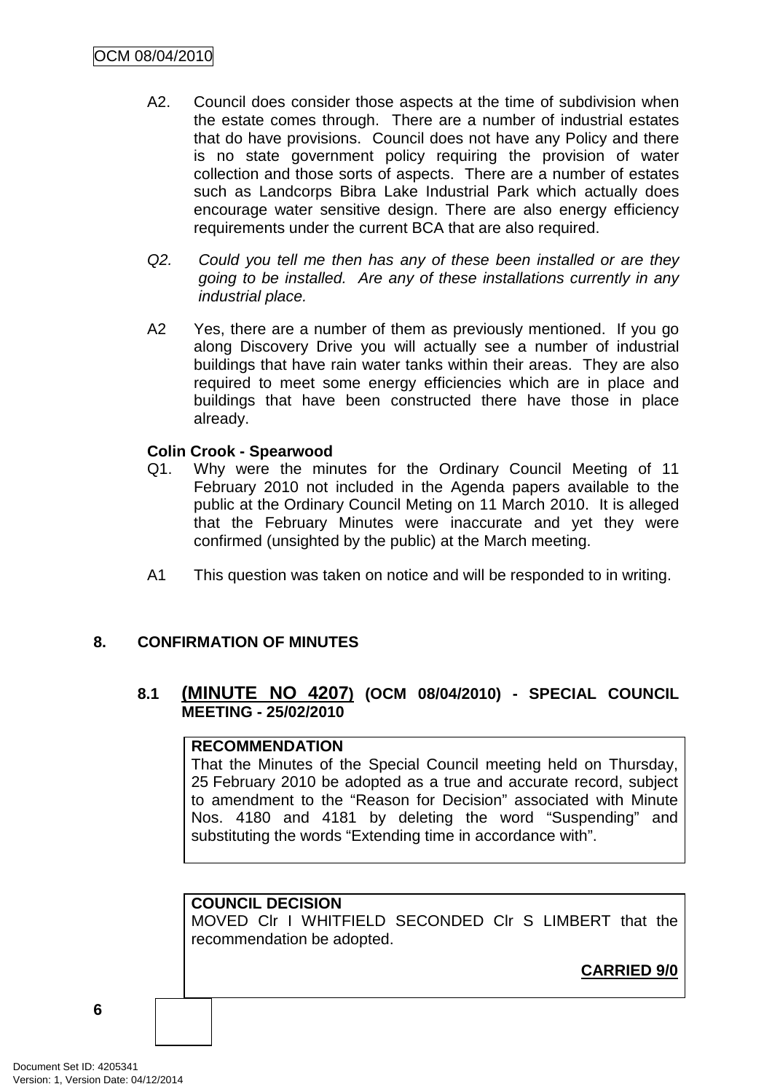- A2. Council does consider those aspects at the time of subdivision when the estate comes through. There are a number of industrial estates that do have provisions. Council does not have any Policy and there is no state government policy requiring the provision of water collection and those sorts of aspects. There are a number of estates such as Landcorps Bibra Lake Industrial Park which actually does encourage water sensitive design. There are also energy efficiency requirements under the current BCA that are also required.
- Q2. Could you tell me then has any of these been installed or are they going to be installed. Are any of these installations currently in any industrial place.
- A2 Yes, there are a number of them as previously mentioned. If you go along Discovery Drive you will actually see a number of industrial buildings that have rain water tanks within their areas. They are also required to meet some energy efficiencies which are in place and buildings that have been constructed there have those in place already.

## **Colin Crook - Spearwood**

- Q1. Why were the minutes for the Ordinary Council Meeting of 11 February 2010 not included in the Agenda papers available to the public at the Ordinary Council Meting on 11 March 2010. It is alleged that the February Minutes were inaccurate and yet they were confirmed (unsighted by the public) at the March meeting.
- A1 This question was taken on notice and will be responded to in writing.

# **8. CONFIRMATION OF MINUTES**

# **8.1 (MINUTE NO 4207) (OCM 08/04/2010) - SPECIAL COUNCIL MEETING - 25/02/2010**

## **RECOMMENDATION**

That the Minutes of the Special Council meeting held on Thursday, 25 February 2010 be adopted as a true and accurate record, subject to amendment to the "Reason for Decision" associated with Minute Nos. 4180 and 4181 by deleting the word "Suspending" and substituting the words "Extending time in accordance with".

# **COUNCIL DECISION**

MOVED Clr I WHITFIELD SECONDED Clr S LIMBERT that the recommendation be adopted.

**CARRIED 9/0**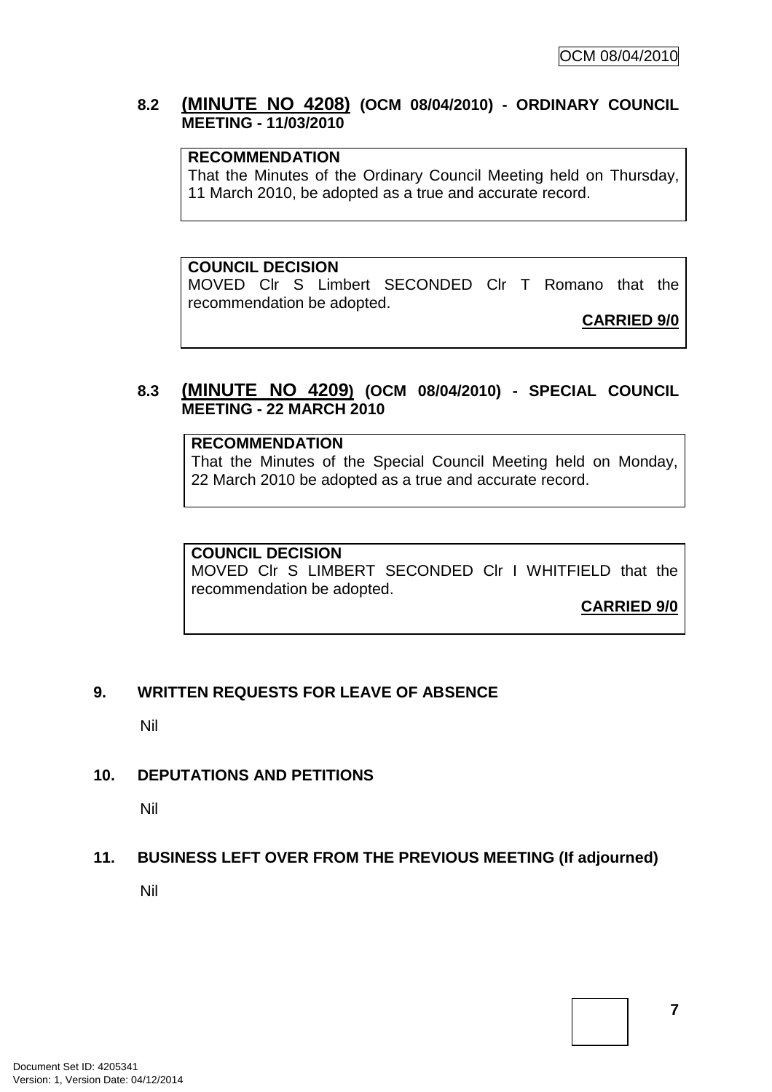## **8.2 (MINUTE NO 4208) (OCM 08/04/2010) - ORDINARY COUNCIL MEETING - 11/03/2010**

## **RECOMMENDATION**

That the Minutes of the Ordinary Council Meeting held on Thursday, 11 March 2010, be adopted as a true and accurate record.

**COUNCIL DECISION** 

MOVED Clr S Limbert SECONDED Clr T Romano that the recommendation be adopted.

**CARRIED 9/0**

## **8.3 (MINUTE NO 4209) (OCM 08/04/2010) - SPECIAL COUNCIL MEETING - 22 MARCH 2010**

#### **RECOMMENDATION**

That the Minutes of the Special Council Meeting held on Monday, 22 March 2010 be adopted as a true and accurate record.

#### **COUNCIL DECISION**

MOVED Clr S LIMBERT SECONDED Clr I WHITFIELD that the recommendation be adopted.

**CARRIED 9/0**

#### **9. WRITTEN REQUESTS FOR LEAVE OF ABSENCE**

Nil

# **10. DEPUTATIONS AND PETITIONS**

Nil

#### **11. BUSINESS LEFT OVER FROM THE PREVIOUS MEETING (If adjourned)**

Nil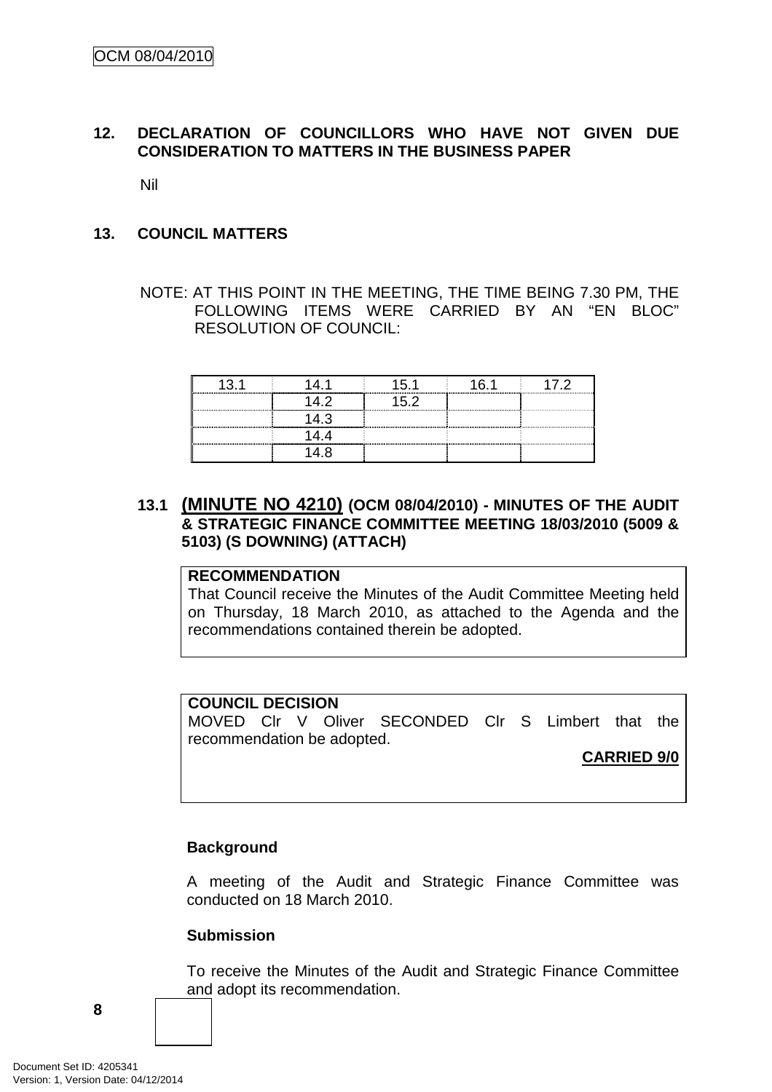## **12. DECLARATION OF COUNCILLORS WHO HAVE NOT GIVEN DUE CONSIDERATION TO MATTERS IN THE BUSINESS PAPER**

Nil

#### **13. COUNCIL MATTERS**

NOTE: AT THIS POINT IN THE MEETING, THE TIME BEING 7.30 PM, THE FOLLOWING ITEMS WERE CARRIED BY AN "EN BLOC" RESOLUTION OF COUNCIL:

## **13.1 (MINUTE NO 4210) (OCM 08/04/2010) - MINUTES OF THE AUDIT & STRATEGIC FINANCE COMMITTEE MEETING 18/03/2010 (5009 & 5103) (S DOWNING) (ATTACH)**

#### **RECOMMENDATION**

That Council receive the Minutes of the Audit Committee Meeting held on Thursday, 18 March 2010, as attached to the Agenda and the recommendations contained therein be adopted.

#### **COUNCIL DECISION**

MOVED Clr V Oliver SECONDED Clr S Limbert that the recommendation be adopted.

#### **CARRIED 9/0**

#### **Background**

A meeting of the Audit and Strategic Finance Committee was conducted on 18 March 2010.

#### **Submission**

To receive the Minutes of the Audit and Strategic Finance Committee and adopt its recommendation.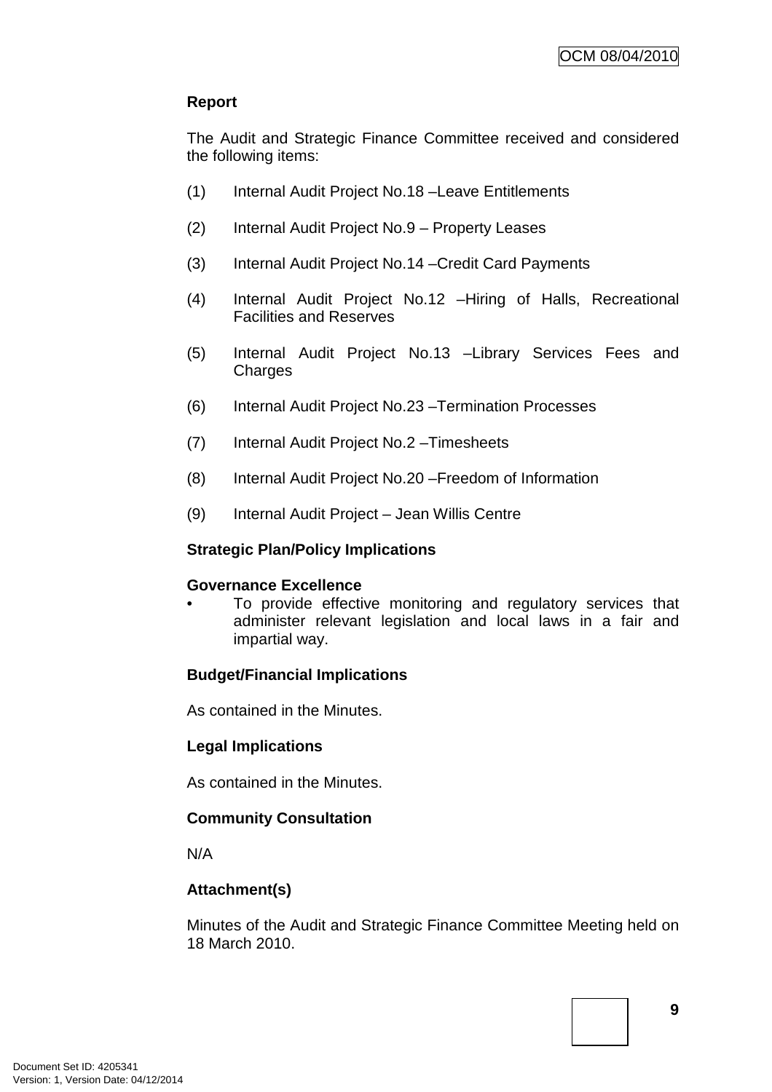# **Report**

The Audit and Strategic Finance Committee received and considered the following items:

- (1) Internal Audit Project No.18 –Leave Entitlements
- (2) Internal Audit Project No.9 Property Leases
- (3) Internal Audit Project No.14 –Credit Card Payments
- (4) Internal Audit Project No.12 –Hiring of Halls, Recreational Facilities and Reserves
- (5) Internal Audit Project No.13 –Library Services Fees and **Charges**
- (6) Internal Audit Project No.23 –Termination Processes
- (7) Internal Audit Project No.2 –Timesheets
- (8) Internal Audit Project No.20 –Freedom of Information
- (9) Internal Audit Project Jean Willis Centre

#### **Strategic Plan/Policy Implications**

#### **Governance Excellence**

To provide effective monitoring and regulatory services that administer relevant legislation and local laws in a fair and impartial way.

#### **Budget/Financial Implications**

As contained in the Minutes.

#### **Legal Implications**

As contained in the Minutes.

#### **Community Consultation**

N/A

# **Attachment(s)**

Minutes of the Audit and Strategic Finance Committee Meeting held on 18 March 2010.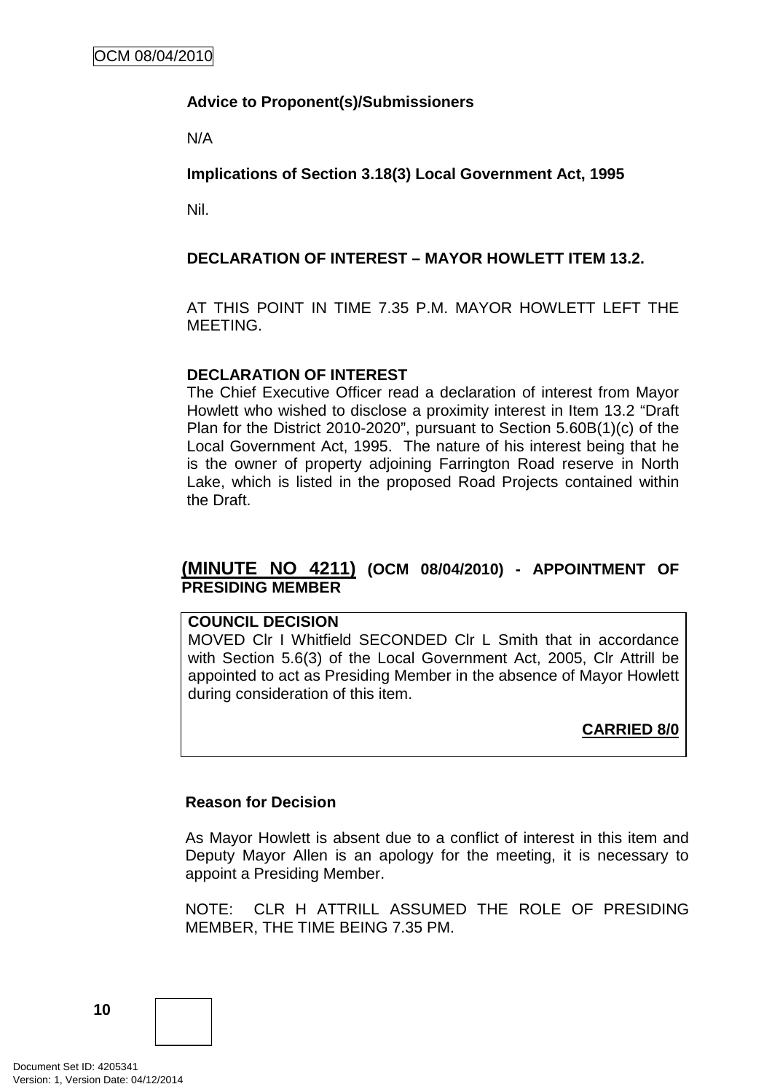## **Advice to Proponent(s)/Submissioners**

N/A

**Implications of Section 3.18(3) Local Government Act, 1995**

Nil.

## **DECLARATION OF INTEREST – MAYOR HOWLETT ITEM 13.2.**

AT THIS POINT IN TIME 7.35 P.M. MAYOR HOWLETT LEFT THE **MEETING** 

#### **DECLARATION OF INTEREST**

The Chief Executive Officer read a declaration of interest from Mayor Howlett who wished to disclose a proximity interest in Item 13.2 "Draft Plan for the District 2010-2020", pursuant to Section 5.60B(1)(c) of the Local Government Act, 1995. The nature of his interest being that he is the owner of property adjoining Farrington Road reserve in North Lake, which is listed in the proposed Road Projects contained within the Draft.

## **(MINUTE NO 4211) (OCM 08/04/2010) - APPOINTMENT OF PRESIDING MEMBER**

#### **COUNCIL DECISION**

MOVED Clr I Whitfield SECONDED Clr L Smith that in accordance with Section 5.6(3) of the Local Government Act, 2005, Clr Attrill be appointed to act as Presiding Member in the absence of Mayor Howlett during consideration of this item.

# **CARRIED 8/0**

#### **Reason for Decision**

As Mayor Howlett is absent due to a conflict of interest in this item and Deputy Mayor Allen is an apology for the meeting, it is necessary to appoint a Presiding Member.

NOTE: CLR H ATTRILL ASSUMED THE ROLE OF PRESIDING MEMBER, THE TIME BEING 7.35 PM.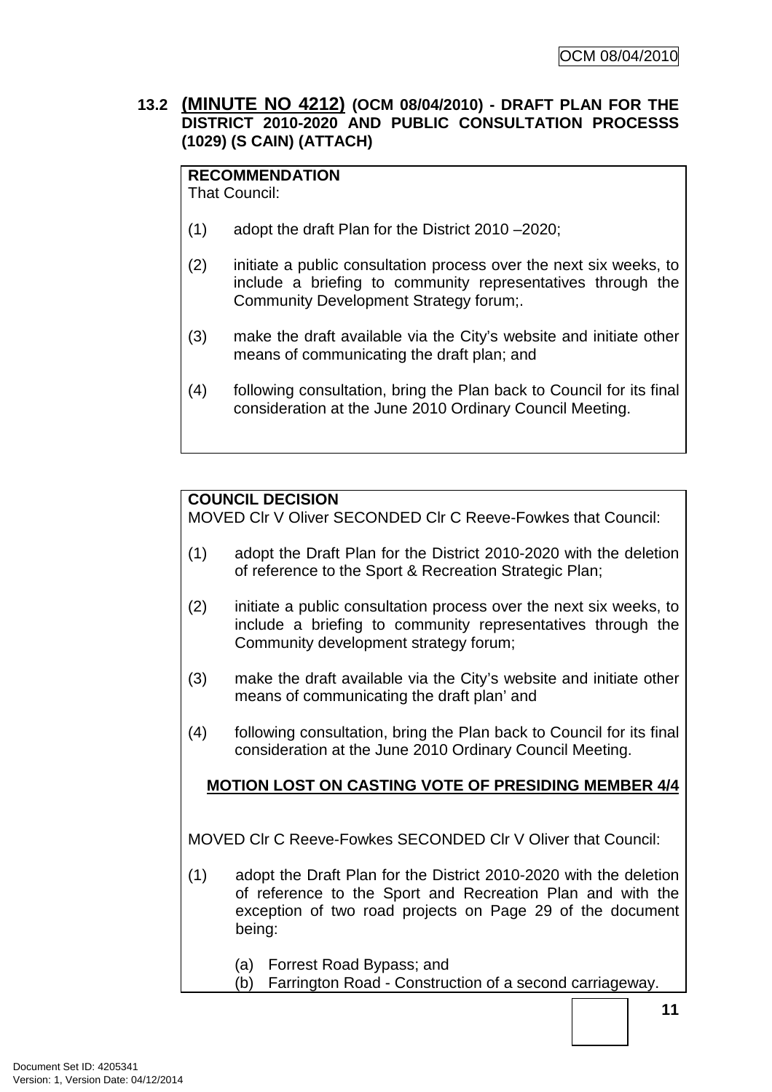## **13.2 (MINUTE NO 4212) (OCM 08/04/2010) - DRAFT PLAN FOR THE DISTRICT 2010-2020 AND PUBLIC CONSULTATION PROCESSS (1029) (S CAIN) (ATTACH)**

# **RECOMMENDATION**

That Council:

- (1) adopt the draft Plan for the District 2010 –2020;
- (2) initiate a public consultation process over the next six weeks, to include a briefing to community representatives through the Community Development Strategy forum;.
- (3) make the draft available via the City's website and initiate other means of communicating the draft plan; and
- (4) following consultation, bring the Plan back to Council for its final consideration at the June 2010 Ordinary Council Meeting.

# **COUNCIL DECISION**

MOVED Clr V Oliver SECONDED Clr C Reeve-Fowkes that Council:

- (1) adopt the Draft Plan for the District 2010-2020 with the deletion of reference to the Sport & Recreation Strategic Plan;
- (2) initiate a public consultation process over the next six weeks, to include a briefing to community representatives through the Community development strategy forum;
- (3) make the draft available via the City's website and initiate other means of communicating the draft plan' and
- (4) following consultation, bring the Plan back to Council for its final consideration at the June 2010 Ordinary Council Meeting.

# **MOTION LOST ON CASTING VOTE OF PRESIDING MEMBER 4/4**

MOVED Clr C Reeve-Fowkes SECONDED Clr V Oliver that Council:

- (1) adopt the Draft Plan for the District 2010-2020 with the deletion of reference to the Sport and Recreation Plan and with the exception of two road projects on Page 29 of the document being:
	- (a) Forrest Road Bypass; and
	- (b) Farrington Road Construction of a second carriageway.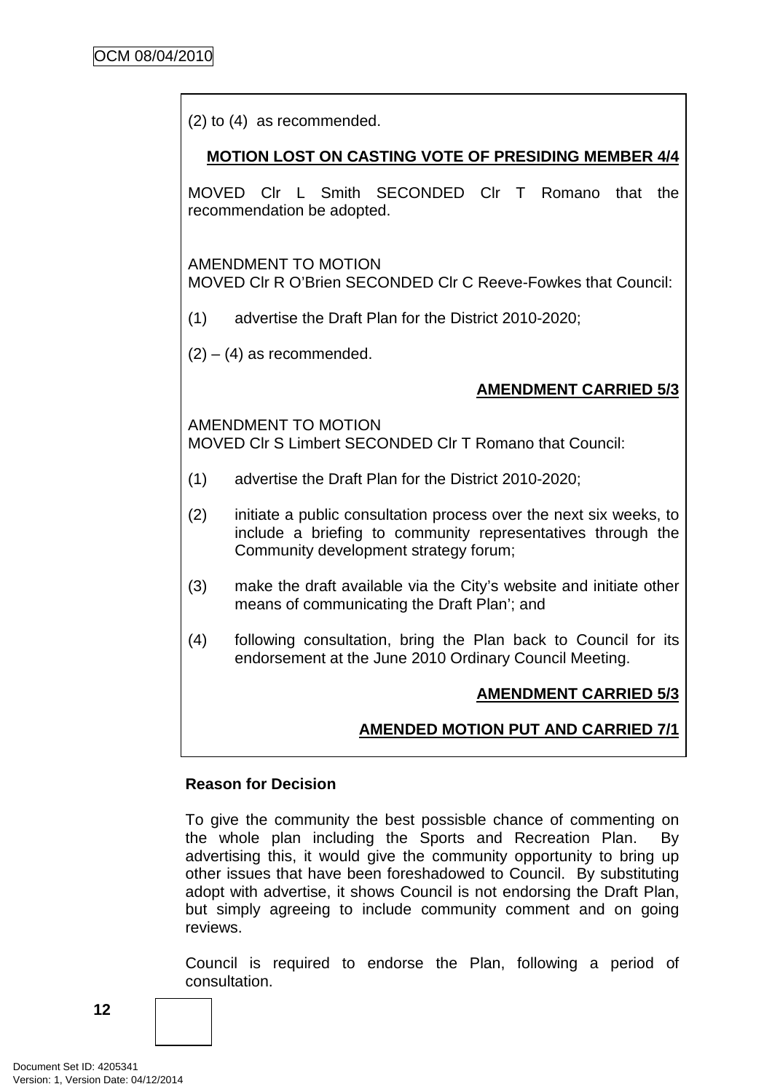(2) to (4) as recommended.

## **MOTION LOST ON CASTING VOTE OF PRESIDING MEMBER 4/4**

MOVED Clr L Smith SECONDED Clr T Romano that the recommendation be adopted.

AMENDMENT TO MOTION MOVED Clr R O'Brien SECONDED Clr C Reeve-Fowkes that Council:

- (1) advertise the Draft Plan for the District 2010-2020;
- $(2) (4)$  as recommended.

# **AMENDMENT CARRIED 5/3**

AMENDMENT TO MOTION MOVED Clr S Limbert SECONDED Clr T Romano that Council:

- (1) advertise the Draft Plan for the District 2010-2020;
- (2) initiate a public consultation process over the next six weeks, to include a briefing to community representatives through the Community development strategy forum;
- (3) make the draft available via the City's website and initiate other means of communicating the Draft Plan'; and
- (4) following consultation, bring the Plan back to Council for its endorsement at the June 2010 Ordinary Council Meeting.

# **AMENDMENT CARRIED 5/3**

# **AMENDED MOTION PUT AND CARRIED 7/1**

#### **Reason for Decision**

To give the community the best possisble chance of commenting on the whole plan including the Sports and Recreation Plan. By advertising this, it would give the community opportunity to bring up other issues that have been foreshadowed to Council. By substituting adopt with advertise, it shows Council is not endorsing the Draft Plan, but simply agreeing to include community comment and on going reviews.

Council is required to endorse the Plan, following a period of consultation.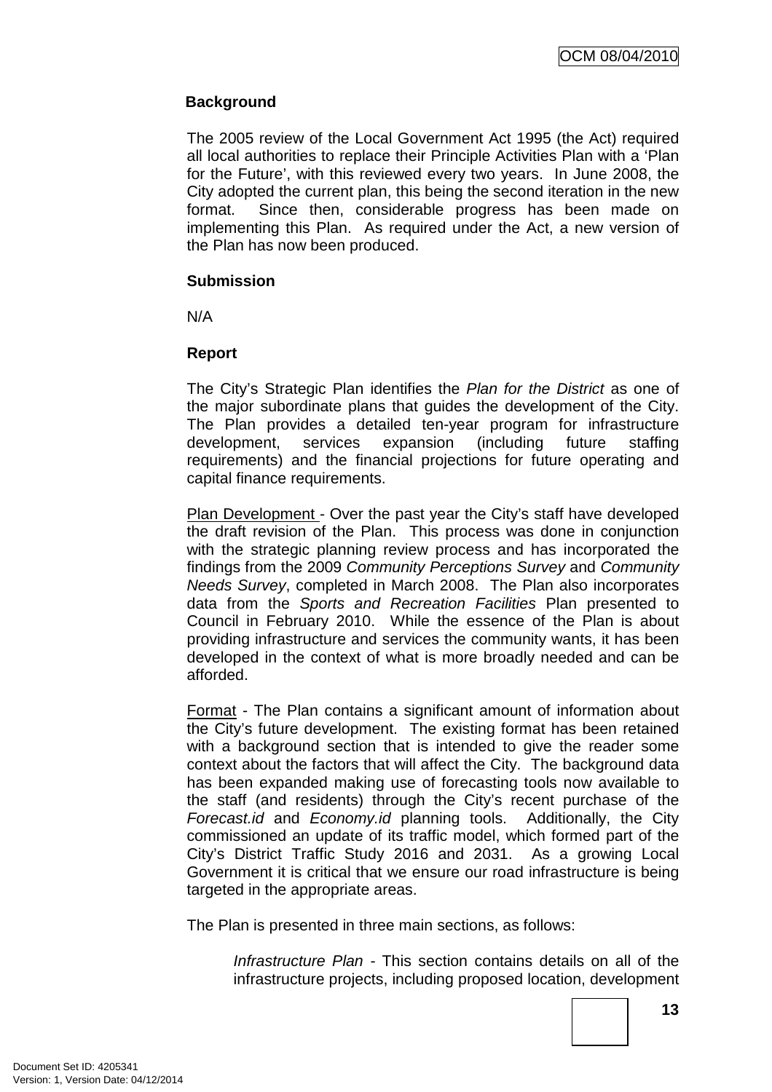## **Background**

The 2005 review of the Local Government Act 1995 (the Act) required all local authorities to replace their Principle Activities Plan with a 'Plan for the Future', with this reviewed every two years. In June 2008, the City adopted the current plan, this being the second iteration in the new format. Since then, considerable progress has been made on implementing this Plan. As required under the Act, a new version of the Plan has now been produced.

#### **Submission**

N/A

## **Report**

The City's Strategic Plan identifies the Plan for the District as one of the major subordinate plans that guides the development of the City. The Plan provides a detailed ten-year program for infrastructure development, services expansion (including future staffing requirements) and the financial projections for future operating and capital finance requirements.

Plan Development - Over the past year the City's staff have developed the draft revision of the Plan. This process was done in conjunction with the strategic planning review process and has incorporated the findings from the 2009 Community Perceptions Survey and Community Needs Survey, completed in March 2008. The Plan also incorporates data from the Sports and Recreation Facilities Plan presented to Council in February 2010. While the essence of the Plan is about providing infrastructure and services the community wants, it has been developed in the context of what is more broadly needed and can be afforded.

Format - The Plan contains a significant amount of information about the City's future development. The existing format has been retained with a background section that is intended to give the reader some context about the factors that will affect the City. The background data has been expanded making use of forecasting tools now available to the staff (and residents) through the City's recent purchase of the Forecast.id and Economy.id planning tools. Additionally, the City commissioned an update of its traffic model, which formed part of the City's District Traffic Study 2016 and 2031. As a growing Local Government it is critical that we ensure our road infrastructure is being targeted in the appropriate areas.

The Plan is presented in three main sections, as follows:

Infrastructure Plan - This section contains details on all of the infrastructure projects, including proposed location, development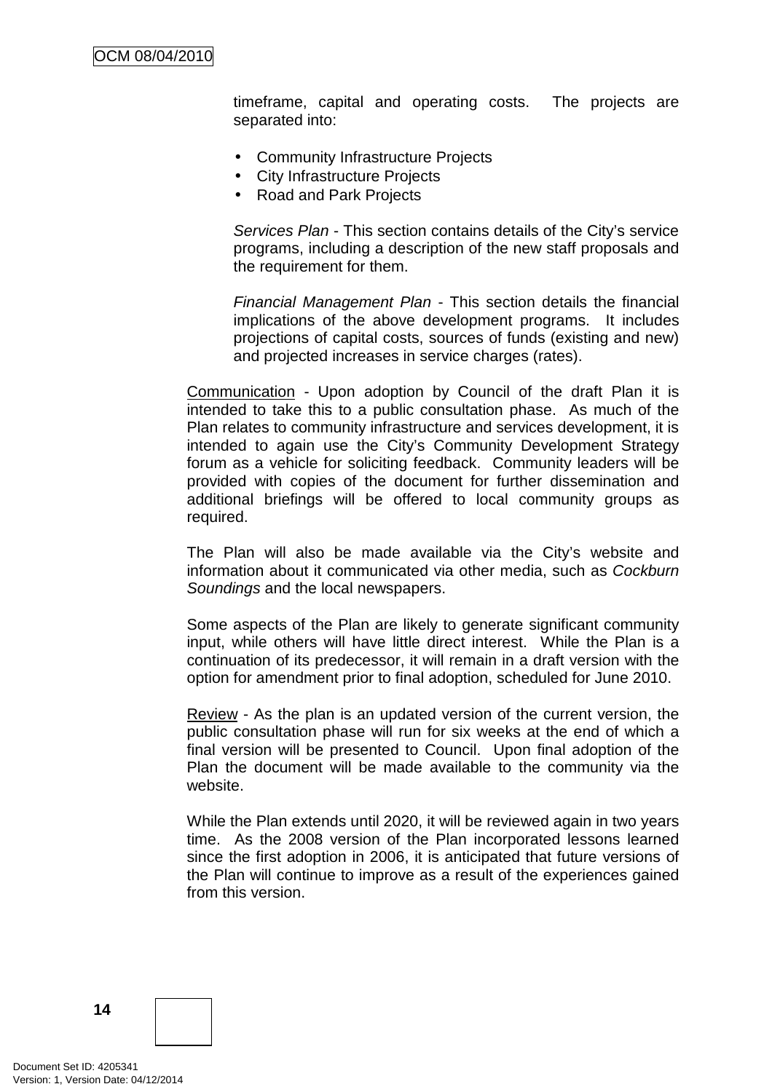timeframe, capital and operating costs. The projects are separated into:

- Community Infrastructure Projects
- City Infrastructure Projects
- Road and Park Projects

Services Plan - This section contains details of the City's service programs, including a description of the new staff proposals and the requirement for them.

Financial Management Plan - This section details the financial implications of the above development programs. It includes projections of capital costs, sources of funds (existing and new) and projected increases in service charges (rates).

Communication - Upon adoption by Council of the draft Plan it is intended to take this to a public consultation phase. As much of the Plan relates to community infrastructure and services development, it is intended to again use the City's Community Development Strategy forum as a vehicle for soliciting feedback. Community leaders will be provided with copies of the document for further dissemination and additional briefings will be offered to local community groups as required.

The Plan will also be made available via the City's website and information about it communicated via other media, such as Cockburn Soundings and the local newspapers.

Some aspects of the Plan are likely to generate significant community input, while others will have little direct interest. While the Plan is a continuation of its predecessor, it will remain in a draft version with the option for amendment prior to final adoption, scheduled for June 2010.

Review - As the plan is an updated version of the current version, the public consultation phase will run for six weeks at the end of which a final version will be presented to Council. Upon final adoption of the Plan the document will be made available to the community via the website.

While the Plan extends until 2020, it will be reviewed again in two years time. As the 2008 version of the Plan incorporated lessons learned since the first adoption in 2006, it is anticipated that future versions of the Plan will continue to improve as a result of the experiences gained from this version.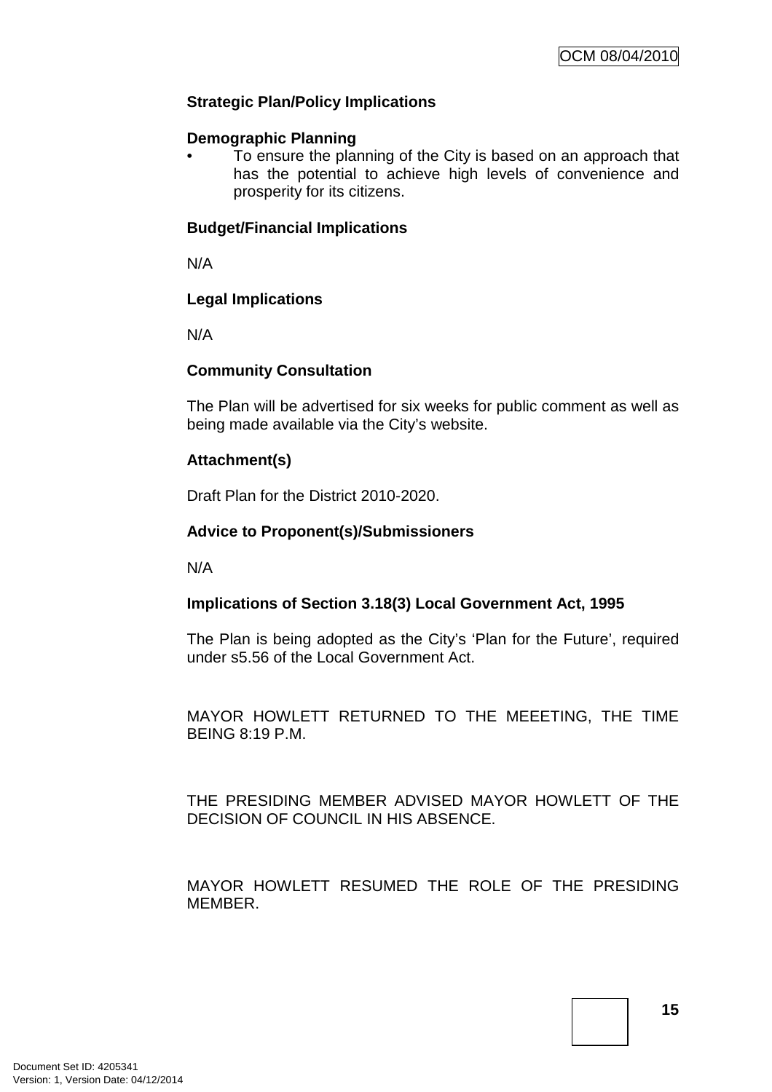# **Strategic Plan/Policy Implications**

#### **Demographic Planning**

• To ensure the planning of the City is based on an approach that has the potential to achieve high levels of convenience and prosperity for its citizens.

#### **Budget/Financial Implications**

N/A

#### **Legal Implications**

N/A

#### **Community Consultation**

The Plan will be advertised for six weeks for public comment as well as being made available via the City's website.

## **Attachment(s)**

Draft Plan for the District 2010-2020.

#### **Advice to Proponent(s)/Submissioners**

N/A

#### **Implications of Section 3.18(3) Local Government Act, 1995**

The Plan is being adopted as the City's 'Plan for the Future', required under s5.56 of the Local Government Act.

MAYOR HOWLETT RETURNED TO THE MEEETING, THE TIME BEING 8:19 P.M.

THE PRESIDING MEMBER ADVISED MAYOR HOWLETT OF THE DECISION OF COUNCIL IN HIS ABSENCE.

MAYOR HOWLETT RESUMED THE ROLE OF THE PRESIDING MEMBER.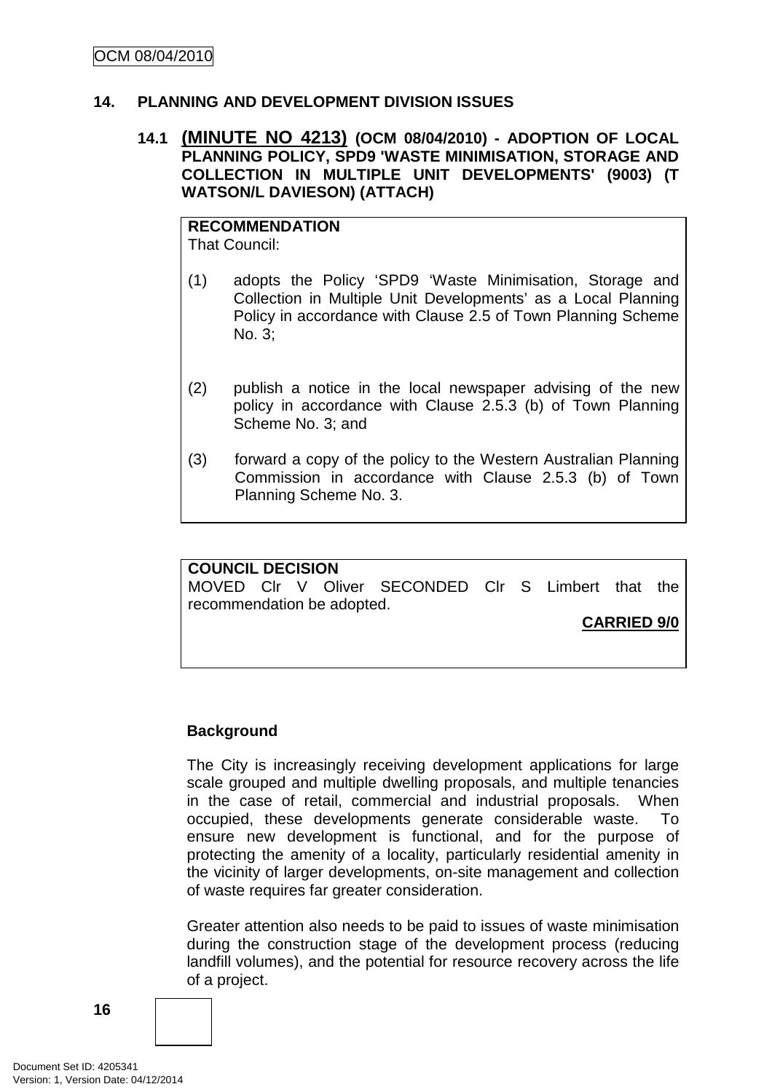#### **14. PLANNING AND DEVELOPMENT DIVISION ISSUES**

#### **14.1 (MINUTE NO 4213) (OCM 08/04/2010) - ADOPTION OF LOCAL PLANNING POLICY, SPD9 'WASTE MINIMISATION, STORAGE AND COLLECTION IN MULTIPLE UNIT DEVELOPMENTS' (9003) (T WATSON/L DAVIESON) (ATTACH)**

#### **RECOMMENDATION** That Council:

- (1) adopts the Policy 'SPD9 'Waste Minimisation, Storage and Collection in Multiple Unit Developments' as a Local Planning Policy in accordance with Clause 2.5 of Town Planning Scheme No. 3;
- (2) publish a notice in the local newspaper advising of the new policy in accordance with Clause 2.5.3 (b) of Town Planning Scheme No. 3; and
- (3) forward a copy of the policy to the Western Australian Planning Commission in accordance with Clause 2.5.3 (b) of Town Planning Scheme No. 3.

## **COUNCIL DECISION**  MOVED Clr V Oliver SECONDED Clr S Limbert that the recommendation be adopted.

**CARRIED 9/0**

# **Background**

The City is increasingly receiving development applications for large scale grouped and multiple dwelling proposals, and multiple tenancies in the case of retail, commercial and industrial proposals. When occupied, these developments generate considerable waste. To ensure new development is functional, and for the purpose of protecting the amenity of a locality, particularly residential amenity in the vicinity of larger developments, on-site management and collection of waste requires far greater consideration.

Greater attention also needs to be paid to issues of waste minimisation during the construction stage of the development process (reducing landfill volumes), and the potential for resource recovery across the life of a project.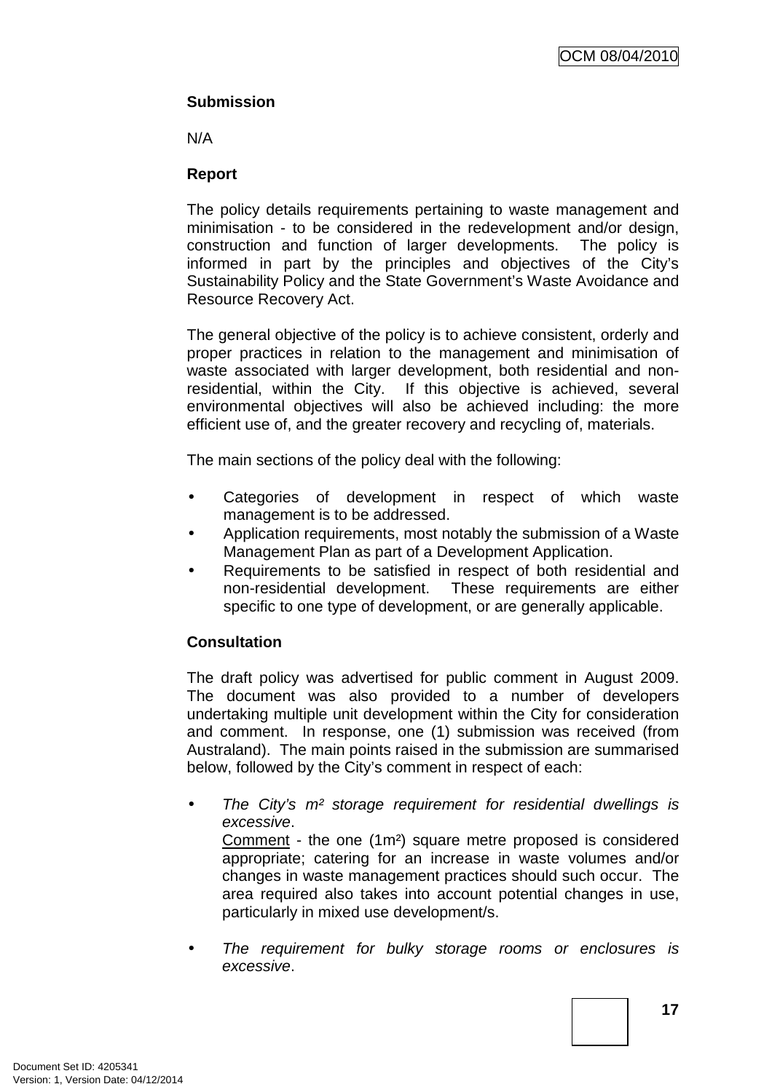# **Submission**

N/A

# **Report**

The policy details requirements pertaining to waste management and minimisation - to be considered in the redevelopment and/or design, construction and function of larger developments. The policy is informed in part by the principles and objectives of the City's Sustainability Policy and the State Government's Waste Avoidance and Resource Recovery Act.

The general objective of the policy is to achieve consistent, orderly and proper practices in relation to the management and minimisation of waste associated with larger development, both residential and nonresidential, within the City. If this objective is achieved, several environmental objectives will also be achieved including: the more efficient use of, and the greater recovery and recycling of, materials.

The main sections of the policy deal with the following:

- Categories of development in respect of which waste management is to be addressed.
- Application requirements, most notably the submission of a Waste Management Plan as part of a Development Application.
- Requirements to be satisfied in respect of both residential and non-residential development. These requirements are either specific to one type of development, or are generally applicable.

# **Consultation**

The draft policy was advertised for public comment in August 2009. The document was also provided to a number of developers undertaking multiple unit development within the City for consideration and comment. In response, one (1) submission was received (from Australand). The main points raised in the submission are summarised below, followed by the City's comment in respect of each:

- The City's m<sup>2</sup> storage requirement for residential dwellings is excessive. Comment - the one (1m²) square metre proposed is considered appropriate; catering for an increase in waste volumes and/or changes in waste management practices should such occur. The area required also takes into account potential changes in use, particularly in mixed use development/s.
- The requirement for bulky storage rooms or enclosures is excessive.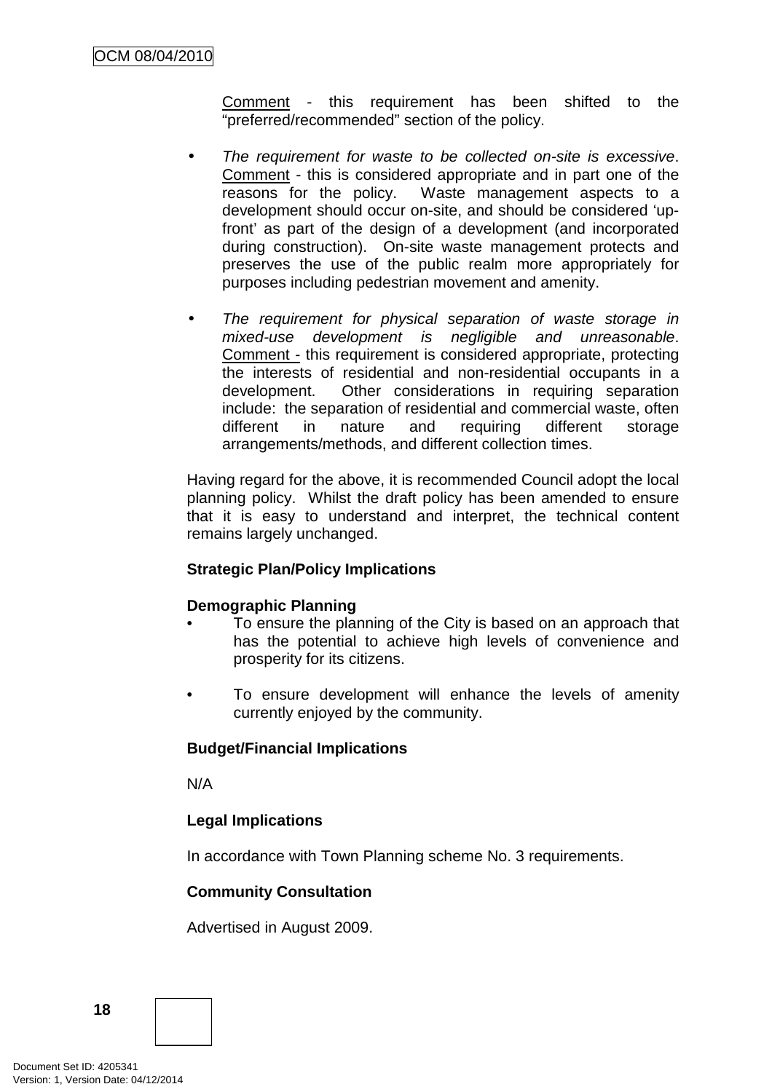Comment - this requirement has been shifted to the "preferred/recommended" section of the policy.

- The requirement for waste to be collected on-site is excessive. Comment - this is considered appropriate and in part one of the reasons for the policy. Waste management aspects to a development should occur on-site, and should be considered 'upfront' as part of the design of a development (and incorporated during construction). On-site waste management protects and preserves the use of the public realm more appropriately for purposes including pedestrian movement and amenity.
- The requirement for physical separation of waste storage in mixed-use development is negligible and unreasonable. Comment - this requirement is considered appropriate, protecting the interests of residential and non-residential occupants in a development. Other considerations in requiring separation include: the separation of residential and commercial waste, often different in nature and requiring different storage arrangements/methods, and different collection times.

Having regard for the above, it is recommended Council adopt the local planning policy. Whilst the draft policy has been amended to ensure that it is easy to understand and interpret, the technical content remains largely unchanged.

#### **Strategic Plan/Policy Implications**

#### **Demographic Planning**

- To ensure the planning of the City is based on an approach that has the potential to achieve high levels of convenience and prosperity for its citizens.
- To ensure development will enhance the levels of amenity currently enjoyed by the community.

#### **Budget/Financial Implications**

N/A

# **Legal Implications**

In accordance with Town Planning scheme No. 3 requirements.

# **Community Consultation**

Advertised in August 2009.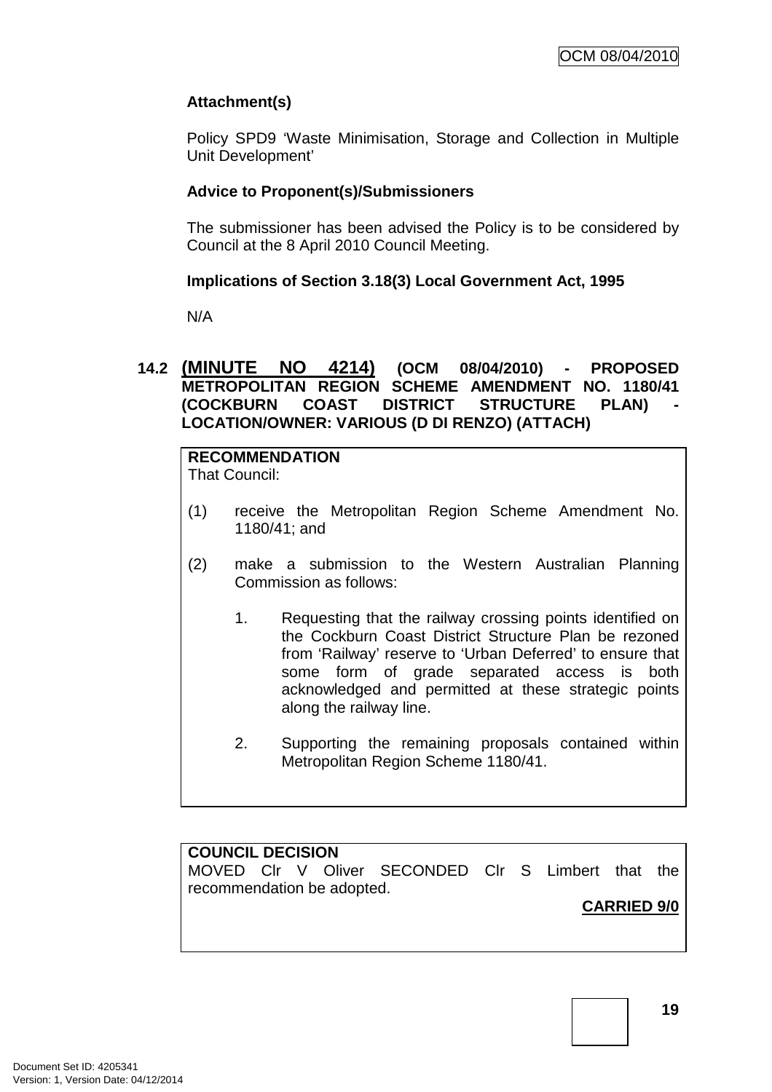# **Attachment(s)**

Policy SPD9 'Waste Minimisation, Storage and Collection in Multiple Unit Development'

## **Advice to Proponent(s)/Submissioners**

The submissioner has been advised the Policy is to be considered by Council at the 8 April 2010 Council Meeting.

# **Implications of Section 3.18(3) Local Government Act, 1995**

N/A

## **14.2 (MINUTE NO 4214) (OCM 08/04/2010) - PROPOSED METROPOLITAN REGION SCHEME AMENDMENT NO. 1180/41 (COCKBURN COAST DISTRICT STRUCTURE PLAN) LOCATION/OWNER: VARIOUS (D DI RENZO) (ATTACH)**

#### **RECOMMENDATION** That Council:

- (1) receive the Metropolitan Region Scheme Amendment No. 1180/41; and
- (2) make a submission to the Western Australian Planning Commission as follows:
	- 1. Requesting that the railway crossing points identified on the Cockburn Coast District Structure Plan be rezoned from 'Railway' reserve to 'Urban Deferred' to ensure that some form of grade separated access is both acknowledged and permitted at these strategic points along the railway line.
	- 2. Supporting the remaining proposals contained within Metropolitan Region Scheme 1180/41.

#### **COUNCIL DECISION**

MOVED Clr V Oliver SECONDED Clr S Limbert that the recommendation be adopted.

# **CARRIED 9/0**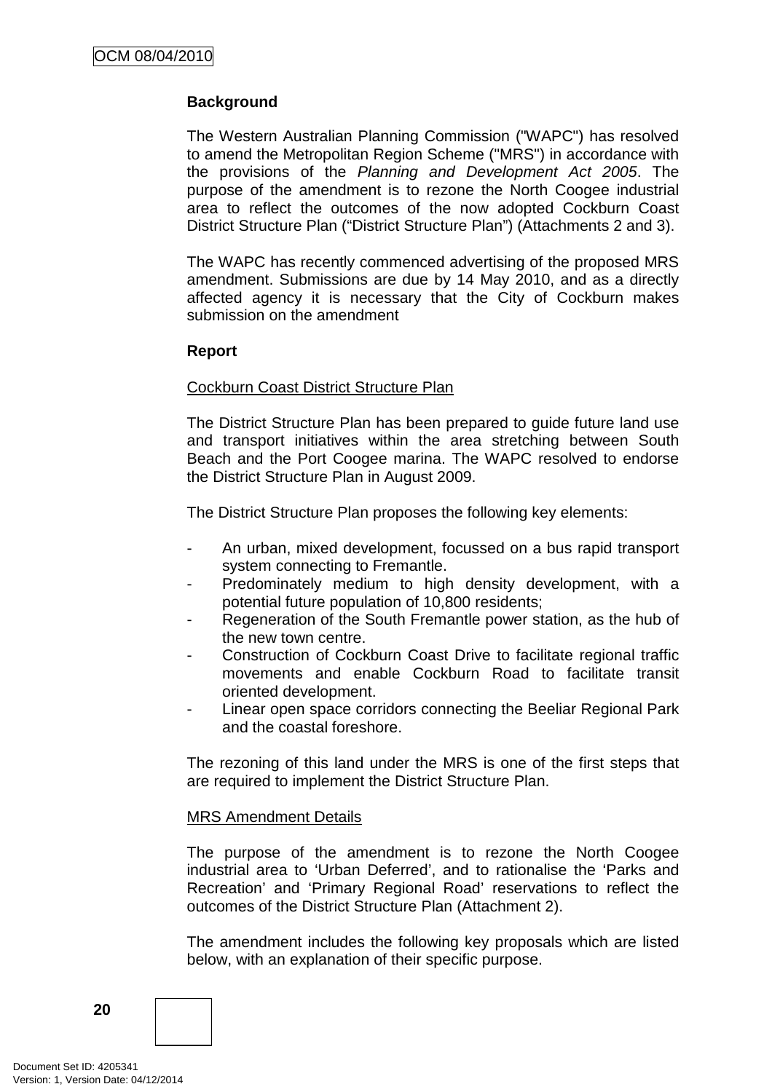## **Background**

The Western Australian Planning Commission ("WAPC") has resolved to amend the Metropolitan Region Scheme ("MRS") in accordance with the provisions of the Planning and Development Act 2005. The purpose of the amendment is to rezone the North Coogee industrial area to reflect the outcomes of the now adopted Cockburn Coast District Structure Plan ("District Structure Plan") (Attachments 2 and 3).

The WAPC has recently commenced advertising of the proposed MRS amendment. Submissions are due by 14 May 2010, and as a directly affected agency it is necessary that the City of Cockburn makes submission on the amendment

#### **Report**

#### Cockburn Coast District Structure Plan

The District Structure Plan has been prepared to guide future land use and transport initiatives within the area stretching between South Beach and the Port Coogee marina. The WAPC resolved to endorse the District Structure Plan in August 2009.

The District Structure Plan proposes the following key elements:

- An urban, mixed development, focussed on a bus rapid transport system connecting to Fremantle.
- Predominately medium to high density development, with a potential future population of 10,800 residents;
- Regeneration of the South Fremantle power station, as the hub of the new town centre.
- Construction of Cockburn Coast Drive to facilitate regional traffic movements and enable Cockburn Road to facilitate transit oriented development.
- Linear open space corridors connecting the Beeliar Regional Park and the coastal foreshore.

The rezoning of this land under the MRS is one of the first steps that are required to implement the District Structure Plan.

#### MRS Amendment Details

The purpose of the amendment is to rezone the North Coogee industrial area to 'Urban Deferred', and to rationalise the 'Parks and Recreation' and 'Primary Regional Road' reservations to reflect the outcomes of the District Structure Plan (Attachment 2).

The amendment includes the following key proposals which are listed below, with an explanation of their specific purpose.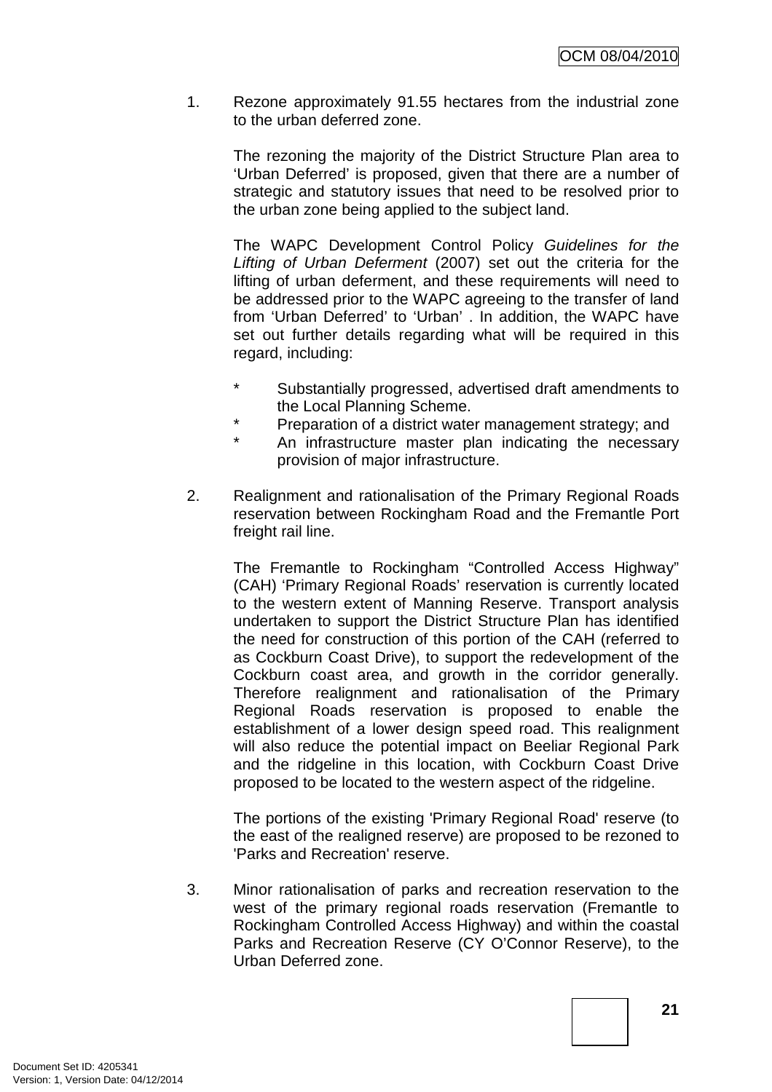1. Rezone approximately 91.55 hectares from the industrial zone to the urban deferred zone.

The rezoning the majority of the District Structure Plan area to 'Urban Deferred' is proposed, given that there are a number of strategic and statutory issues that need to be resolved prior to the urban zone being applied to the subject land.

The WAPC Development Control Policy Guidelines for the Lifting of Urban Deferment (2007) set out the criteria for the lifting of urban deferment, and these requirements will need to be addressed prior to the WAPC agreeing to the transfer of land from 'Urban Deferred' to 'Urban' . In addition, the WAPC have set out further details regarding what will be required in this regard, including:

- \* Substantially progressed, advertised draft amendments to the Local Planning Scheme.
- \* Preparation of a district water management strategy; and
- An infrastructure master plan indicating the necessary provision of major infrastructure.
- 2. Realignment and rationalisation of the Primary Regional Roads reservation between Rockingham Road and the Fremantle Port freight rail line.

The Fremantle to Rockingham "Controlled Access Highway" (CAH) 'Primary Regional Roads' reservation is currently located to the western extent of Manning Reserve. Transport analysis undertaken to support the District Structure Plan has identified the need for construction of this portion of the CAH (referred to as Cockburn Coast Drive), to support the redevelopment of the Cockburn coast area, and growth in the corridor generally. Therefore realignment and rationalisation of the Primary Regional Roads reservation is proposed to enable the establishment of a lower design speed road. This realignment will also reduce the potential impact on Beeliar Regional Park and the ridgeline in this location, with Cockburn Coast Drive proposed to be located to the western aspect of the ridgeline.

The portions of the existing 'Primary Regional Road' reserve (to the east of the realigned reserve) are proposed to be rezoned to 'Parks and Recreation' reserve.

3. Minor rationalisation of parks and recreation reservation to the west of the primary regional roads reservation (Fremantle to Rockingham Controlled Access Highway) and within the coastal Parks and Recreation Reserve (CY O'Connor Reserve), to the Urban Deferred zone.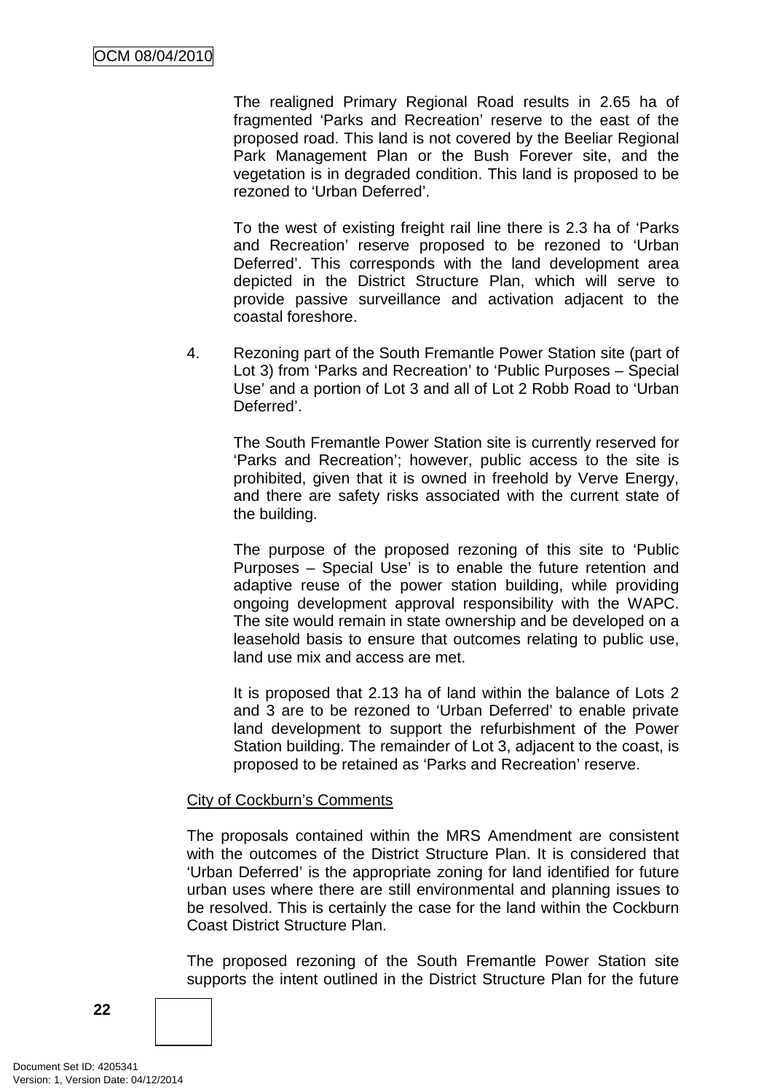The realigned Primary Regional Road results in 2.65 ha of fragmented 'Parks and Recreation' reserve to the east of the proposed road. This land is not covered by the Beeliar Regional Park Management Plan or the Bush Forever site, and the vegetation is in degraded condition. This land is proposed to be rezoned to 'Urban Deferred'.

To the west of existing freight rail line there is 2.3 ha of 'Parks and Recreation' reserve proposed to be rezoned to 'Urban Deferred'. This corresponds with the land development area depicted in the District Structure Plan, which will serve to provide passive surveillance and activation adjacent to the coastal foreshore.

4. Rezoning part of the South Fremantle Power Station site (part of Lot 3) from 'Parks and Recreation' to 'Public Purposes – Special Use' and a portion of Lot 3 and all of Lot 2 Robb Road to 'Urban Deferred'.

The South Fremantle Power Station site is currently reserved for 'Parks and Recreation'; however, public access to the site is prohibited, given that it is owned in freehold by Verve Energy, and there are safety risks associated with the current state of the building.

The purpose of the proposed rezoning of this site to 'Public Purposes – Special Use' is to enable the future retention and adaptive reuse of the power station building, while providing ongoing development approval responsibility with the WAPC. The site would remain in state ownership and be developed on a leasehold basis to ensure that outcomes relating to public use, land use mix and access are met.

It is proposed that 2.13 ha of land within the balance of Lots 2 and 3 are to be rezoned to 'Urban Deferred' to enable private land development to support the refurbishment of the Power Station building. The remainder of Lot 3, adjacent to the coast, is proposed to be retained as 'Parks and Recreation' reserve.

#### City of Cockburn's Comments

The proposals contained within the MRS Amendment are consistent with the outcomes of the District Structure Plan. It is considered that 'Urban Deferred' is the appropriate zoning for land identified for future urban uses where there are still environmental and planning issues to be resolved. This is certainly the case for the land within the Cockburn Coast District Structure Plan.

The proposed rezoning of the South Fremantle Power Station site supports the intent outlined in the District Structure Plan for the future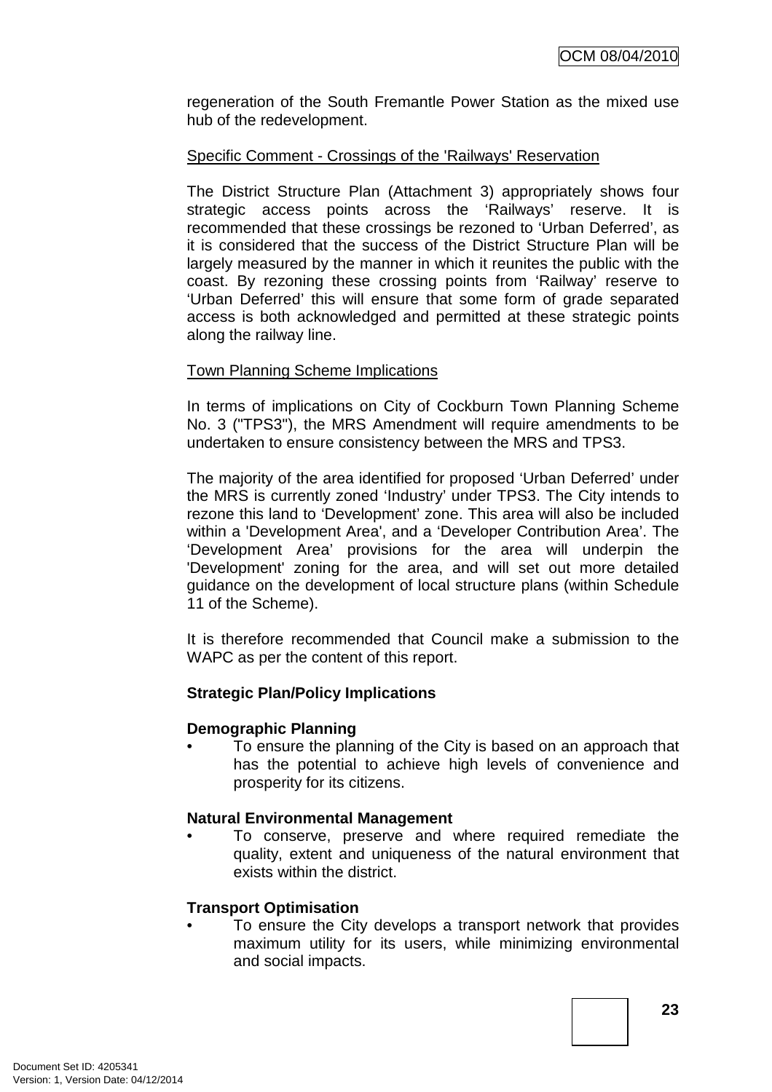regeneration of the South Fremantle Power Station as the mixed use hub of the redevelopment.

## Specific Comment - Crossings of the 'Railways' Reservation

The District Structure Plan (Attachment 3) appropriately shows four strategic access points across the 'Railways' reserve. It is recommended that these crossings be rezoned to 'Urban Deferred', as it is considered that the success of the District Structure Plan will be largely measured by the manner in which it reunites the public with the coast. By rezoning these crossing points from 'Railway' reserve to 'Urban Deferred' this will ensure that some form of grade separated access is both acknowledged and permitted at these strategic points along the railway line.

#### Town Planning Scheme Implications

In terms of implications on City of Cockburn Town Planning Scheme No. 3 ("TPS3"), the MRS Amendment will require amendments to be undertaken to ensure consistency between the MRS and TPS3.

The majority of the area identified for proposed 'Urban Deferred' under the MRS is currently zoned 'Industry' under TPS3. The City intends to rezone this land to 'Development' zone. This area will also be included within a 'Development Area', and a 'Developer Contribution Area'. The 'Development Area' provisions for the area will underpin the 'Development' zoning for the area, and will set out more detailed guidance on the development of local structure plans (within Schedule 11 of the Scheme).

It is therefore recommended that Council make a submission to the WAPC as per the content of this report.

# **Strategic Plan/Policy Implications**

#### **Demographic Planning**

• To ensure the planning of the City is based on an approach that has the potential to achieve high levels of convenience and prosperity for its citizens.

#### **Natural Environmental Management**

• To conserve, preserve and where required remediate the quality, extent and uniqueness of the natural environment that exists within the district.

#### **Transport Optimisation**

To ensure the City develops a transport network that provides maximum utility for its users, while minimizing environmental and social impacts.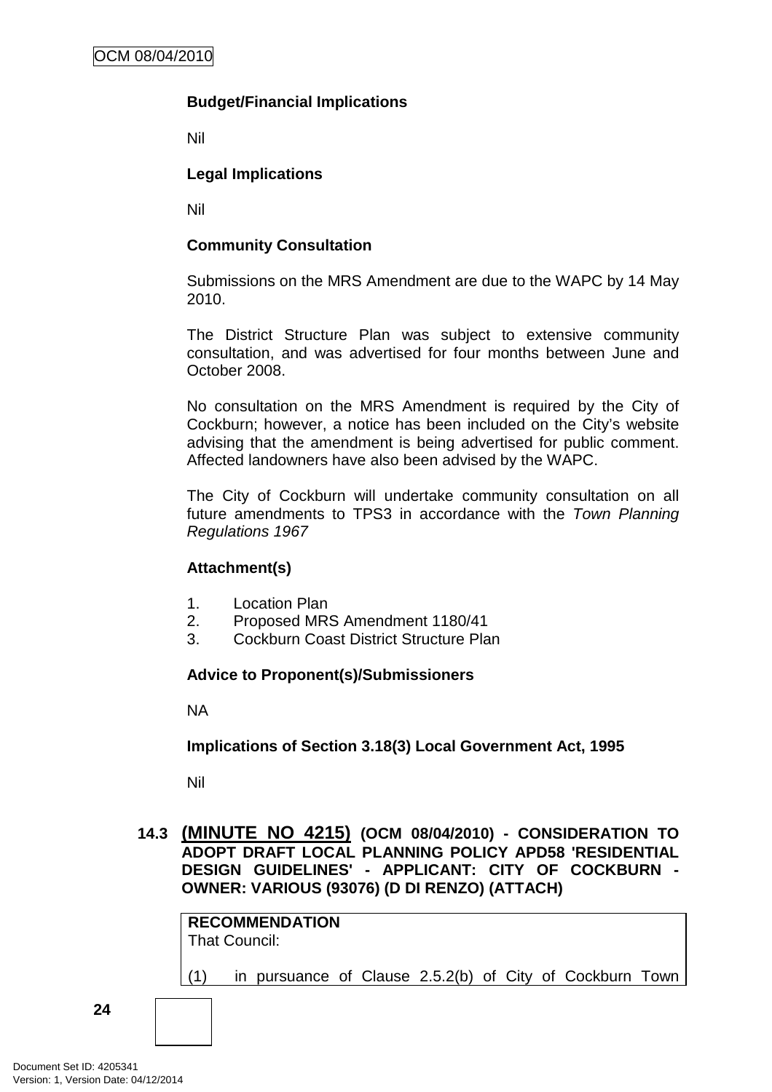# **Budget/Financial Implications**

Nil

## **Legal Implications**

Nil

## **Community Consultation**

Submissions on the MRS Amendment are due to the WAPC by 14 May 2010.

The District Structure Plan was subject to extensive community consultation, and was advertised for four months between June and October 2008.

No consultation on the MRS Amendment is required by the City of Cockburn; however, a notice has been included on the City's website advising that the amendment is being advertised for public comment. Affected landowners have also been advised by the WAPC.

The City of Cockburn will undertake community consultation on all future amendments to TPS3 in accordance with the Town Planning Regulations 1967

#### **Attachment(s)**

- 1. Location Plan
- 2. Proposed MRS Amendment 1180/41
- 3. Cockburn Coast District Structure Plan

#### **Advice to Proponent(s)/Submissioners**

NA

## **Implications of Section 3.18(3) Local Government Act, 1995**

Nil

## **14.3 (MINUTE NO 4215) (OCM 08/04/2010) - CONSIDERATION TO ADOPT DRAFT LOCAL PLANNING POLICY APD58 'RESIDENTIAL DESIGN GUIDELINES' - APPLICANT: CITY OF COCKBURN - OWNER: VARIOUS (93076) (D DI RENZO) (ATTACH)**

| That Council: |  |  |  |                                                          |  |
|---------------|--|--|--|----------------------------------------------------------|--|
| (1)           |  |  |  | in pursuance of Clause 2.5.2(b) of City of Cockburn Town |  |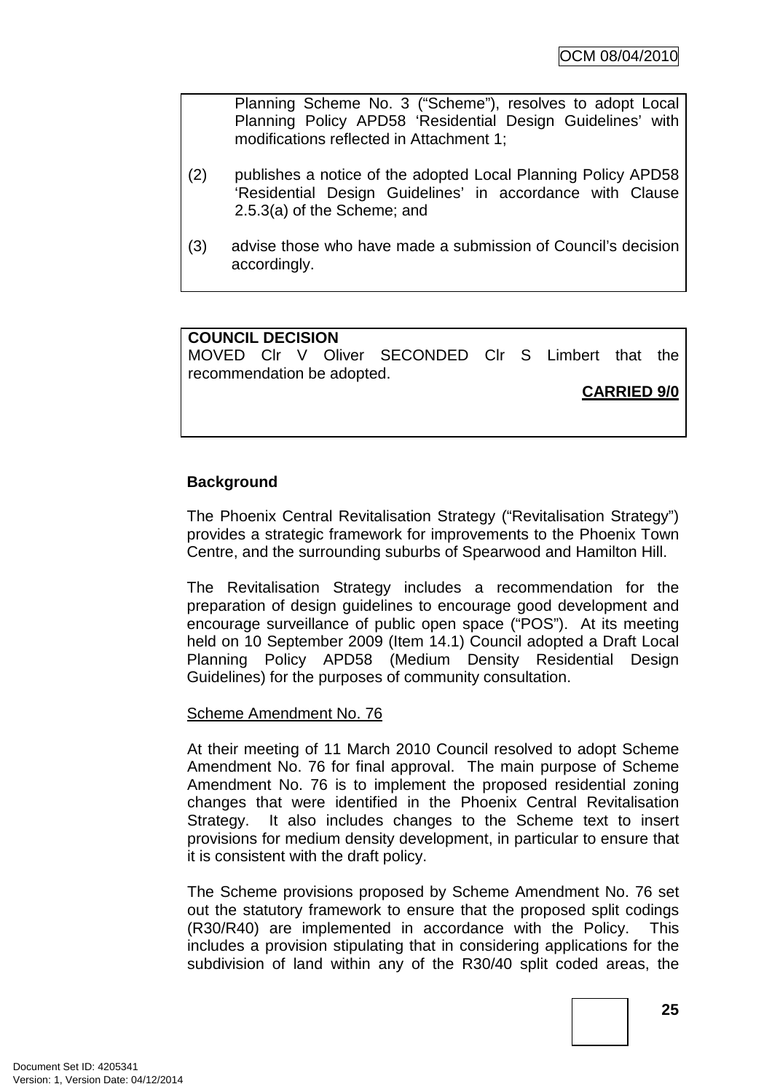Planning Scheme No. 3 ("Scheme"), resolves to adopt Local Planning Policy APD58 'Residential Design Guidelines' with modifications reflected in Attachment 1;

- (2) publishes a notice of the adopted Local Planning Policy APD58 'Residential Design Guidelines' in accordance with Clause 2.5.3(a) of the Scheme; and
- (3) advise those who have made a submission of Council's decision accordingly.

# **COUNCIL DECISION**

MOVED Clr V Oliver SECONDED Clr S Limbert that the recommendation be adopted.

**CARRIED 9/0**

# **Background**

The Phoenix Central Revitalisation Strategy ("Revitalisation Strategy") provides a strategic framework for improvements to the Phoenix Town Centre, and the surrounding suburbs of Spearwood and Hamilton Hill.

The Revitalisation Strategy includes a recommendation for the preparation of design guidelines to encourage good development and encourage surveillance of public open space ("POS"). At its meeting held on 10 September 2009 (Item 14.1) Council adopted a Draft Local Planning Policy APD58 (Medium Density Residential Design Guidelines) for the purposes of community consultation.

#### Scheme Amendment No. 76

At their meeting of 11 March 2010 Council resolved to adopt Scheme Amendment No. 76 for final approval. The main purpose of Scheme Amendment No. 76 is to implement the proposed residential zoning changes that were identified in the Phoenix Central Revitalisation Strategy. It also includes changes to the Scheme text to insert provisions for medium density development, in particular to ensure that it is consistent with the draft policy.

The Scheme provisions proposed by Scheme Amendment No. 76 set out the statutory framework to ensure that the proposed split codings (R30/R40) are implemented in accordance with the Policy. This includes a provision stipulating that in considering applications for the subdivision of land within any of the R30/40 split coded areas, the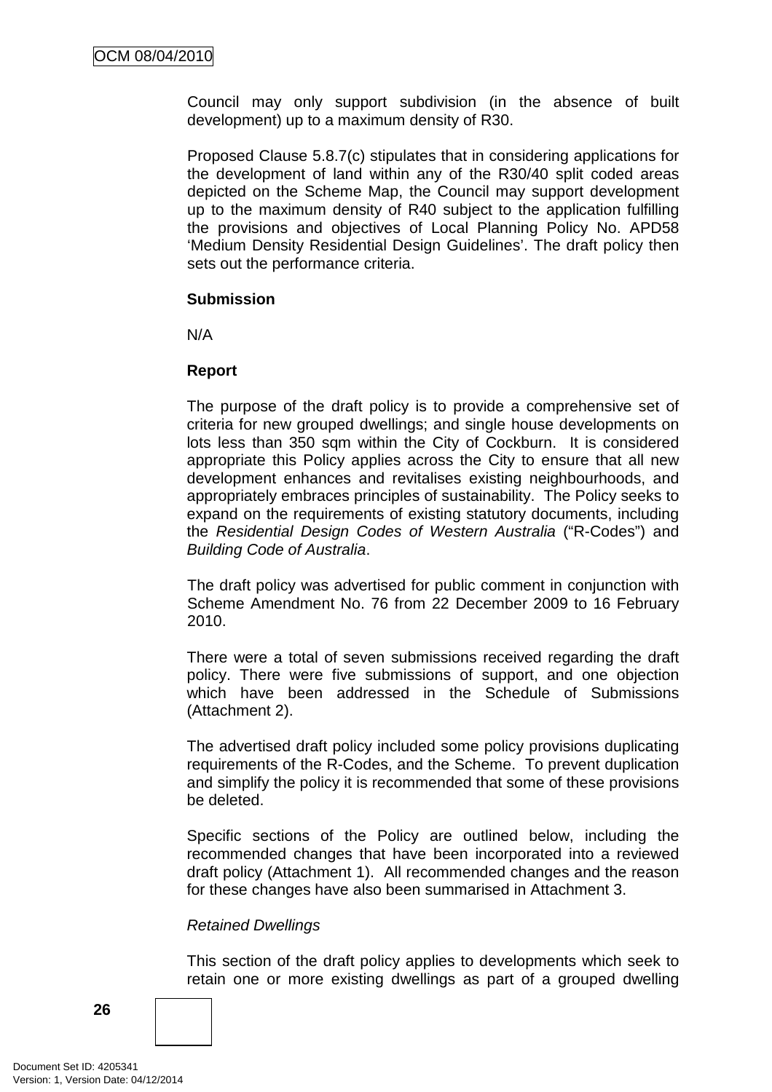Council may only support subdivision (in the absence of built development) up to a maximum density of R30.

Proposed Clause 5.8.7(c) stipulates that in considering applications for the development of land within any of the R30/40 split coded areas depicted on the Scheme Map, the Council may support development up to the maximum density of R40 subject to the application fulfilling the provisions and objectives of Local Planning Policy No. APD58 'Medium Density Residential Design Guidelines'. The draft policy then sets out the performance criteria.

#### **Submission**

N/A

#### **Report**

The purpose of the draft policy is to provide a comprehensive set of criteria for new grouped dwellings; and single house developments on lots less than 350 sqm within the City of Cockburn. It is considered appropriate this Policy applies across the City to ensure that all new development enhances and revitalises existing neighbourhoods, and appropriately embraces principles of sustainability. The Policy seeks to expand on the requirements of existing statutory documents, including the Residential Design Codes of Western Australia ("R-Codes") and Building Code of Australia.

The draft policy was advertised for public comment in conjunction with Scheme Amendment No. 76 from 22 December 2009 to 16 February 2010.

There were a total of seven submissions received regarding the draft policy. There were five submissions of support, and one objection which have been addressed in the Schedule of Submissions (Attachment 2).

The advertised draft policy included some policy provisions duplicating requirements of the R-Codes, and the Scheme. To prevent duplication and simplify the policy it is recommended that some of these provisions be deleted.

Specific sections of the Policy are outlined below, including the recommended changes that have been incorporated into a reviewed draft policy (Attachment 1). All recommended changes and the reason for these changes have also been summarised in Attachment 3.

#### Retained Dwellings

This section of the draft policy applies to developments which seek to retain one or more existing dwellings as part of a grouped dwelling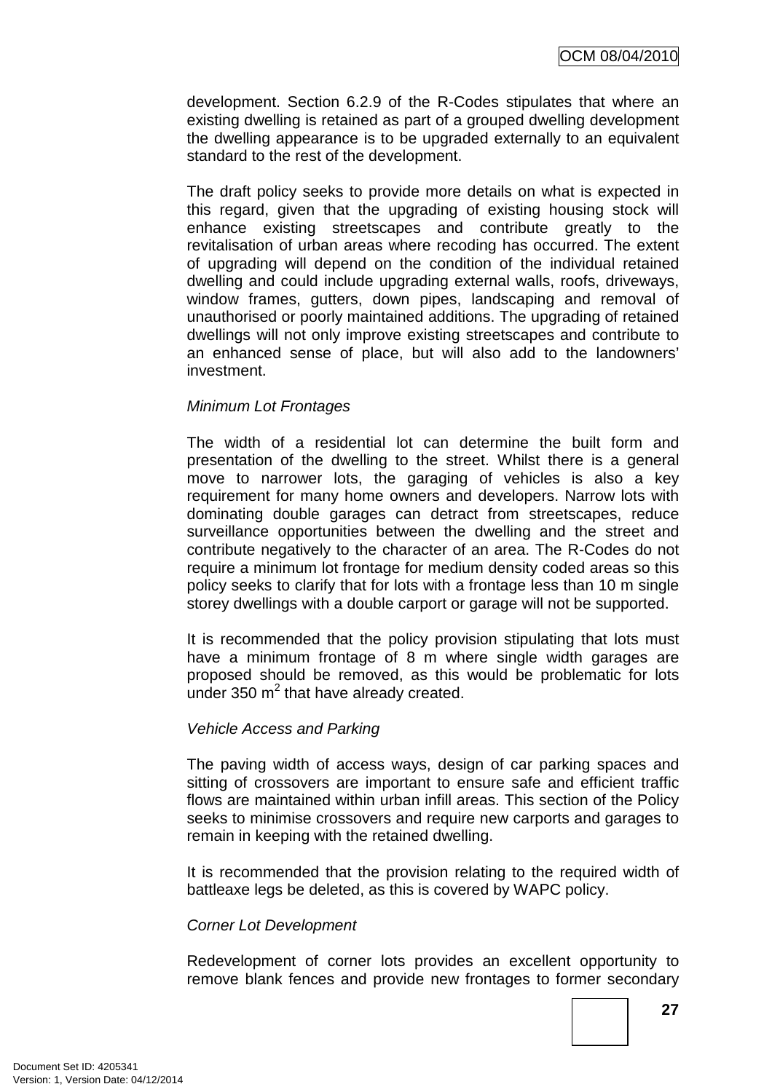development. Section 6.2.9 of the R-Codes stipulates that where an existing dwelling is retained as part of a grouped dwelling development the dwelling appearance is to be upgraded externally to an equivalent standard to the rest of the development.

The draft policy seeks to provide more details on what is expected in this regard, given that the upgrading of existing housing stock will enhance existing streetscapes and contribute greatly to the revitalisation of urban areas where recoding has occurred. The extent of upgrading will depend on the condition of the individual retained dwelling and could include upgrading external walls, roofs, driveways, window frames, gutters, down pipes, landscaping and removal of unauthorised or poorly maintained additions. The upgrading of retained dwellings will not only improve existing streetscapes and contribute to an enhanced sense of place, but will also add to the landowners' investment.

#### Minimum Lot Frontages

The width of a residential lot can determine the built form and presentation of the dwelling to the street. Whilst there is a general move to narrower lots, the garaging of vehicles is also a key requirement for many home owners and developers. Narrow lots with dominating double garages can detract from streetscapes, reduce surveillance opportunities between the dwelling and the street and contribute negatively to the character of an area. The R-Codes do not require a minimum lot frontage for medium density coded areas so this policy seeks to clarify that for lots with a frontage less than 10 m single storey dwellings with a double carport or garage will not be supported.

It is recommended that the policy provision stipulating that lots must have a minimum frontage of 8 m where single width garages are proposed should be removed, as this would be problematic for lots under 350  $m^2$  that have already created.

#### Vehicle Access and Parking

The paving width of access ways, design of car parking spaces and sitting of crossovers are important to ensure safe and efficient traffic flows are maintained within urban infill areas. This section of the Policy seeks to minimise crossovers and require new carports and garages to remain in keeping with the retained dwelling.

It is recommended that the provision relating to the required width of battleaxe legs be deleted, as this is covered by WAPC policy.

#### Corner Lot Development

Redevelopment of corner lots provides an excellent opportunity to remove blank fences and provide new frontages to former secondary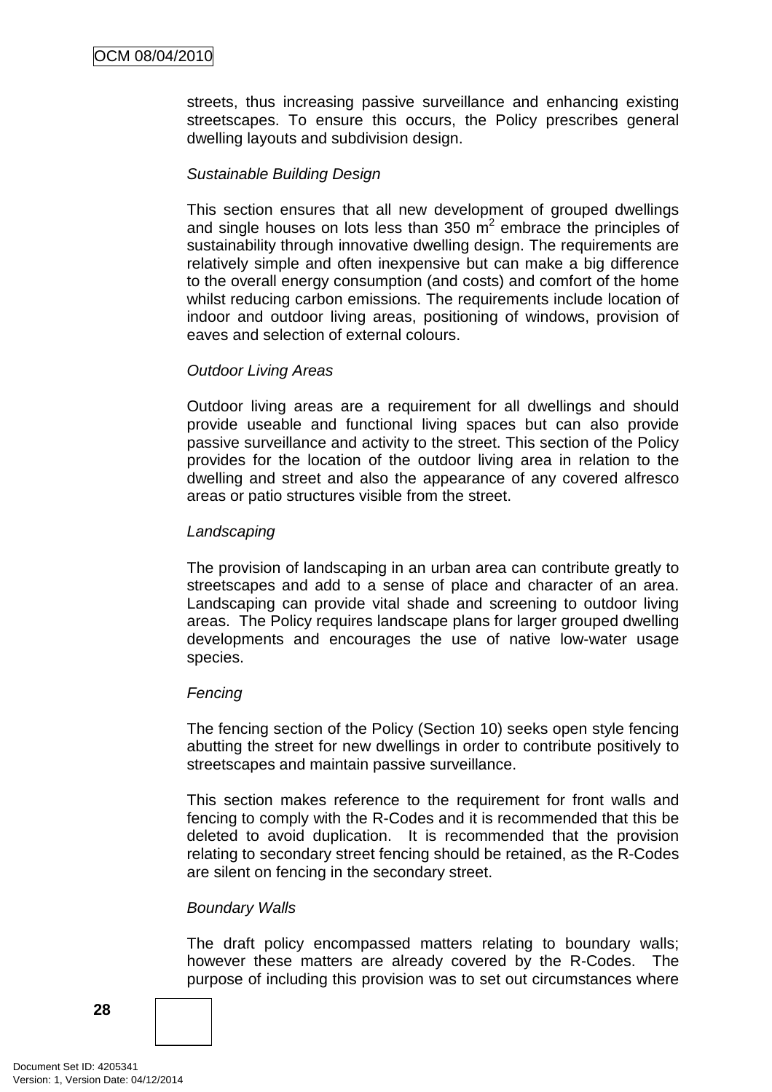streets, thus increasing passive surveillance and enhancing existing streetscapes. To ensure this occurs, the Policy prescribes general dwelling layouts and subdivision design.

## Sustainable Building Design

This section ensures that all new development of grouped dwellings and single houses on lots less than 350  $\mathrm{m}^2$  embrace the principles of sustainability through innovative dwelling design. The requirements are relatively simple and often inexpensive but can make a big difference to the overall energy consumption (and costs) and comfort of the home whilst reducing carbon emissions. The requirements include location of indoor and outdoor living areas, positioning of windows, provision of eaves and selection of external colours.

#### Outdoor Living Areas

Outdoor living areas are a requirement for all dwellings and should provide useable and functional living spaces but can also provide passive surveillance and activity to the street. This section of the Policy provides for the location of the outdoor living area in relation to the dwelling and street and also the appearance of any covered alfresco areas or patio structures visible from the street.

## Landscaping

The provision of landscaping in an urban area can contribute greatly to streetscapes and add to a sense of place and character of an area. Landscaping can provide vital shade and screening to outdoor living areas. The Policy requires landscape plans for larger grouped dwelling developments and encourages the use of native low-water usage species.

#### **Fencing**

The fencing section of the Policy (Section 10) seeks open style fencing abutting the street for new dwellings in order to contribute positively to streetscapes and maintain passive surveillance.

This section makes reference to the requirement for front walls and fencing to comply with the R-Codes and it is recommended that this be deleted to avoid duplication. It is recommended that the provision relating to secondary street fencing should be retained, as the R-Codes are silent on fencing in the secondary street.

#### Boundary Walls

The draft policy encompassed matters relating to boundary walls; however these matters are already covered by the R-Codes. The purpose of including this provision was to set out circumstances where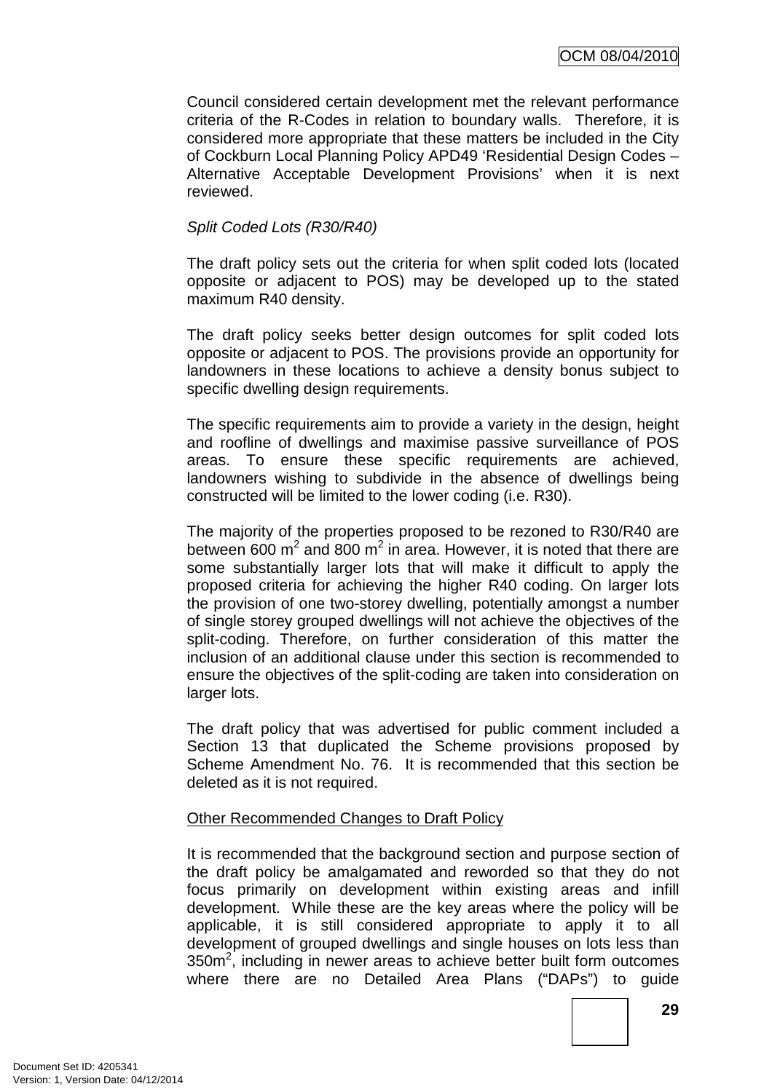Council considered certain development met the relevant performance criteria of the R-Codes in relation to boundary walls. Therefore, it is considered more appropriate that these matters be included in the City of Cockburn Local Planning Policy APD49 'Residential Design Codes – Alternative Acceptable Development Provisions' when it is next reviewed.

## Split Coded Lots (R30/R40)

The draft policy sets out the criteria for when split coded lots (located opposite or adjacent to POS) may be developed up to the stated maximum R40 density.

The draft policy seeks better design outcomes for split coded lots opposite or adjacent to POS. The provisions provide an opportunity for landowners in these locations to achieve a density bonus subject to specific dwelling design requirements.

The specific requirements aim to provide a variety in the design, height and roofline of dwellings and maximise passive surveillance of POS areas. To ensure these specific requirements are achieved, landowners wishing to subdivide in the absence of dwellings being constructed will be limited to the lower coding (i.e. R30).

The majority of the properties proposed to be rezoned to R30/R40 are between 600 m<sup>2</sup> and 800 m<sup>2</sup> in area. However, it is noted that there are some substantially larger lots that will make it difficult to apply the proposed criteria for achieving the higher R40 coding. On larger lots the provision of one two-storey dwelling, potentially amongst a number of single storey grouped dwellings will not achieve the objectives of the split-coding. Therefore, on further consideration of this matter the inclusion of an additional clause under this section is recommended to ensure the objectives of the split-coding are taken into consideration on larger lots.

The draft policy that was advertised for public comment included a Section 13 that duplicated the Scheme provisions proposed by Scheme Amendment No. 76. It is recommended that this section be deleted as it is not required.

#### Other Recommended Changes to Draft Policy

It is recommended that the background section and purpose section of the draft policy be amalgamated and reworded so that they do not focus primarily on development within existing areas and infill development. While these are the key areas where the policy will be applicable, it is still considered appropriate to apply it to all development of grouped dwellings and single houses on lots less than  $350m^2$ , including in newer areas to achieve better built form outcomes where there are no Detailed Area Plans ("DAPs") to guide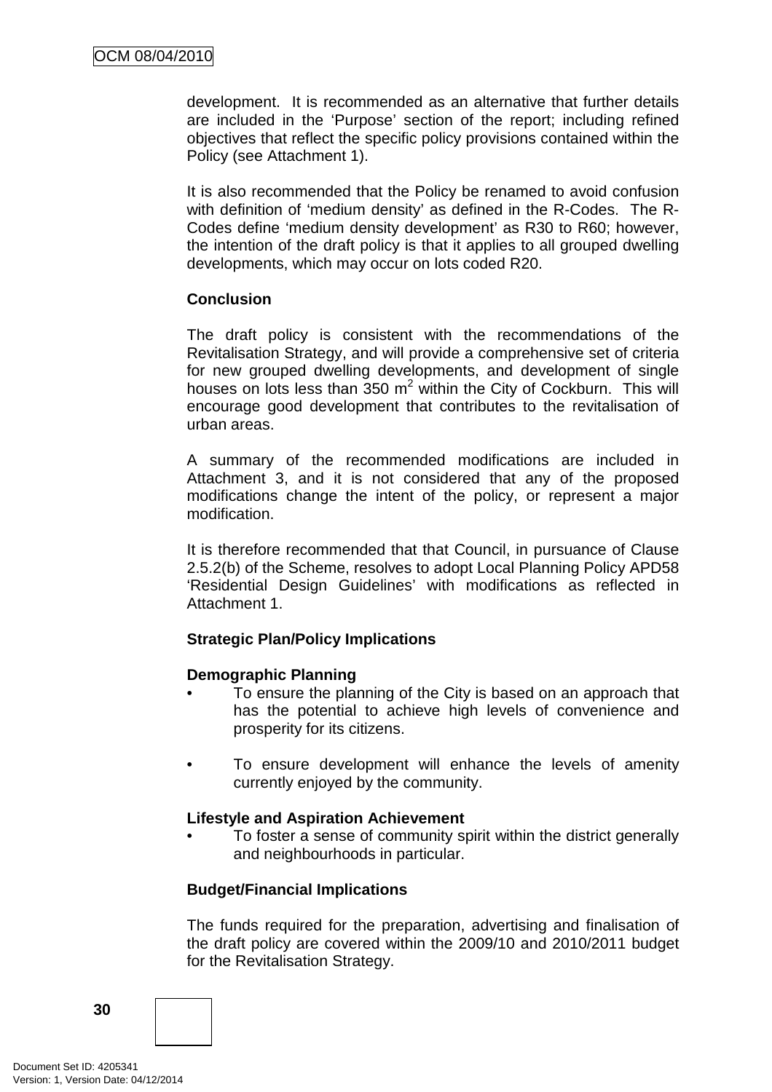development. It is recommended as an alternative that further details are included in the 'Purpose' section of the report; including refined objectives that reflect the specific policy provisions contained within the Policy (see Attachment 1).

It is also recommended that the Policy be renamed to avoid confusion with definition of 'medium density' as defined in the R-Codes. The R-Codes define 'medium density development' as R30 to R60; however, the intention of the draft policy is that it applies to all grouped dwelling developments, which may occur on lots coded R20.

#### **Conclusion**

The draft policy is consistent with the recommendations of the Revitalisation Strategy, and will provide a comprehensive set of criteria for new grouped dwelling developments, and development of single houses on lots less than  $350 \text{ m}^2$  within the City of Cockburn. This will encourage good development that contributes to the revitalisation of urban areas.

A summary of the recommended modifications are included in Attachment 3, and it is not considered that any of the proposed modifications change the intent of the policy, or represent a major modification.

It is therefore recommended that that Council, in pursuance of Clause 2.5.2(b) of the Scheme, resolves to adopt Local Planning Policy APD58 'Residential Design Guidelines' with modifications as reflected in Attachment 1.

#### **Strategic Plan/Policy Implications**

#### **Demographic Planning**

- To ensure the planning of the City is based on an approach that has the potential to achieve high levels of convenience and prosperity for its citizens.
- To ensure development will enhance the levels of amenity currently enjoyed by the community.

#### **Lifestyle and Aspiration Achievement**

To foster a sense of community spirit within the district generally and neighbourhoods in particular.

#### **Budget/Financial Implications**

The funds required for the preparation, advertising and finalisation of the draft policy are covered within the 2009/10 and 2010/2011 budget for the Revitalisation Strategy.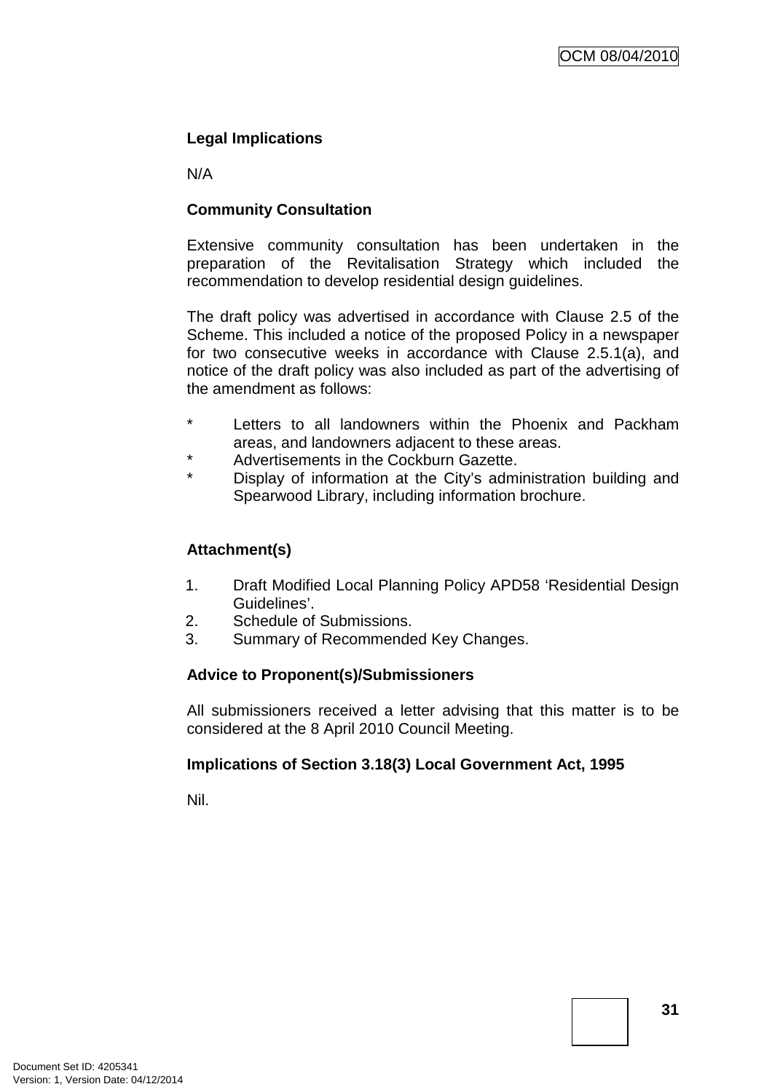## **Legal Implications**

N/A

## **Community Consultation**

Extensive community consultation has been undertaken in the preparation of the Revitalisation Strategy which included the recommendation to develop residential design guidelines.

The draft policy was advertised in accordance with Clause 2.5 of the Scheme. This included a notice of the proposed Policy in a newspaper for two consecutive weeks in accordance with Clause 2.5.1(a), and notice of the draft policy was also included as part of the advertising of the amendment as follows:

- Letters to all landowners within the Phoenix and Packham areas, and landowners adjacent to these areas.
- \* Advertisements in the Cockburn Gazette.
- Display of information at the City's administration building and Spearwood Library, including information brochure.

#### **Attachment(s)**

- 1. Draft Modified Local Planning Policy APD58 'Residential Design Guidelines'.
- 2. Schedule of Submissions.
- 3. Summary of Recommended Key Changes.

#### **Advice to Proponent(s)/Submissioners**

All submissioners received a letter advising that this matter is to be considered at the 8 April 2010 Council Meeting.

#### **Implications of Section 3.18(3) Local Government Act, 1995**

Nil.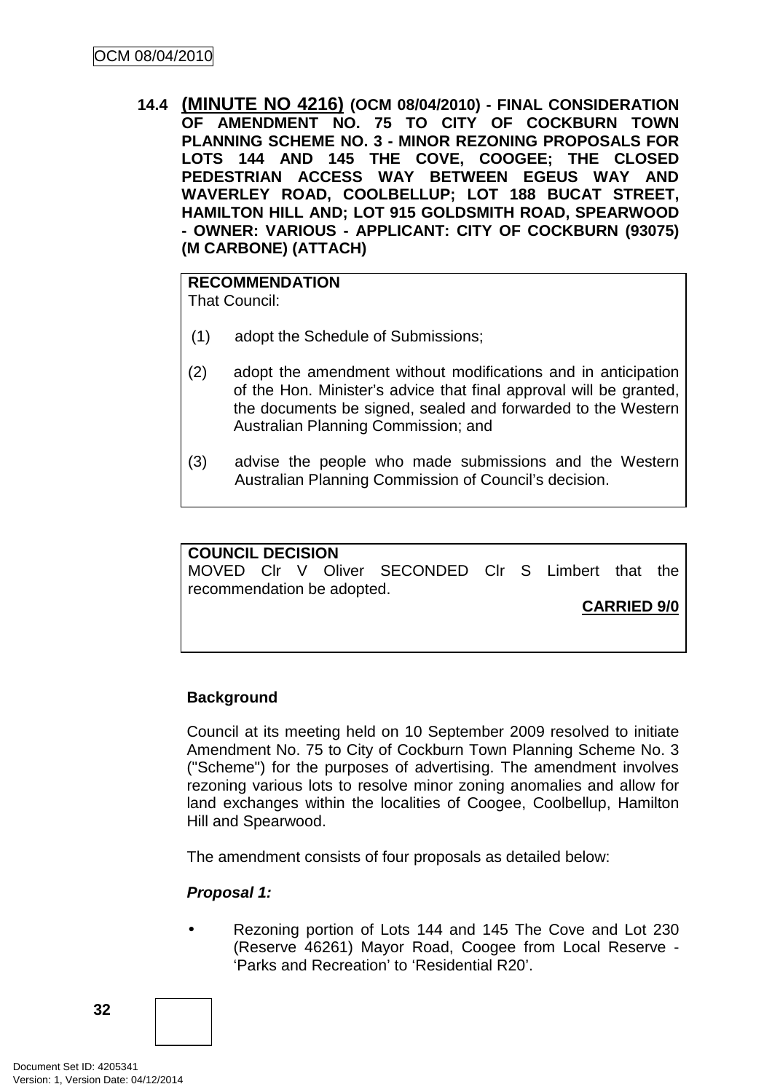**14.4 (MINUTE NO 4216) (OCM 08/04/2010) - FINAL CONSIDERATION OF AMENDMENT NO. 75 TO CITY OF COCKBURN TOWN PLANNING SCHEME NO. 3 - MINOR REZONING PROPOSALS FOR LOTS 144 AND 145 THE COVE, COOGEE; THE CLOSED PEDESTRIAN ACCESS WAY BETWEEN EGEUS WAY AND WAVERLEY ROAD, COOLBELLUP; LOT 188 BUCAT STREET, HAMILTON HILL AND; LOT 915 GOLDSMITH ROAD, SPEARWOOD - OWNER: VARIOUS - APPLICANT: CITY OF COCKBURN (93075) (M CARBONE) (ATTACH)** 

## **RECOMMENDATION**

That Council:

- (1) adopt the Schedule of Submissions;
- (2) adopt the amendment without modifications and in anticipation of the Hon. Minister's advice that final approval will be granted, the documents be signed, sealed and forwarded to the Western Australian Planning Commission; and
- (3) advise the people who made submissions and the Western Australian Planning Commission of Council's decision.

# **COUNCIL DECISION**

MOVED Clr V Oliver SECONDED Clr S Limbert that the recommendation be adopted.

**CARRIED 9/0**

# **Background**

Council at its meeting held on 10 September 2009 resolved to initiate Amendment No. 75 to City of Cockburn Town Planning Scheme No. 3 ("Scheme") for the purposes of advertising. The amendment involves rezoning various lots to resolve minor zoning anomalies and allow for land exchanges within the localities of Coogee, Coolbellup, Hamilton Hill and Spearwood.

The amendment consists of four proposals as detailed below:

# **Proposal 1:**

• Rezoning portion of Lots 144 and 145 The Cove and Lot 230 (Reserve 46261) Mayor Road, Coogee from Local Reserve - 'Parks and Recreation' to 'Residential R20'.

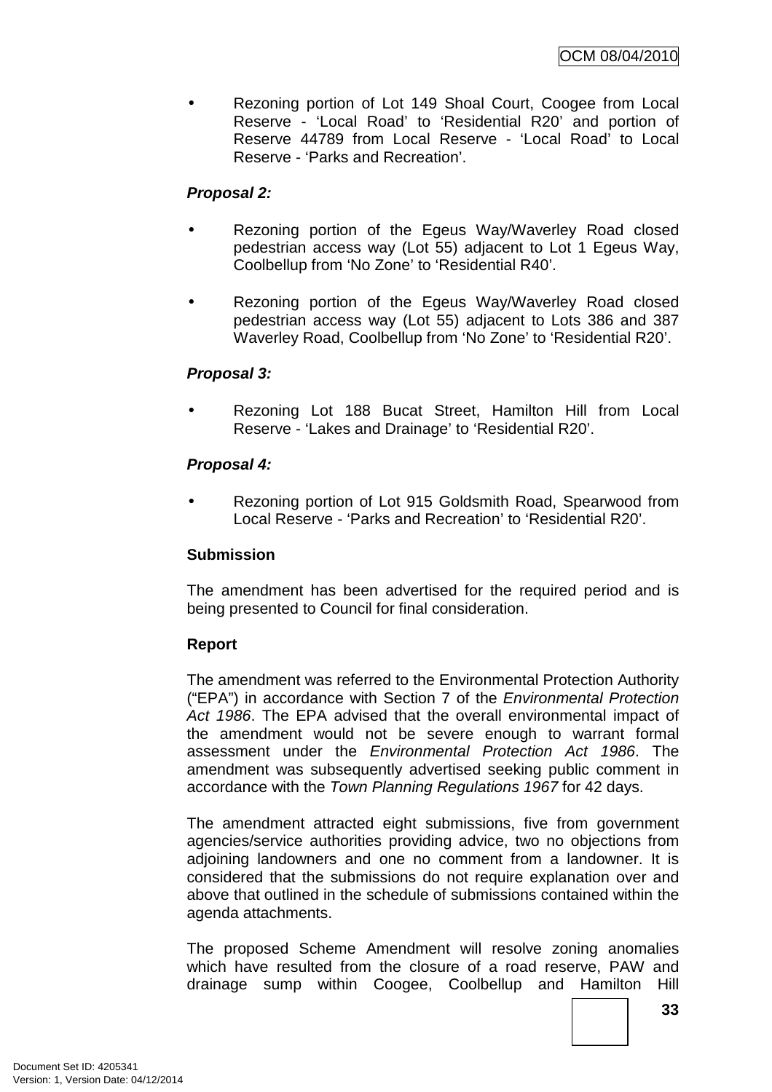• Rezoning portion of Lot 149 Shoal Court, Coogee from Local Reserve - 'Local Road' to 'Residential R20' and portion of Reserve 44789 from Local Reserve - 'Local Road' to Local Reserve - 'Parks and Recreation'.

# **Proposal 2:**

- Rezoning portion of the Egeus Way/Waverley Road closed pedestrian access way (Lot 55) adjacent to Lot 1 Egeus Way, Coolbellup from 'No Zone' to 'Residential R40'.
- Rezoning portion of the Egeus Way/Waverley Road closed pedestrian access way (Lot 55) adjacent to Lots 386 and 387 Waverley Road, Coolbellup from 'No Zone' to 'Residential R20'.

# **Proposal 3:**

• Rezoning Lot 188 Bucat Street, Hamilton Hill from Local Reserve - 'Lakes and Drainage' to 'Residential R20'.

# **Proposal 4:**

• Rezoning portion of Lot 915 Goldsmith Road, Spearwood from Local Reserve - 'Parks and Recreation' to 'Residential R20'.

# **Submission**

The amendment has been advertised for the required period and is being presented to Council for final consideration.

# **Report**

The amendment was referred to the Environmental Protection Authority ("EPA") in accordance with Section 7 of the Environmental Protection Act 1986. The EPA advised that the overall environmental impact of the amendment would not be severe enough to warrant formal assessment under the Environmental Protection Act 1986. The amendment was subsequently advertised seeking public comment in accordance with the Town Planning Regulations 1967 for 42 days.

The amendment attracted eight submissions, five from government agencies/service authorities providing advice, two no objections from adjoining landowners and one no comment from a landowner. It is considered that the submissions do not require explanation over and above that outlined in the schedule of submissions contained within the agenda attachments.

The proposed Scheme Amendment will resolve zoning anomalies which have resulted from the closure of a road reserve, PAW and drainage sump within Coogee, Coolbellup and Hamilton Hill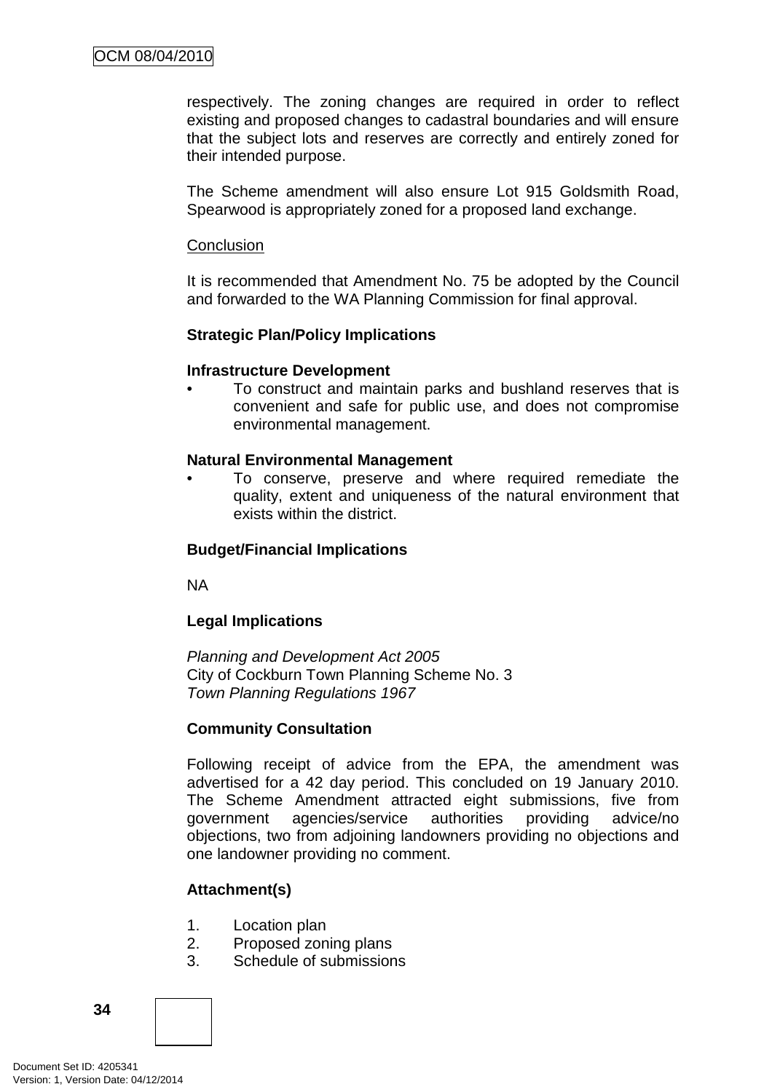respectively. The zoning changes are required in order to reflect existing and proposed changes to cadastral boundaries and will ensure that the subject lots and reserves are correctly and entirely zoned for their intended purpose.

The Scheme amendment will also ensure Lot 915 Goldsmith Road, Spearwood is appropriately zoned for a proposed land exchange.

#### **Conclusion**

It is recommended that Amendment No. 75 be adopted by the Council and forwarded to the WA Planning Commission for final approval.

# **Strategic Plan/Policy Implications**

# **Infrastructure Development**

• To construct and maintain parks and bushland reserves that is convenient and safe for public use, and does not compromise environmental management.

# **Natural Environmental Management**

• To conserve, preserve and where required remediate the quality, extent and uniqueness of the natural environment that exists within the district.

# **Budget/Financial Implications**

NA

# **Legal Implications**

Planning and Development Act 2005 City of Cockburn Town Planning Scheme No. 3 Town Planning Regulations 1967

# **Community Consultation**

Following receipt of advice from the EPA, the amendment was advertised for a 42 day period. This concluded on 19 January 2010. The Scheme Amendment attracted eight submissions, five from government agencies/service authorities providing advice/no objections, two from adjoining landowners providing no objections and one landowner providing no comment.

# **Attachment(s)**

- 1. Location plan
- 2. Proposed zoning plans
- 3. Schedule of submissions

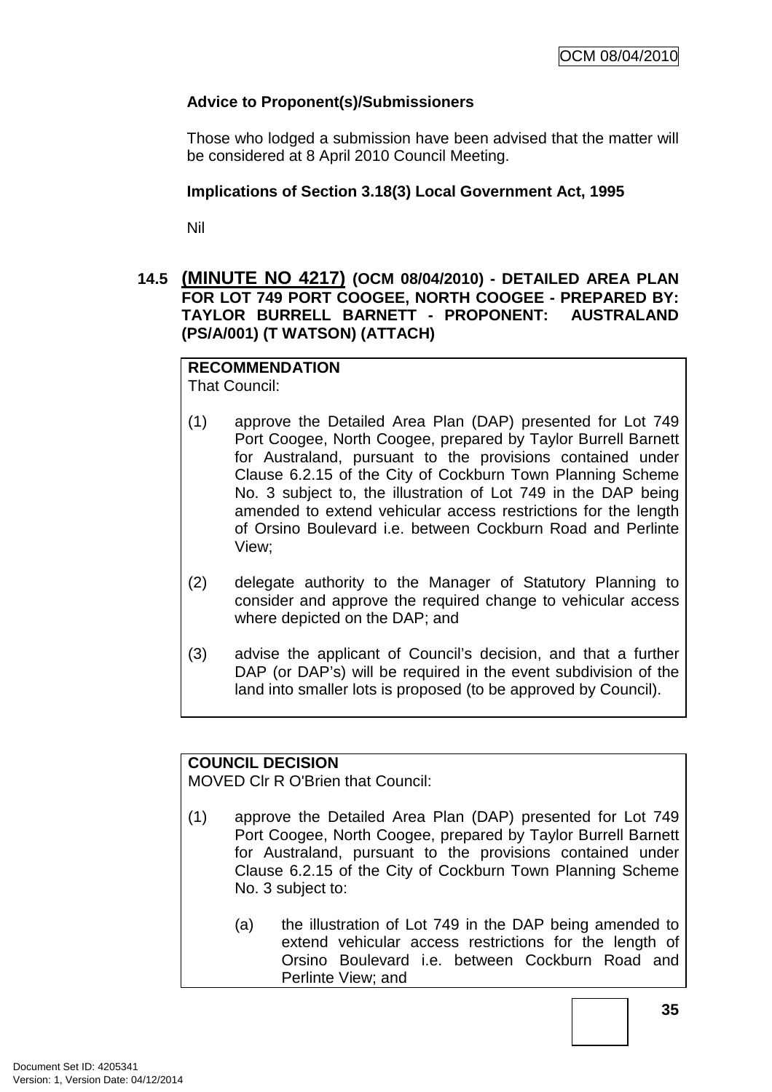# **Advice to Proponent(s)/Submissioners**

Those who lodged a submission have been advised that the matter will be considered at 8 April 2010 Council Meeting.

# **Implications of Section 3.18(3) Local Government Act, 1995**

Nil

# **14.5 (MINUTE NO 4217) (OCM 08/04/2010) - DETAILED AREA PLAN FOR LOT 749 PORT COOGEE, NORTH COOGEE - PREPARED BY: TAYLOR BURRELL BARNETT - PROPONENT: AUSTRALAND (PS/A/001) (T WATSON) (ATTACH)**

# **RECOMMENDATION**

That Council:

- (1) approve the Detailed Area Plan (DAP) presented for Lot 749 Port Coogee, North Coogee, prepared by Taylor Burrell Barnett for Australand, pursuant to the provisions contained under Clause 6.2.15 of the City of Cockburn Town Planning Scheme No. 3 subject to, the illustration of Lot 749 in the DAP being amended to extend vehicular access restrictions for the length of Orsino Boulevard i.e. between Cockburn Road and Perlinte View;
- (2) delegate authority to the Manager of Statutory Planning to consider and approve the required change to vehicular access where depicted on the DAP; and
- (3) advise the applicant of Council's decision, and that a further DAP (or DAP's) will be required in the event subdivision of the land into smaller lots is proposed (to be approved by Council).

# **COUNCIL DECISION**

MOVED Clr R O'Brien that Council:

- (1) approve the Detailed Area Plan (DAP) presented for Lot 749 Port Coogee, North Coogee, prepared by Taylor Burrell Barnett for Australand, pursuant to the provisions contained under Clause 6.2.15 of the City of Cockburn Town Planning Scheme No. 3 subject to:
	- (a) the illustration of Lot 749 in the DAP being amended to extend vehicular access restrictions for the length of Orsino Boulevard i.e. between Cockburn Road and Perlinte View; and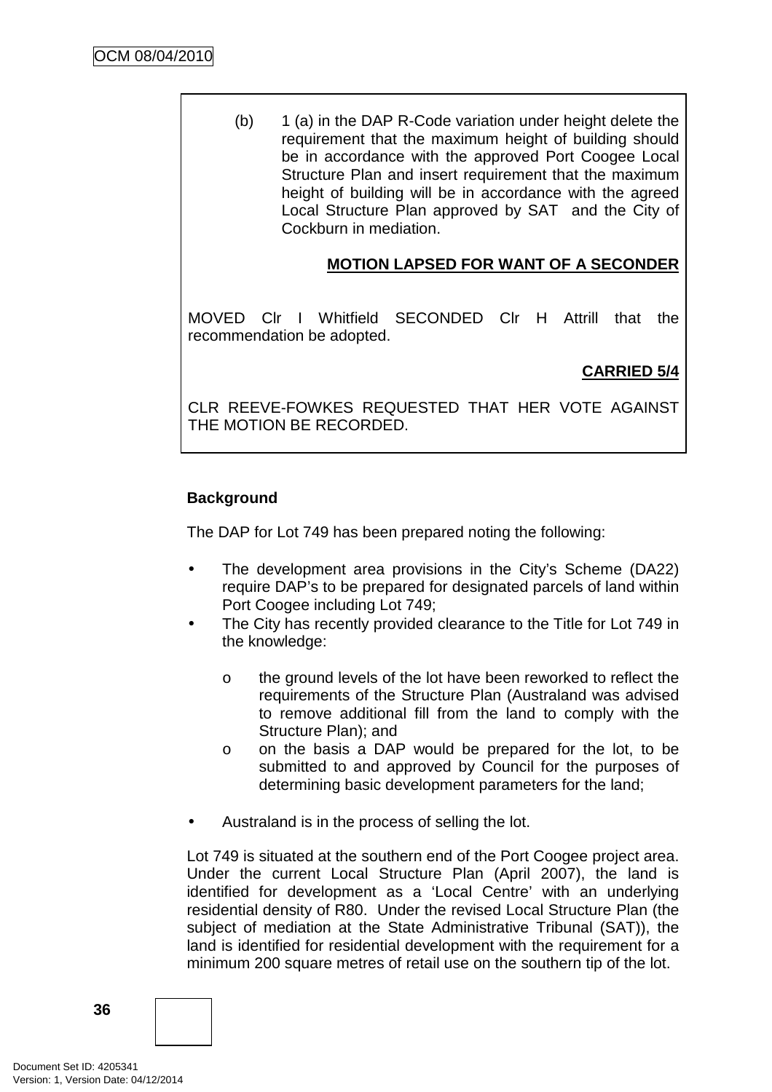(b) 1 (a) in the DAP R-Code variation under height delete the requirement that the maximum height of building should be in accordance with the approved Port Coogee Local Structure Plan and insert requirement that the maximum height of building will be in accordance with the agreed Local Structure Plan approved by SAT and the City of Cockburn in mediation.

# **MOTION LAPSED FOR WANT OF A SECONDER**

MOVED Clr I Whitfield SECONDED Clr H Attrill that the recommendation be adopted.

# **CARRIED 5/4**

CLR REEVE-FOWKES REQUESTED THAT HER VOTE AGAINST THE MOTION BE RECORDED.

# **Background**

The DAP for Lot 749 has been prepared noting the following:

- The development area provisions in the City's Scheme (DA22) require DAP's to be prepared for designated parcels of land within Port Coogee including Lot 749;
- The City has recently provided clearance to the Title for Lot 749 in the knowledge:
	- o the ground levels of the lot have been reworked to reflect the requirements of the Structure Plan (Australand was advised to remove additional fill from the land to comply with the Structure Plan); and
	- o on the basis a DAP would be prepared for the lot, to be submitted to and approved by Council for the purposes of determining basic development parameters for the land;
- Australand is in the process of selling the lot.

Lot 749 is situated at the southern end of the Port Coogee project area. Under the current Local Structure Plan (April 2007), the land is identified for development as a 'Local Centre' with an underlying residential density of R80. Under the revised Local Structure Plan (the subject of mediation at the State Administrative Tribunal (SAT)), the land is identified for residential development with the requirement for a minimum 200 square metres of retail use on the southern tip of the lot.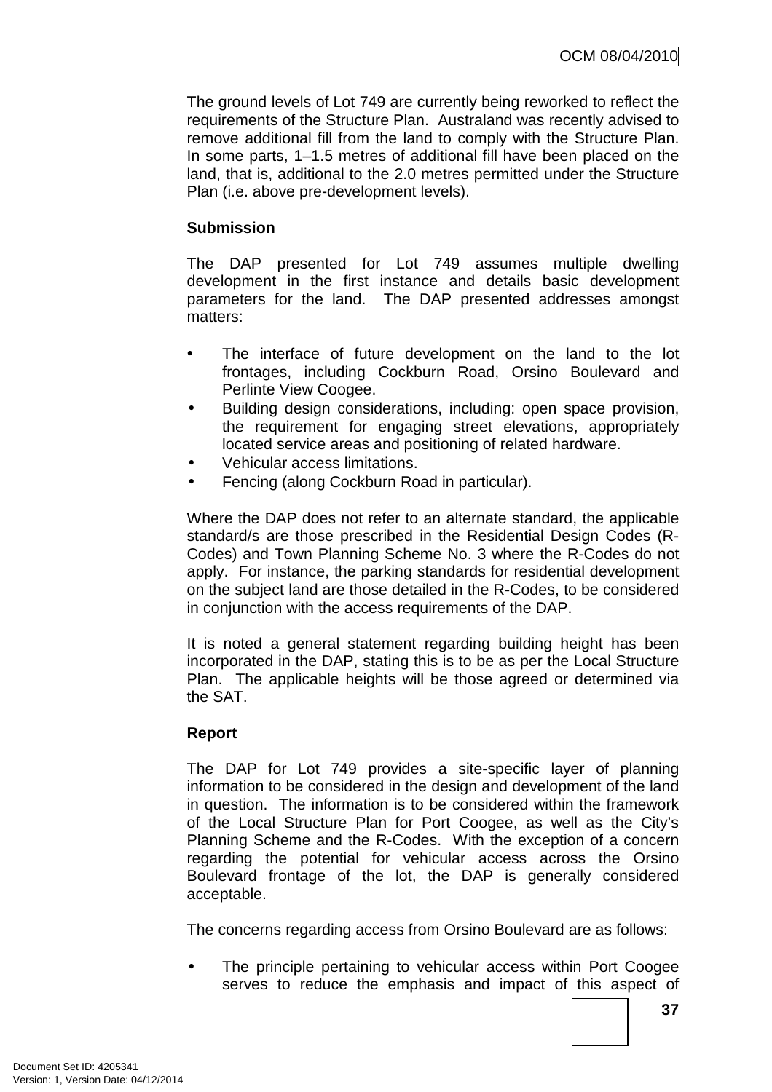The ground levels of Lot 749 are currently being reworked to reflect the requirements of the Structure Plan. Australand was recently advised to remove additional fill from the land to comply with the Structure Plan. In some parts, 1–1.5 metres of additional fill have been placed on the land, that is, additional to the 2.0 metres permitted under the Structure Plan (i.e. above pre-development levels).

# **Submission**

The DAP presented for Lot 749 assumes multiple dwelling development in the first instance and details basic development parameters for the land. The DAP presented addresses amongst matters:

- The interface of future development on the land to the lot frontages, including Cockburn Road, Orsino Boulevard and Perlinte View Coogee.
- Building design considerations, including: open space provision, the requirement for engaging street elevations, appropriately located service areas and positioning of related hardware.
- Vehicular access limitations.
- Fencing (along Cockburn Road in particular).

Where the DAP does not refer to an alternate standard, the applicable standard/s are those prescribed in the Residential Design Codes (R-Codes) and Town Planning Scheme No. 3 where the R-Codes do not apply. For instance, the parking standards for residential development on the subject land are those detailed in the R-Codes, to be considered in conjunction with the access requirements of the DAP.

It is noted a general statement regarding building height has been incorporated in the DAP, stating this is to be as per the Local Structure Plan. The applicable heights will be those agreed or determined via the SAT.

# **Report**

The DAP for Lot 749 provides a site-specific layer of planning information to be considered in the design and development of the land in question. The information is to be considered within the framework of the Local Structure Plan for Port Coogee, as well as the City's Planning Scheme and the R-Codes. With the exception of a concern regarding the potential for vehicular access across the Orsino Boulevard frontage of the lot, the DAP is generally considered acceptable.

The concerns regarding access from Orsino Boulevard are as follows:

• The principle pertaining to vehicular access within Port Coogee serves to reduce the emphasis and impact of this aspect of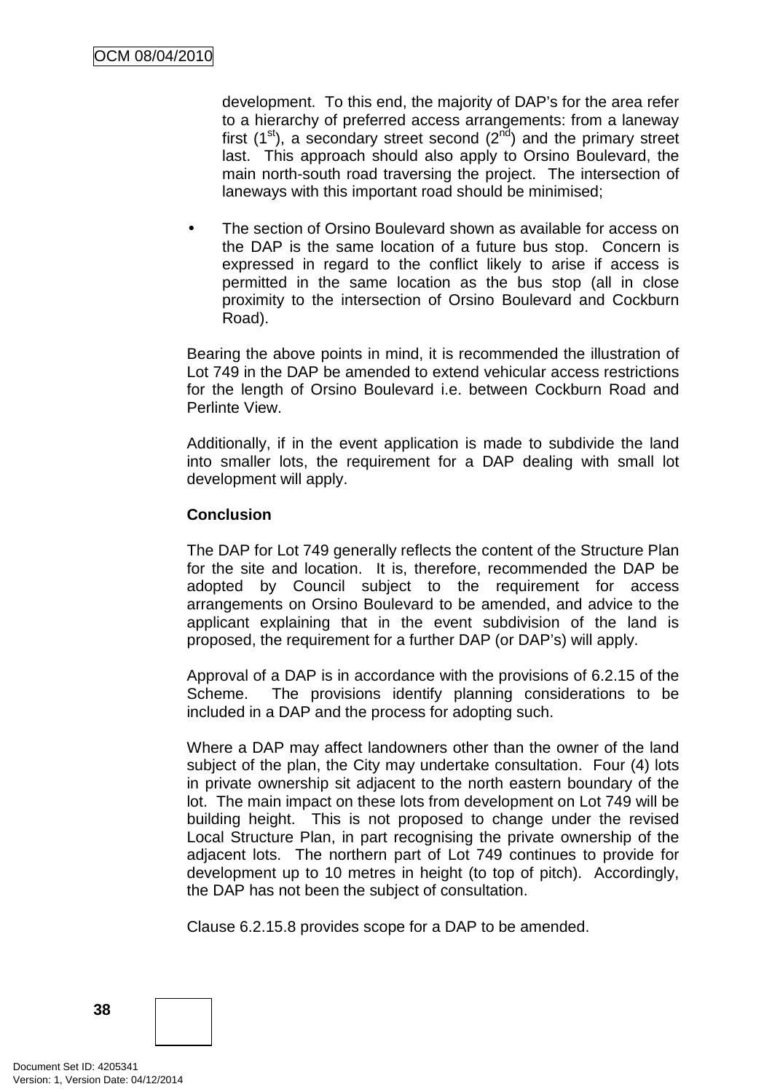development. To this end, the majority of DAP's for the area refer to a hierarchy of preferred access arrangements: from a laneway first  $(1<sup>st</sup>)$ , a secondary street second  $(2<sup>nd</sup>)$  and the primary street last. This approach should also apply to Orsino Boulevard, the main north-south road traversing the project. The intersection of laneways with this important road should be minimised;

The section of Orsino Boulevard shown as available for access on the DAP is the same location of a future bus stop. Concern is expressed in regard to the conflict likely to arise if access is permitted in the same location as the bus stop (all in close proximity to the intersection of Orsino Boulevard and Cockburn Road).

Bearing the above points in mind, it is recommended the illustration of Lot 749 in the DAP be amended to extend vehicular access restrictions for the length of Orsino Boulevard i.e. between Cockburn Road and Perlinte View.

Additionally, if in the event application is made to subdivide the land into smaller lots, the requirement for a DAP dealing with small lot development will apply.

# **Conclusion**

The DAP for Lot 749 generally reflects the content of the Structure Plan for the site and location. It is, therefore, recommended the DAP be adopted by Council subject to the requirement for access arrangements on Orsino Boulevard to be amended, and advice to the applicant explaining that in the event subdivision of the land is proposed, the requirement for a further DAP (or DAP's) will apply.

Approval of a DAP is in accordance with the provisions of 6.2.15 of the Scheme. The provisions identify planning considerations to be included in a DAP and the process for adopting such.

Where a DAP may affect landowners other than the owner of the land subject of the plan, the City may undertake consultation. Four (4) lots in private ownership sit adjacent to the north eastern boundary of the lot. The main impact on these lots from development on Lot 749 will be building height. This is not proposed to change under the revised Local Structure Plan, in part recognising the private ownership of the adjacent lots. The northern part of Lot 749 continues to provide for development up to 10 metres in height (to top of pitch). Accordingly, the DAP has not been the subject of consultation.

Clause 6.2.15.8 provides scope for a DAP to be amended.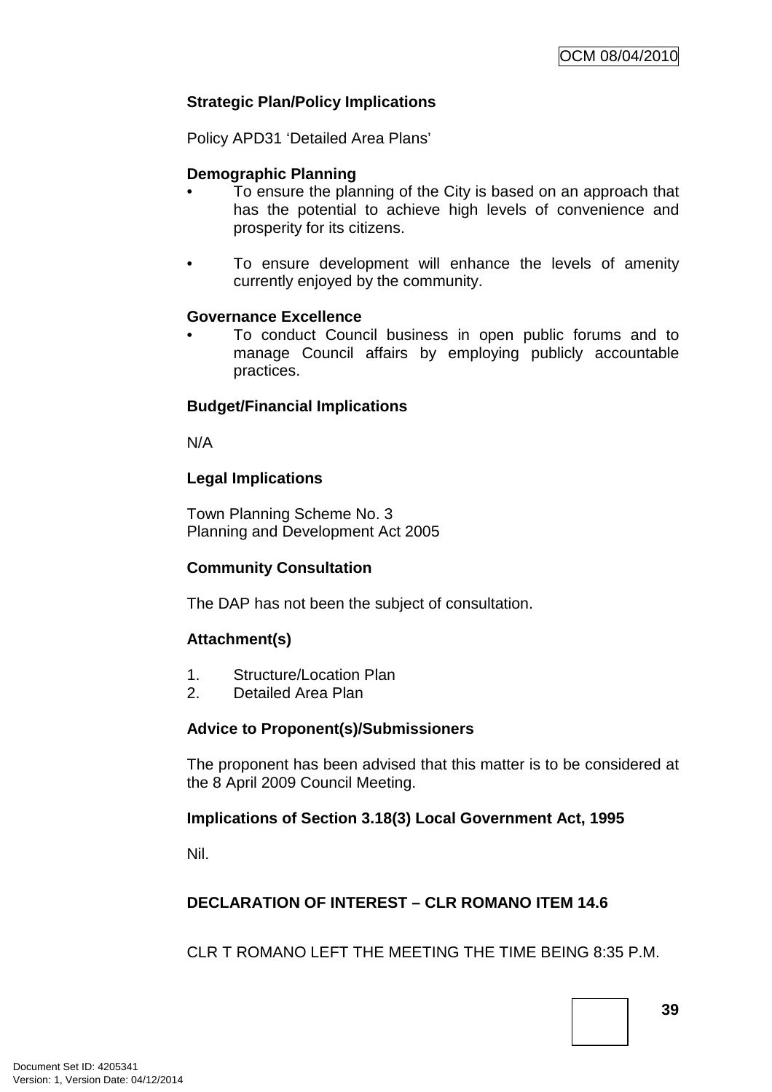# **Strategic Plan/Policy Implications**

Policy APD31 'Detailed Area Plans'

# **Demographic Planning**

- To ensure the planning of the City is based on an approach that has the potential to achieve high levels of convenience and prosperity for its citizens.
- To ensure development will enhance the levels of amenity currently enjoyed by the community.

#### **Governance Excellence**

• To conduct Council business in open public forums and to manage Council affairs by employing publicly accountable practices.

# **Budget/Financial Implications**

N/A

# **Legal Implications**

Town Planning Scheme No. 3 Planning and Development Act 2005

# **Community Consultation**

The DAP has not been the subject of consultation.

# **Attachment(s)**

- 1. Structure/Location Plan
- 2. Detailed Area Plan

# **Advice to Proponent(s)/Submissioners**

The proponent has been advised that this matter is to be considered at the 8 April 2009 Council Meeting.

# **Implications of Section 3.18(3) Local Government Act, 1995**

Nil.

# **DECLARATION OF INTEREST – CLR ROMANO ITEM 14.6**

CLR T ROMANO LEFT THE MEETING THE TIME BEING 8:35 P.M.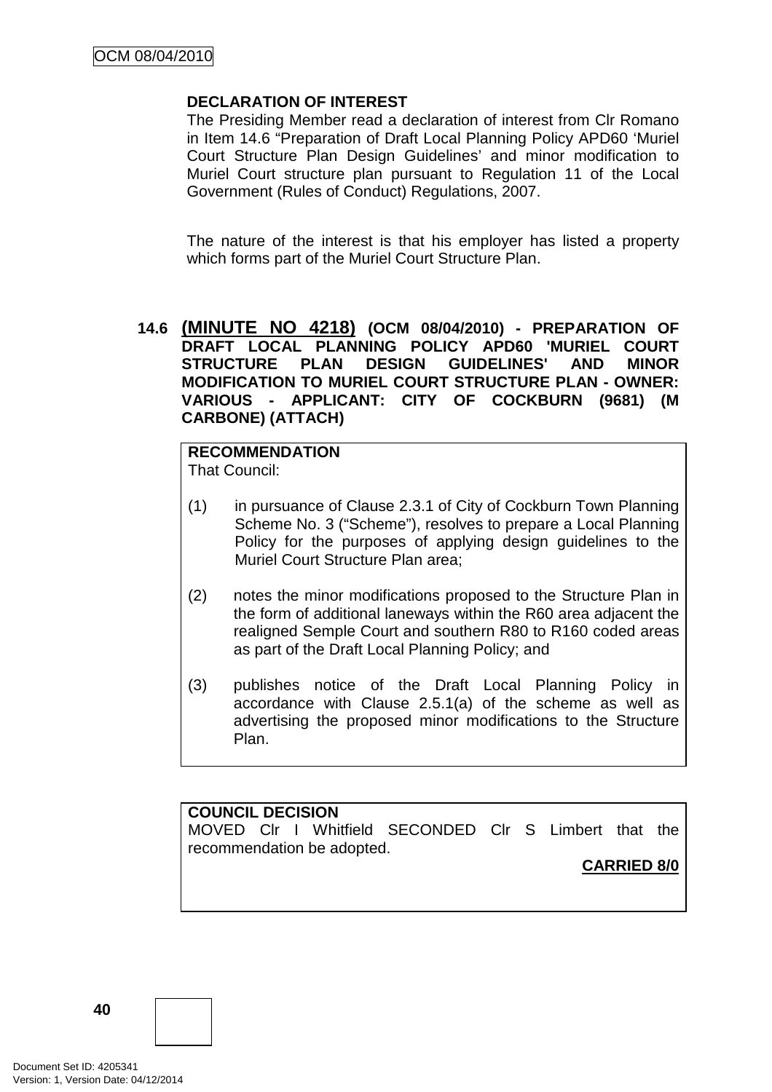# **DECLARATION OF INTEREST**

The Presiding Member read a declaration of interest from Clr Romano in Item 14.6 "Preparation of Draft Local Planning Policy APD60 'Muriel Court Structure Plan Design Guidelines' and minor modification to Muriel Court structure plan pursuant to Regulation 11 of the Local Government (Rules of Conduct) Regulations, 2007.

The nature of the interest is that his employer has listed a property which forms part of the Muriel Court Structure Plan.

# **14.6 (MINUTE NO 4218) (OCM 08/04/2010) - PREPARATION OF DRAFT LOCAL PLANNING POLICY APD60 'MURIEL COURT STRUCTURE PLAN DESIGN GUIDELINES' AND MINOR MODIFICATION TO MURIEL COURT STRUCTURE PLAN - OWNER: VARIOUS - APPLICANT: CITY OF COCKBURN (9681) (M CARBONE) (ATTACH)**

**RECOMMENDATION** That Council:

- (1) in pursuance of Clause 2.3.1 of City of Cockburn Town Planning Scheme No. 3 ("Scheme"), resolves to prepare a Local Planning Policy for the purposes of applying design guidelines to the Muriel Court Structure Plan area;
- (2) notes the minor modifications proposed to the Structure Plan in the form of additional laneways within the R60 area adjacent the realigned Semple Court and southern R80 to R160 coded areas as part of the Draft Local Planning Policy; and
- (3) publishes notice of the Draft Local Planning Policy in accordance with Clause 2.5.1(a) of the scheme as well as advertising the proposed minor modifications to the Structure Plan.

# **COUNCIL DECISION**

MOVED Clr I Whitfield SECONDED Clr S Limbert that the recommendation be adopted.

# **CARRIED 8/0**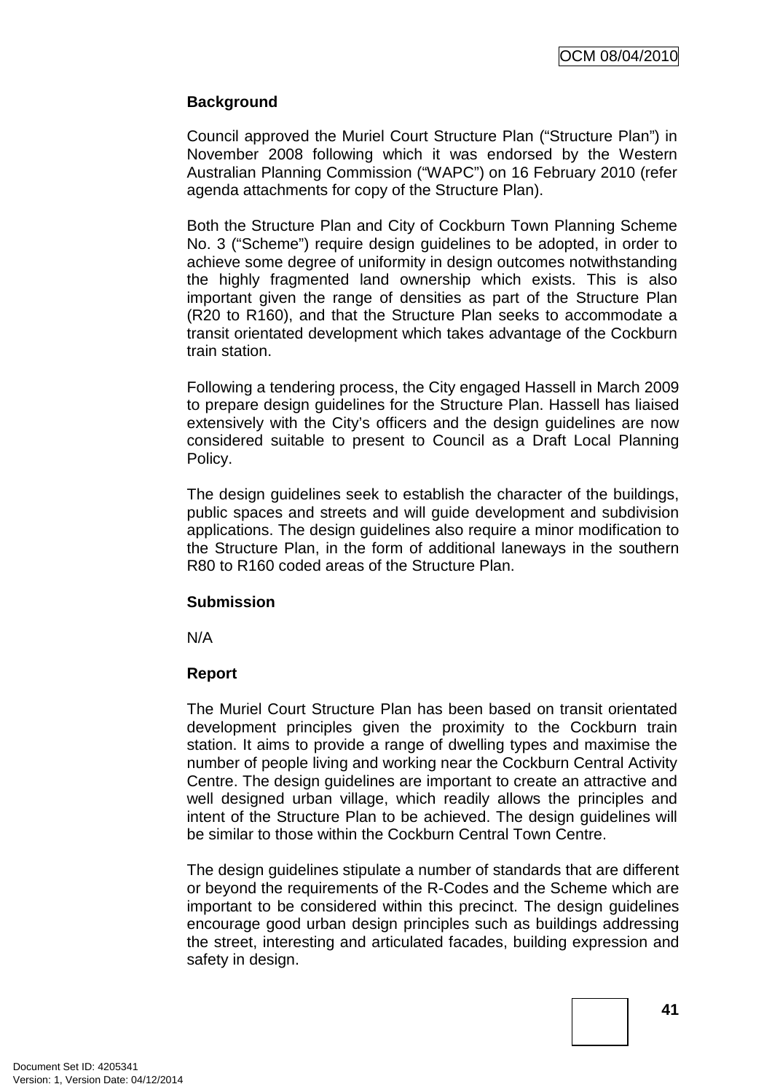# **Background**

Council approved the Muriel Court Structure Plan ("Structure Plan") in November 2008 following which it was endorsed by the Western Australian Planning Commission ("WAPC") on 16 February 2010 (refer agenda attachments for copy of the Structure Plan).

Both the Structure Plan and City of Cockburn Town Planning Scheme No. 3 ("Scheme") require design guidelines to be adopted, in order to achieve some degree of uniformity in design outcomes notwithstanding the highly fragmented land ownership which exists. This is also important given the range of densities as part of the Structure Plan (R20 to R160), and that the Structure Plan seeks to accommodate a transit orientated development which takes advantage of the Cockburn train station.

Following a tendering process, the City engaged Hassell in March 2009 to prepare design guidelines for the Structure Plan. Hassell has liaised extensively with the City's officers and the design guidelines are now considered suitable to present to Council as a Draft Local Planning Policy.

The design guidelines seek to establish the character of the buildings, public spaces and streets and will guide development and subdivision applications. The design guidelines also require a minor modification to the Structure Plan, in the form of additional laneways in the southern R80 to R160 coded areas of the Structure Plan.

# **Submission**

N/A

# **Report**

The Muriel Court Structure Plan has been based on transit orientated development principles given the proximity to the Cockburn train station. It aims to provide a range of dwelling types and maximise the number of people living and working near the Cockburn Central Activity Centre. The design guidelines are important to create an attractive and well designed urban village, which readily allows the principles and intent of the Structure Plan to be achieved. The design guidelines will be similar to those within the Cockburn Central Town Centre.

The design guidelines stipulate a number of standards that are different or beyond the requirements of the R-Codes and the Scheme which are important to be considered within this precinct. The design guidelines encourage good urban design principles such as buildings addressing the street, interesting and articulated facades, building expression and safety in design.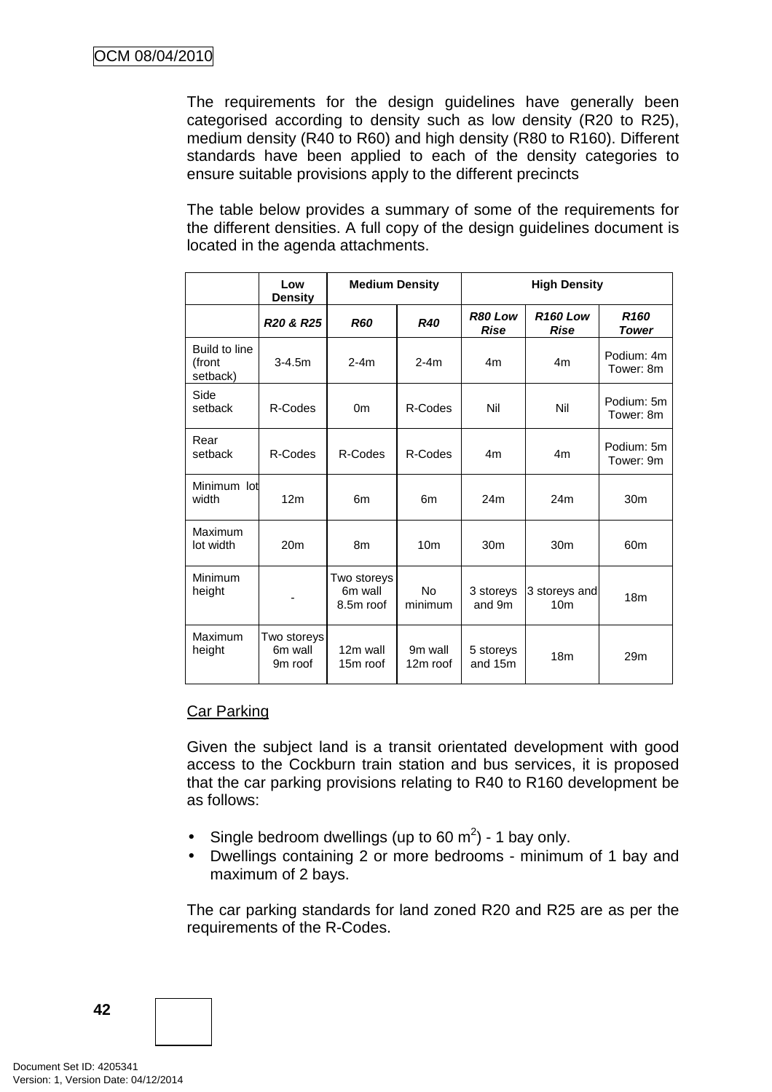The requirements for the design guidelines have generally been categorised according to density such as low density (R20 to R25), medium density (R40 to R60) and high density (R80 to R160). Different standards have been applied to each of the density categories to ensure suitable provisions apply to the different precincts

The table below provides a summary of some of the requirements for the different densities. A full copy of the design guidelines document is located in the agenda attachments.

|                                     | Low<br><b>Density</b>             | <b>Medium Density</b>               |                      | <b>High Density</b>    |                                  |                                  |
|-------------------------------------|-----------------------------------|-------------------------------------|----------------------|------------------------|----------------------------------|----------------------------------|
|                                     | R <sub>20</sub> & R <sub>25</sub> | <b>R60</b>                          | <b>R40</b>           | R80 Low<br><b>Rise</b> | <b>R160 Low</b><br><b>Rise</b>   | R <sub>160</sub><br><b>Tower</b> |
| Build to line<br>(front<br>setback) | $3 - 4.5m$                        | $2-4m$                              | $2-4m$               | 4m                     | 4m                               | Podium: 4m<br>Tower: 8m          |
| Side<br>setback                     | R-Codes                           | 0 <sub>m</sub>                      | R-Codes              | Nil                    | Nil                              | Podium: 5m<br>Tower: 8m          |
| Rear<br>setback                     | R-Codes                           | R-Codes                             | R-Codes              | 4 <sub>m</sub>         | 4m                               | Podium: 5m<br>Tower: 9m          |
| Minimum lot<br>width                | 12 <sub>m</sub>                   | 6m                                  | 6m                   | 24m                    | 24m                              | 30m                              |
| Maximum<br>lot width                | 20 <sub>m</sub>                   | 8m                                  | 10 <sub>m</sub>      | 30 <sub>m</sub>        | 30 <sub>m</sub>                  | 60 <sub>m</sub>                  |
| Minimum<br>height                   | ۰                                 | Two storeys<br>6m wall<br>8.5m roof | <b>No</b><br>minimum | 3 storeys<br>and 9m    | 3 storeys and<br>10 <sub>m</sub> | 18 <sub>m</sub>                  |
| Maximum<br>height                   | Two storeys<br>6m wall<br>9m roof | 12m wall<br>15m roof                | 9m wall<br>12m roof  | 5 storeys<br>and 15m   | 18 <sub>m</sub>                  | 29 <sub>m</sub>                  |

# Car Parking

Given the subject land is a transit orientated development with good access to the Cockburn train station and bus services, it is proposed that the car parking provisions relating to R40 to R160 development be as follows:

- Single bedroom dwellings (up to 60 m<sup>2</sup>) 1 bay only.
- Dwellings containing 2 or more bedrooms minimum of 1 bay and maximum of 2 bays.

The car parking standards for land zoned R20 and R25 are as per the requirements of the R-Codes.

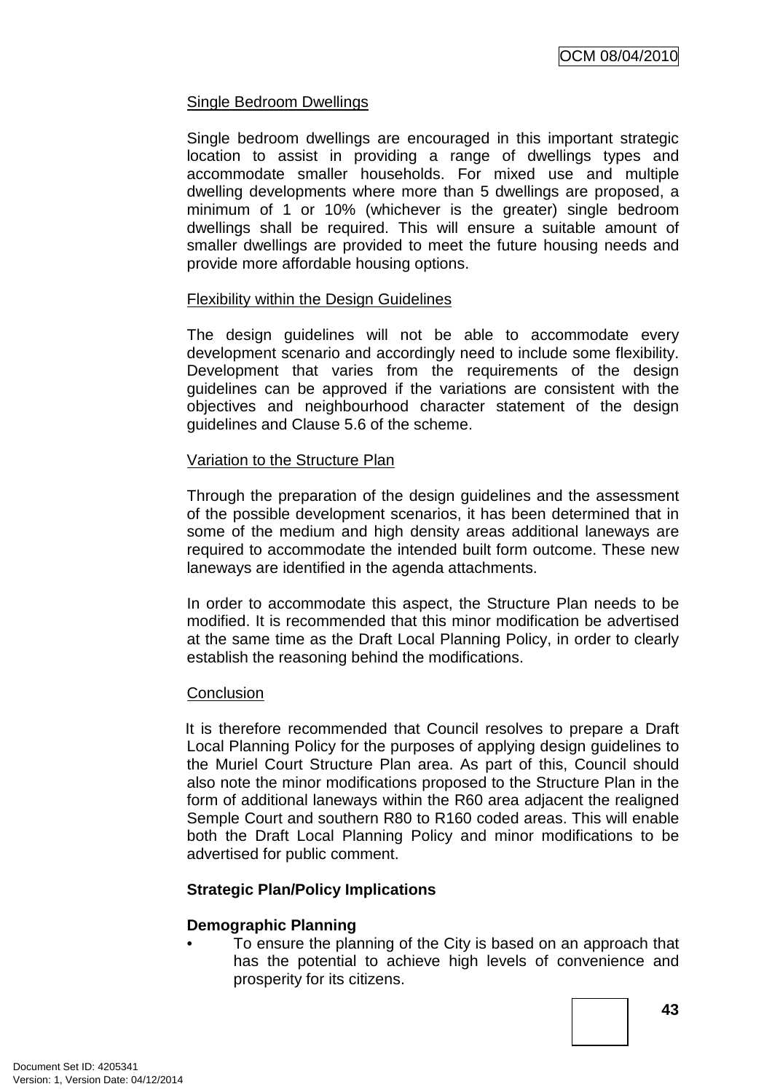# Single Bedroom Dwellings

Single bedroom dwellings are encouraged in this important strategic location to assist in providing a range of dwellings types and accommodate smaller households. For mixed use and multiple dwelling developments where more than 5 dwellings are proposed, a minimum of 1 or 10% (whichever is the greater) single bedroom dwellings shall be required. This will ensure a suitable amount of smaller dwellings are provided to meet the future housing needs and provide more affordable housing options.

# Flexibility within the Design Guidelines

The design guidelines will not be able to accommodate every development scenario and accordingly need to include some flexibility. Development that varies from the requirements of the design guidelines can be approved if the variations are consistent with the objectives and neighbourhood character statement of the design guidelines and Clause 5.6 of the scheme.

# Variation to the Structure Plan

Through the preparation of the design guidelines and the assessment of the possible development scenarios, it has been determined that in some of the medium and high density areas additional laneways are required to accommodate the intended built form outcome. These new laneways are identified in the agenda attachments.

In order to accommodate this aspect, the Structure Plan needs to be modified. It is recommended that this minor modification be advertised at the same time as the Draft Local Planning Policy, in order to clearly establish the reasoning behind the modifications.

# **Conclusion**

It is therefore recommended that Council resolves to prepare a Draft Local Planning Policy for the purposes of applying design guidelines to the Muriel Court Structure Plan area. As part of this, Council should also note the minor modifications proposed to the Structure Plan in the form of additional laneways within the R60 area adjacent the realigned Semple Court and southern R80 to R160 coded areas. This will enable both the Draft Local Planning Policy and minor modifications to be advertised for public comment.

# **Strategic Plan/Policy Implications**

# **Demographic Planning**

• To ensure the planning of the City is based on an approach that has the potential to achieve high levels of convenience and prosperity for its citizens.

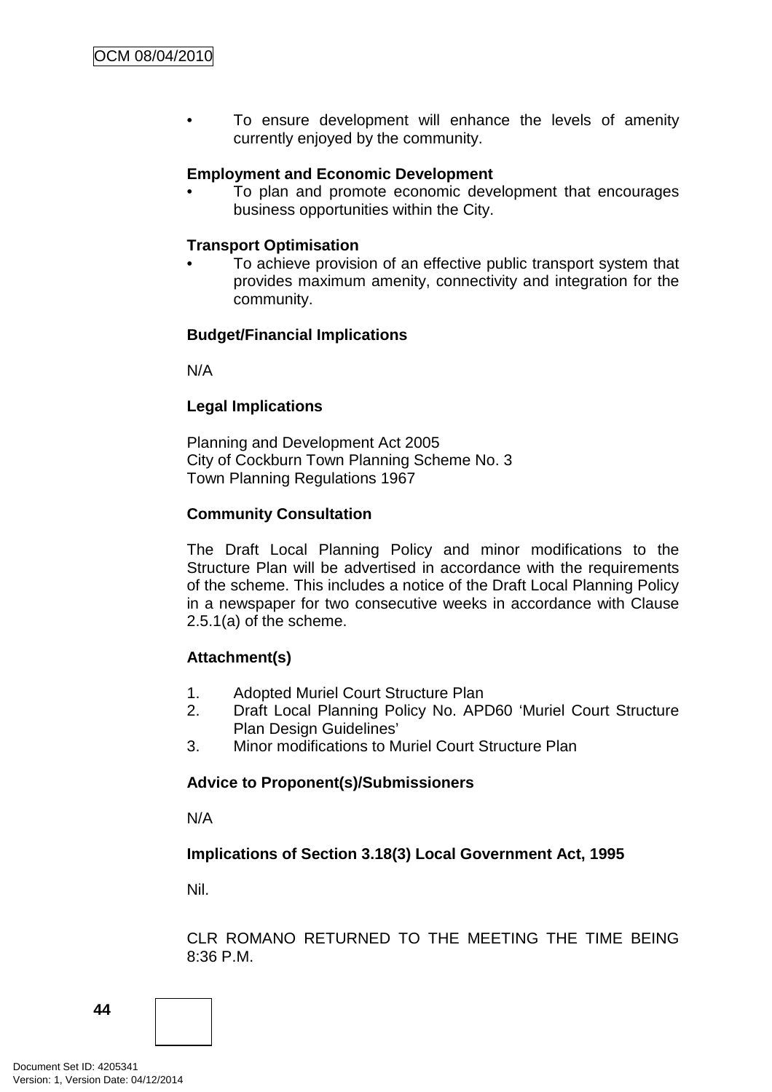To ensure development will enhance the levels of amenity currently enjoyed by the community.

# **Employment and Economic Development**

• To plan and promote economic development that encourages business opportunities within the City.

#### **Transport Optimisation**

• To achieve provision of an effective public transport system that provides maximum amenity, connectivity and integration for the community.

# **Budget/Financial Implications**

N/A

# **Legal Implications**

Planning and Development Act 2005 City of Cockburn Town Planning Scheme No. 3 Town Planning Regulations 1967

#### **Community Consultation**

The Draft Local Planning Policy and minor modifications to the Structure Plan will be advertised in accordance with the requirements of the scheme. This includes a notice of the Draft Local Planning Policy in a newspaper for two consecutive weeks in accordance with Clause 2.5.1(a) of the scheme.

# **Attachment(s)**

- 1. Adopted Muriel Court Structure Plan
- 2. Draft Local Planning Policy No. APD60 'Muriel Court Structure Plan Design Guidelines'
- 3. Minor modifications to Muriel Court Structure Plan

# **Advice to Proponent(s)/Submissioners**

N/A

# **Implications of Section 3.18(3) Local Government Act, 1995**

Nil.

CLR ROMANO RETURNED TO THE MEETING THE TIME BEING 8:36 P.M.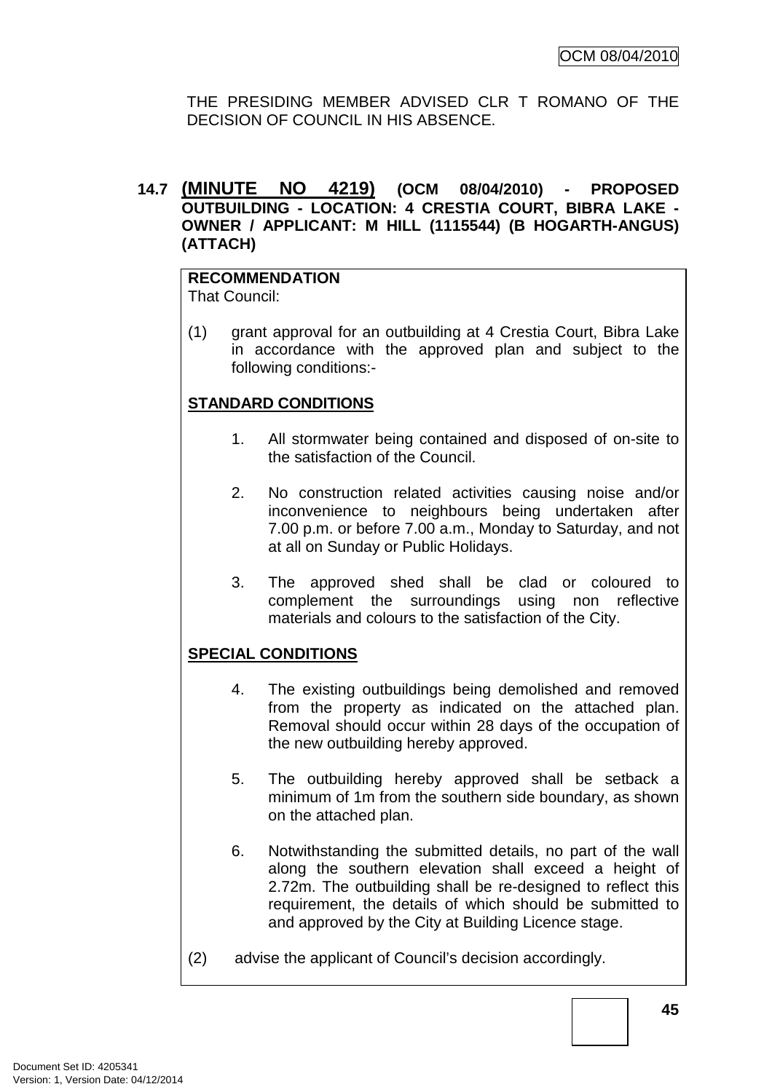THE PRESIDING MEMBER ADVISED CLR T ROMANO OF THE DECISION OF COUNCIL IN HIS ABSENCE.

# **14.7 (MINUTE NO 4219) (OCM 08/04/2010) - PROPOSED OUTBUILDING - LOCATION: 4 CRESTIA COURT, BIBRA LAKE - OWNER / APPLICANT: M HILL (1115544) (B HOGARTH-ANGUS) (ATTACH)**

# **RECOMMENDATION**

That Council:

(1) grant approval for an outbuilding at 4 Crestia Court, Bibra Lake in accordance with the approved plan and subject to the following conditions:-

# **STANDARD CONDITIONS**

- 1. All stormwater being contained and disposed of on-site to the satisfaction of the Council.
- 2. No construction related activities causing noise and/or inconvenience to neighbours being undertaken after 7.00 p.m. or before 7.00 a.m., Monday to Saturday, and not at all on Sunday or Public Holidays.
- 3. The approved shed shall be clad or coloured to complement the surroundings using non reflective materials and colours to the satisfaction of the City.

# **SPECIAL CONDITIONS**

- 4. The existing outbuildings being demolished and removed from the property as indicated on the attached plan. Removal should occur within 28 days of the occupation of the new outbuilding hereby approved.
- 5. The outbuilding hereby approved shall be setback a minimum of 1m from the southern side boundary, as shown on the attached plan.
- 6. Notwithstanding the submitted details, no part of the wall along the southern elevation shall exceed a height of 2.72m. The outbuilding shall be re-designed to reflect this requirement, the details of which should be submitted to and approved by the City at Building Licence stage.
- (2) advise the applicant of Council's decision accordingly.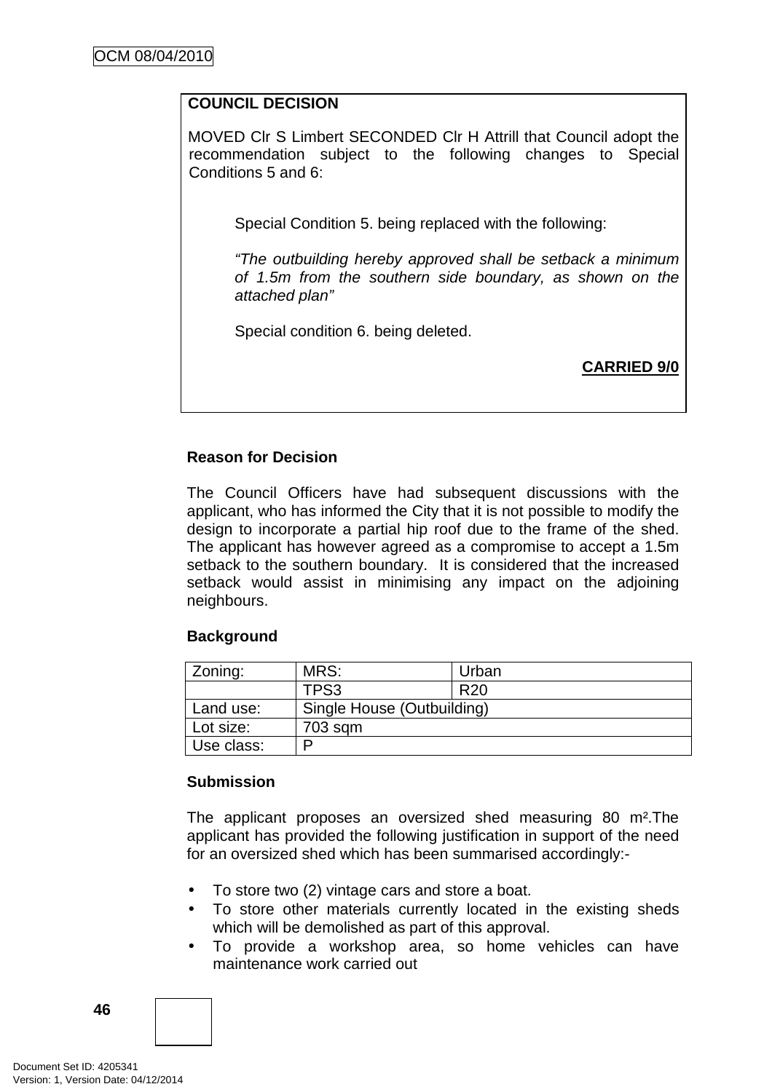# **COUNCIL DECISION**

MOVED Clr S Limbert SECONDED Clr H Attrill that Council adopt the recommendation subject to the following changes to Special Conditions 5 and 6:

Special Condition 5. being replaced with the following:

"The outbuilding hereby approved shall be setback a minimum of 1.5m from the southern side boundary, as shown on the attached plan"

Special condition 6. being deleted.

**CARRIED 9/0**

# **Reason for Decision**

The Council Officers have had subsequent discussions with the applicant, who has informed the City that it is not possible to modify the design to incorporate a partial hip roof due to the frame of the shed. The applicant has however agreed as a compromise to accept a 1.5m setback to the southern boundary. It is considered that the increased setback would assist in minimising any impact on the adjoining neighbours.

# **Background**

| Zoning:    | MRS:                       | Urban           |  |
|------------|----------------------------|-----------------|--|
|            | TPS3                       | R <sub>20</sub> |  |
| Land use:  | Single House (Outbuilding) |                 |  |
| Lot size:  | 703 sqm                    |                 |  |
| Use class: | D                          |                 |  |

# **Submission**

The applicant proposes an oversized shed measuring 80 m².The applicant has provided the following justification in support of the need for an oversized shed which has been summarised accordingly:-

- To store two (2) vintage cars and store a boat.
- To store other materials currently located in the existing sheds which will be demolished as part of this approval.
- To provide a workshop area, so home vehicles can have maintenance work carried out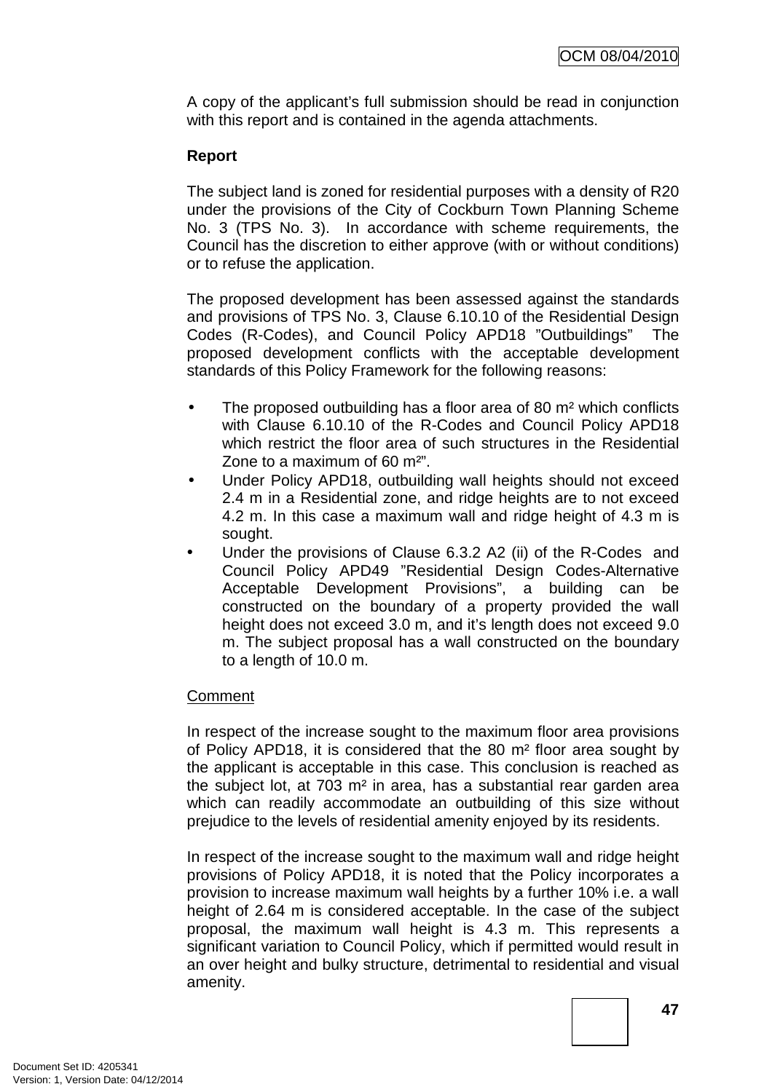A copy of the applicant's full submission should be read in conjunction with this report and is contained in the agenda attachments.

# **Report**

The subject land is zoned for residential purposes with a density of R20 under the provisions of the City of Cockburn Town Planning Scheme No. 3 (TPS No. 3). In accordance with scheme requirements, the Council has the discretion to either approve (with or without conditions) or to refuse the application.

The proposed development has been assessed against the standards and provisions of TPS No. 3, Clause 6.10.10 of the Residential Design Codes (R-Codes), and Council Policy APD18 "Outbuildings" The proposed development conflicts with the acceptable development standards of this Policy Framework for the following reasons:

- The proposed outbuilding has a floor area of 80 m<sup>2</sup> which conflicts with Clause 6.10.10 of the R-Codes and Council Policy APD18 which restrict the floor area of such structures in the Residential Zone to a maximum of 60 m²".
- Under Policy APD18, outbuilding wall heights should not exceed 2.4 m in a Residential zone, and ridge heights are to not exceed 4.2 m. In this case a maximum wall and ridge height of 4.3 m is sought.
- Under the provisions of Clause 6.3.2 A2 (ii) of the R-Codes and Council Policy APD49 "Residential Design Codes-Alternative Acceptable Development Provisions", a building can be constructed on the boundary of a property provided the wall height does not exceed 3.0 m, and it's length does not exceed 9.0 m. The subject proposal has a wall constructed on the boundary to a length of 10.0 m.

# **Comment**

In respect of the increase sought to the maximum floor area provisions of Policy APD18, it is considered that the 80 m² floor area sought by the applicant is acceptable in this case. This conclusion is reached as the subject lot, at 703 m² in area, has a substantial rear garden area which can readily accommodate an outbuilding of this size without prejudice to the levels of residential amenity enjoyed by its residents.

In respect of the increase sought to the maximum wall and ridge height provisions of Policy APD18, it is noted that the Policy incorporates a provision to increase maximum wall heights by a further 10% i.e. a wall height of 2.64 m is considered acceptable. In the case of the subject proposal, the maximum wall height is 4.3 m. This represents a significant variation to Council Policy, which if permitted would result in an over height and bulky structure, detrimental to residential and visual amenity.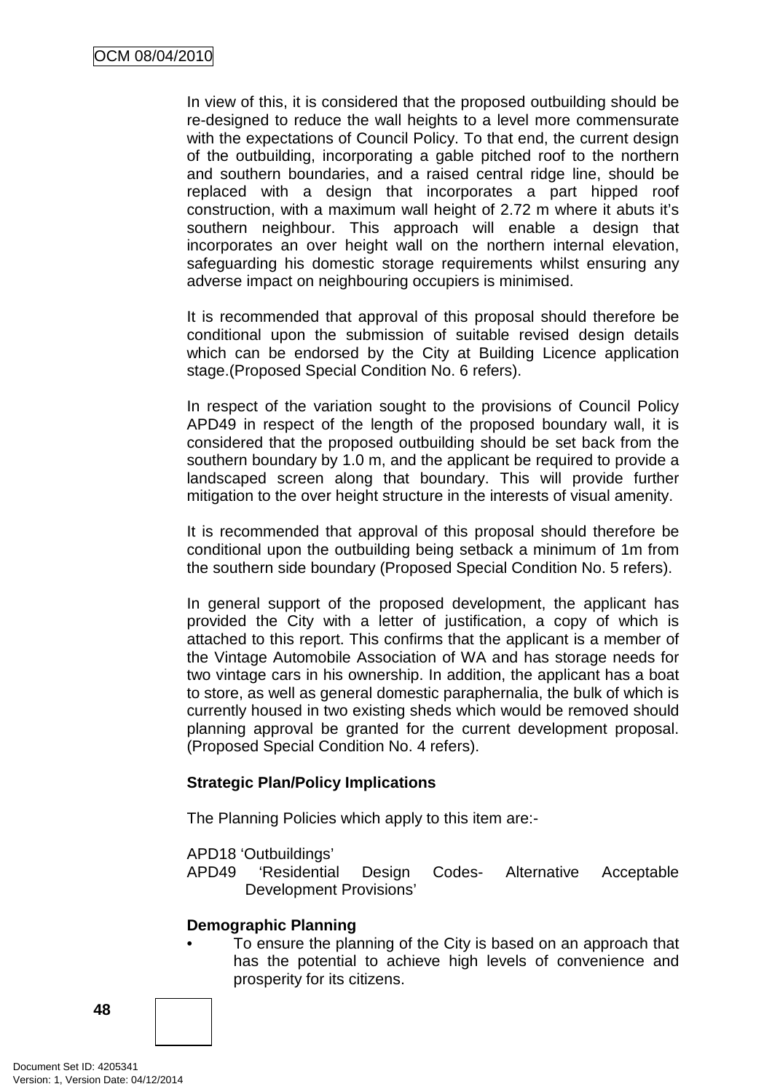In view of this, it is considered that the proposed outbuilding should be re-designed to reduce the wall heights to a level more commensurate with the expectations of Council Policy. To that end, the current design of the outbuilding, incorporating a gable pitched roof to the northern and southern boundaries, and a raised central ridge line, should be replaced with a design that incorporates a part hipped roof construction, with a maximum wall height of 2.72 m where it abuts it's southern neighbour. This approach will enable a design that incorporates an over height wall on the northern internal elevation, safeguarding his domestic storage requirements whilst ensuring any adverse impact on neighbouring occupiers is minimised.

It is recommended that approval of this proposal should therefore be conditional upon the submission of suitable revised design details which can be endorsed by the City at Building Licence application stage.(Proposed Special Condition No. 6 refers).

In respect of the variation sought to the provisions of Council Policy APD49 in respect of the length of the proposed boundary wall, it is considered that the proposed outbuilding should be set back from the southern boundary by 1.0 m, and the applicant be required to provide a landscaped screen along that boundary. This will provide further mitigation to the over height structure in the interests of visual amenity.

It is recommended that approval of this proposal should therefore be conditional upon the outbuilding being setback a minimum of 1m from the southern side boundary (Proposed Special Condition No. 5 refers).

In general support of the proposed development, the applicant has provided the City with a letter of justification, a copy of which is attached to this report. This confirms that the applicant is a member of the Vintage Automobile Association of WA and has storage needs for two vintage cars in his ownership. In addition, the applicant has a boat to store, as well as general domestic paraphernalia, the bulk of which is currently housed in two existing sheds which would be removed should planning approval be granted for the current development proposal. (Proposed Special Condition No. 4 refers).

# **Strategic Plan/Policy Implications**

The Planning Policies which apply to this item are:-

APD18 'Outbuildings'

APD49 'Residential Design Codes- Alternative Acceptable Development Provisions'

# **Demographic Planning**

• To ensure the planning of the City is based on an approach that has the potential to achieve high levels of convenience and prosperity for its citizens.

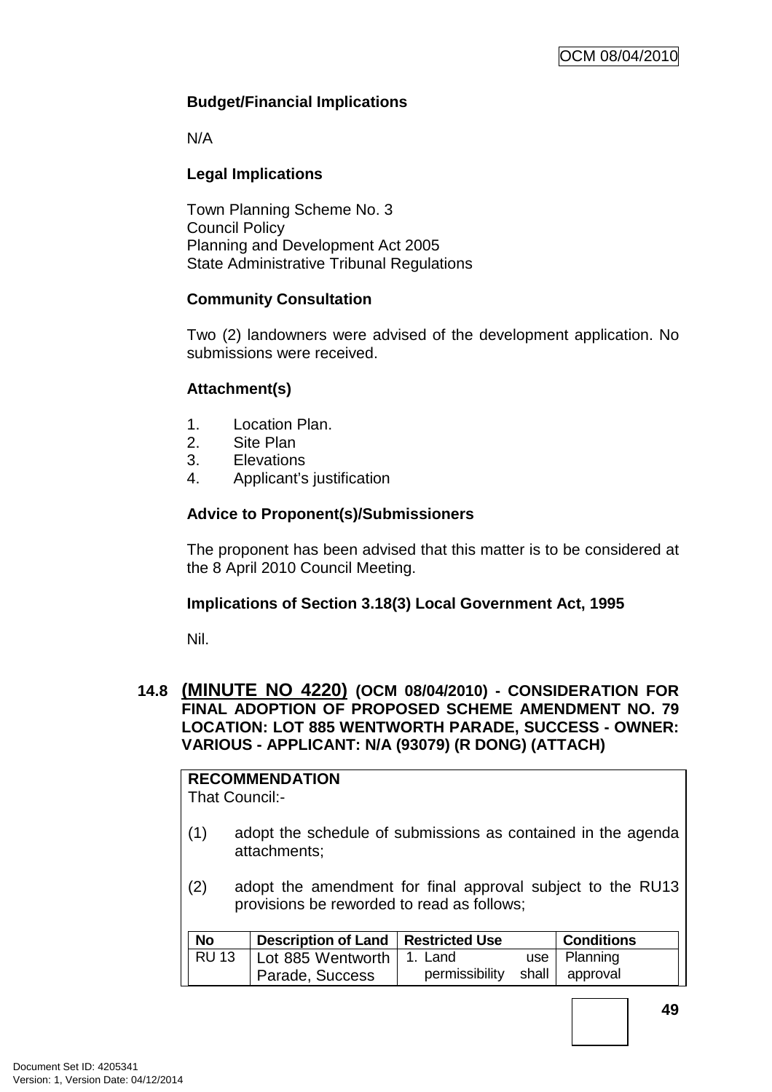# **Budget/Financial Implications**

N/A

# **Legal Implications**

Town Planning Scheme No. 3 Council Policy Planning and Development Act 2005 State Administrative Tribunal Regulations

# **Community Consultation**

Two (2) landowners were advised of the development application. No submissions were received.

# **Attachment(s)**

- 1. Location Plan.
- 2. Site Plan
- 3. Elevations
- 4. Applicant's justification

# **Advice to Proponent(s)/Submissioners**

The proponent has been advised that this matter is to be considered at the 8 April 2010 Council Meeting.

#### **Implications of Section 3.18(3) Local Government Act, 1995**

Nil.

# **14.8 (MINUTE NO 4220) (OCM 08/04/2010) - CONSIDERATION FOR FINAL ADOPTION OF PROPOSED SCHEME AMENDMENT NO. 79 LOCATION: LOT 885 WENTWORTH PARADE, SUCCESS - OWNER: VARIOUS - APPLICANT: N/A (93079) (R DONG) (ATTACH)**

# **RECOMMENDATION**

That Council:-

- (1) adopt the schedule of submissions as contained in the agenda attachments;
- (2) adopt the amendment for final approval subject to the RU13 provisions be reworded to read as follows;

| <b>No</b>    | Description of Land   Restricted Use |                | <b>Conditions</b> |
|--------------|--------------------------------------|----------------|-------------------|
| <b>RU 13</b> | Lot 885 Wentworth   1. Land          |                | use   Planning    |
|              | Parade, Success                      | permissibility | shall approval    |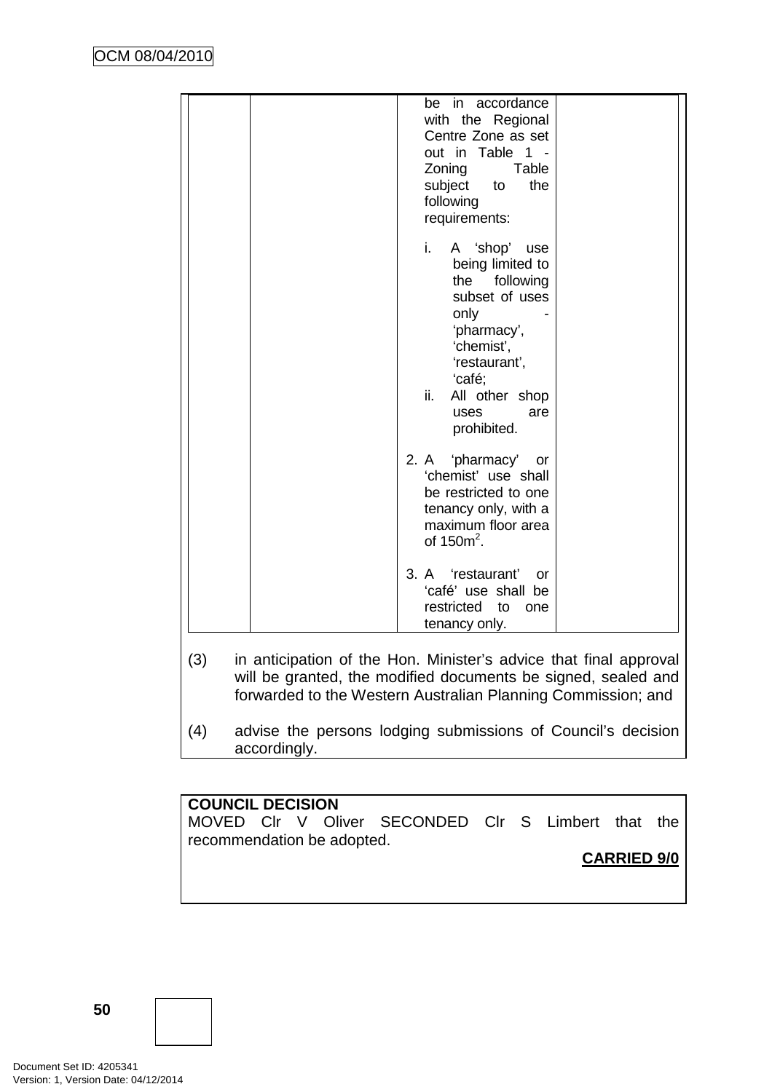| be in accordance<br>with the Regional<br>Centre Zone as set<br>out in Table 1 -<br>Zoning<br>Table<br>subject<br>the<br>to<br>following<br>requirements:                                         |
|--------------------------------------------------------------------------------------------------------------------------------------------------------------------------------------------------|
| i.<br>A 'shop' use<br>being limited to<br>the following<br>subset of uses<br>only<br>'pharmacy',<br>'chemist',<br>'restaurant',<br>'café;<br>All other shop<br>ii.<br>uses<br>are<br>prohibited. |
| 2. A 'pharmacy' or<br>'chemist' use shall<br>be restricted to one<br>tenancy only, with a<br>maximum floor area<br>of $150m^2$ .                                                                 |
| 3. A 'restaurant'<br>or<br>'café' use shall be<br>restricted to one<br>tenancy only.                                                                                                             |

- will be granted, the modified documents be signed, sealed and forwarded to the Western Australian Planning Commission; and
- (4) advise the persons lodging submissions of Council's decision accordingly.

# **COUNCIL DECISION**

MOVED Clr V Oliver SECONDED Clr S Limbert that the recommendation be adopted.

**CARRIED 9/0**

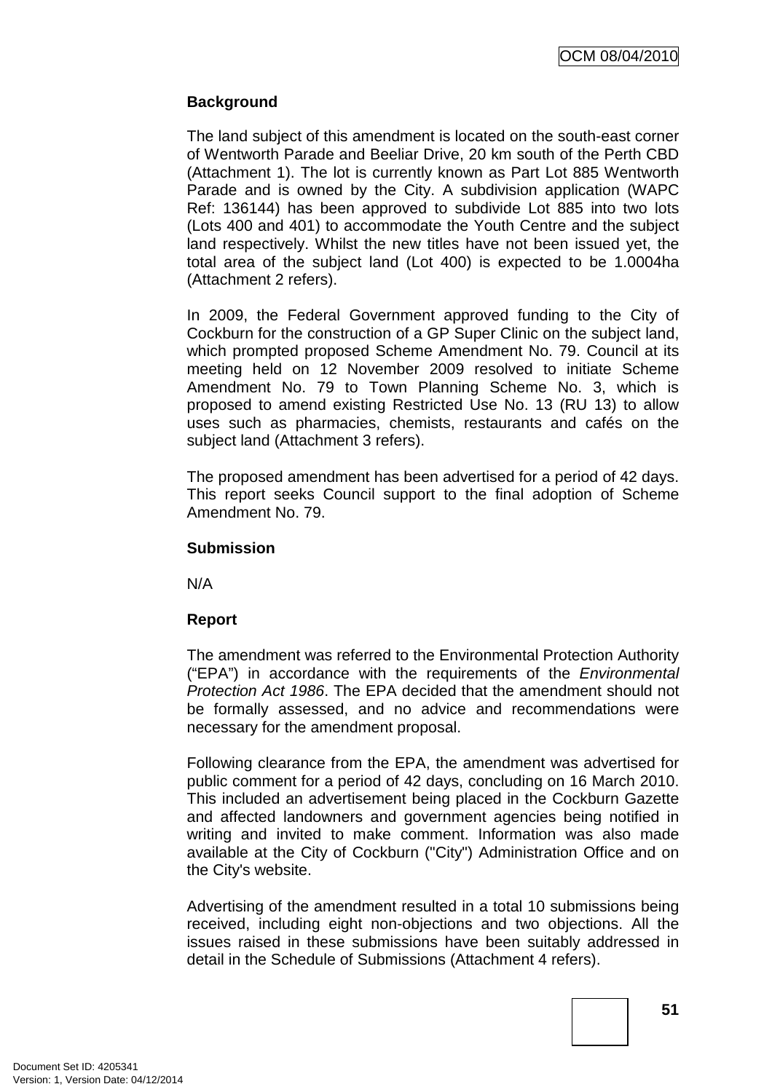# **Background**

The land subject of this amendment is located on the south-east corner of Wentworth Parade and Beeliar Drive, 20 km south of the Perth CBD (Attachment 1). The lot is currently known as Part Lot 885 Wentworth Parade and is owned by the City. A subdivision application (WAPC Ref: 136144) has been approved to subdivide Lot 885 into two lots (Lots 400 and 401) to accommodate the Youth Centre and the subject land respectively. Whilst the new titles have not been issued yet, the total area of the subject land (Lot 400) is expected to be 1.0004ha (Attachment 2 refers).

In 2009, the Federal Government approved funding to the City of Cockburn for the construction of a GP Super Clinic on the subject land, which prompted proposed Scheme Amendment No. 79. Council at its meeting held on 12 November 2009 resolved to initiate Scheme Amendment No. 79 to Town Planning Scheme No. 3, which is proposed to amend existing Restricted Use No. 13 (RU 13) to allow uses such as pharmacies, chemists, restaurants and cafés on the subject land (Attachment 3 refers).

The proposed amendment has been advertised for a period of 42 days. This report seeks Council support to the final adoption of Scheme Amendment No. 79.

# **Submission**

N/A

# **Report**

The amendment was referred to the Environmental Protection Authority ("EPA") in accordance with the requirements of the Environmental Protection Act 1986. The EPA decided that the amendment should not be formally assessed, and no advice and recommendations were necessary for the amendment proposal.

Following clearance from the EPA, the amendment was advertised for public comment for a period of 42 days, concluding on 16 March 2010. This included an advertisement being placed in the Cockburn Gazette and affected landowners and government agencies being notified in writing and invited to make comment. Information was also made available at the City of Cockburn ("City") Administration Office and on the City's website.

Advertising of the amendment resulted in a total 10 submissions being received, including eight non-objections and two objections. All the issues raised in these submissions have been suitably addressed in detail in the Schedule of Submissions (Attachment 4 refers).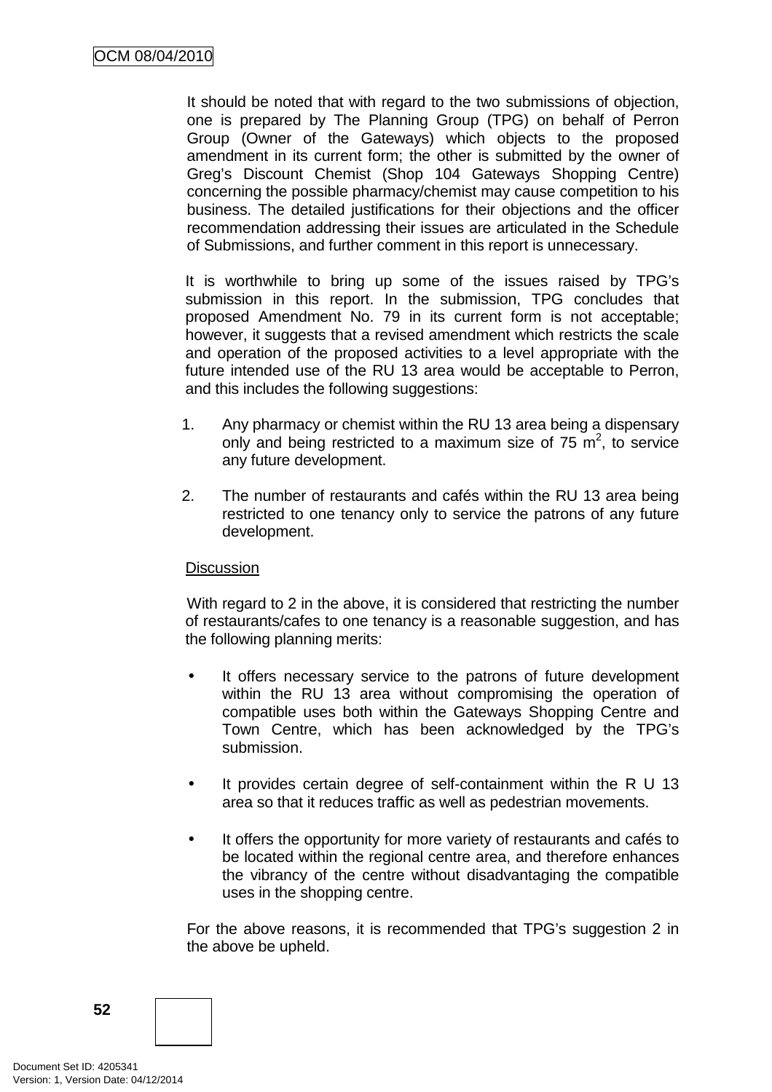It should be noted that with regard to the two submissions of objection, one is prepared by The Planning Group (TPG) on behalf of Perron Group (Owner of the Gateways) which objects to the proposed amendment in its current form; the other is submitted by the owner of Greg's Discount Chemist (Shop 104 Gateways Shopping Centre) concerning the possible pharmacy/chemist may cause competition to his business. The detailed justifications for their objections and the officer recommendation addressing their issues are articulated in the Schedule of Submissions, and further comment in this report is unnecessary.

It is worthwhile to bring up some of the issues raised by TPG's submission in this report. In the submission, TPG concludes that proposed Amendment No. 79 in its current form is not acceptable; however, it suggests that a revised amendment which restricts the scale and operation of the proposed activities to a level appropriate with the future intended use of the RU 13 area would be acceptable to Perron, and this includes the following suggestions:

- 1. Any pharmacy or chemist within the RU 13 area being a dispensary only and being restricted to a maximum size of  $75 \text{ m}^2$ , to service any future development.
- 2. The number of restaurants and cafés within the RU 13 area being restricted to one tenancy only to service the patrons of any future development.

# **Discussion**

With regard to 2 in the above, it is considered that restricting the number of restaurants/cafes to one tenancy is a reasonable suggestion, and has the following planning merits:

- It offers necessary service to the patrons of future development within the RU 13 area without compromising the operation of compatible uses both within the Gateways Shopping Centre and Town Centre, which has been acknowledged by the TPG's submission.
- It provides certain degree of self-containment within the R U 13 area so that it reduces traffic as well as pedestrian movements.
- It offers the opportunity for more variety of restaurants and cafés to be located within the regional centre area, and therefore enhances the vibrancy of the centre without disadvantaging the compatible uses in the shopping centre.

For the above reasons, it is recommended that TPG's suggestion 2 in the above be upheld.

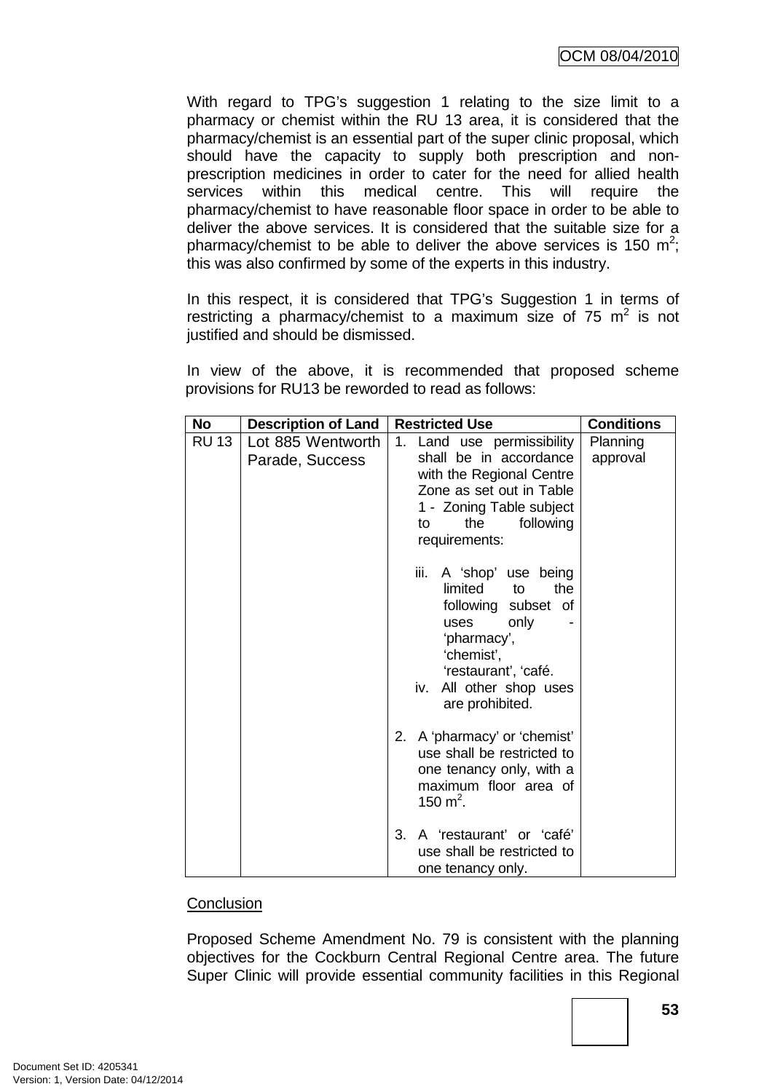With regard to TPG's suggestion 1 relating to the size limit to a pharmacy or chemist within the RU 13 area, it is considered that the pharmacy/chemist is an essential part of the super clinic proposal, which should have the capacity to supply both prescription and nonprescription medicines in order to cater for the need for allied health services within this medical centre. This will require the pharmacy/chemist to have reasonable floor space in order to be able to deliver the above services. It is considered that the suitable size for a pharmacy/chemist to be able to deliver the above services is 150  $m^2$ ; this was also confirmed by some of the experts in this industry.

In this respect, it is considered that TPG's Suggestion 1 in terms of restricting a pharmacy/chemist to a maximum size of 75  $m^2$  is not justified and should be dismissed.

In view of the above, it is recommended that proposed scheme provisions for RU13 be reworded to read as follows:

| <b>No</b>    | <b>Description of Land</b>           | <b>Restricted Use</b>                                                                                                                                                                           | <b>Conditions</b>    |
|--------------|--------------------------------------|-------------------------------------------------------------------------------------------------------------------------------------------------------------------------------------------------|----------------------|
| <b>RU 13</b> | Lot 885 Wentworth<br>Parade, Success | Land use permissibility<br>1.<br>shall be in accordance<br>with the Regional Centre<br>Zone as set out in Table<br>1 - Zoning Table subject<br>the<br>following<br>to<br>requirements:          | Planning<br>approval |
|              |                                      | iii.<br>A 'shop' use being<br>limited<br>the<br>to<br>following subset of<br>only<br>uses<br>'pharmacy',<br>'chemist',<br>'restaurant', 'café.<br>All other shop uses<br>iv.<br>are prohibited. |                      |
|              |                                      | A 'pharmacy' or 'chemist'<br>2.<br>use shall be restricted to<br>one tenancy only, with a<br>maximum floor area of<br>150 m <sup>2</sup> .                                                      |                      |
|              |                                      | A 'restaurant' or 'café'<br>3.<br>use shall be restricted to<br>one tenancy only.                                                                                                               |                      |

#### **Conclusion**

Proposed Scheme Amendment No. 79 is consistent with the planning objectives for the Cockburn Central Regional Centre area. The future Super Clinic will provide essential community facilities in this Regional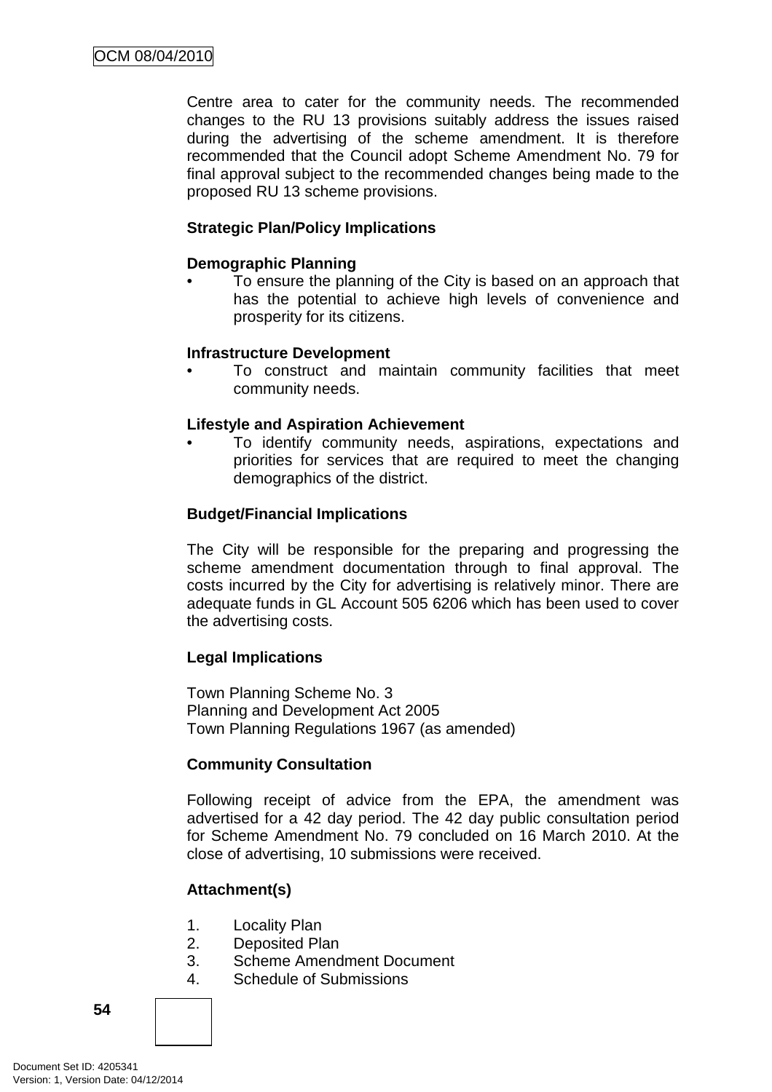Centre area to cater for the community needs. The recommended changes to the RU 13 provisions suitably address the issues raised during the advertising of the scheme amendment. It is therefore recommended that the Council adopt Scheme Amendment No. 79 for final approval subject to the recommended changes being made to the proposed RU 13 scheme provisions.

# **Strategic Plan/Policy Implications**

# **Demographic Planning**

• To ensure the planning of the City is based on an approach that has the potential to achieve high levels of convenience and prosperity for its citizens.

# **Infrastructure Development**

• To construct and maintain community facilities that meet community needs.

# **Lifestyle and Aspiration Achievement**

• To identify community needs, aspirations, expectations and priorities for services that are required to meet the changing demographics of the district.

# **Budget/Financial Implications**

The City will be responsible for the preparing and progressing the scheme amendment documentation through to final approval. The costs incurred by the City for advertising is relatively minor. There are adequate funds in GL Account 505 6206 which has been used to cover the advertising costs.

# **Legal Implications**

Town Planning Scheme No. 3 Planning and Development Act 2005 Town Planning Regulations 1967 (as amended)

# **Community Consultation**

Following receipt of advice from the EPA, the amendment was advertised for a 42 day period. The 42 day public consultation period for Scheme Amendment No. 79 concluded on 16 March 2010. At the close of advertising, 10 submissions were received.

# **Attachment(s)**

- 1. Locality Plan
- 2. Deposited Plan
- 3. Scheme Amendment Document
- 4. Schedule of Submissions

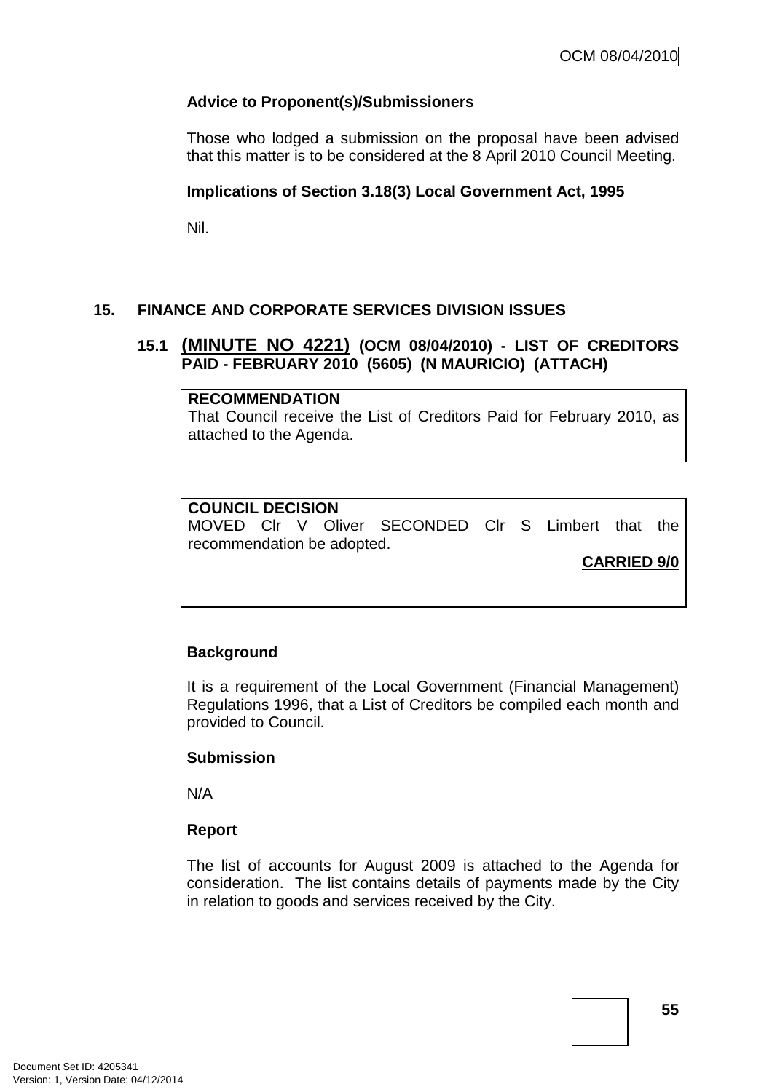# **Advice to Proponent(s)/Submissioners**

Those who lodged a submission on the proposal have been advised that this matter is to be considered at the 8 April 2010 Council Meeting.

# **Implications of Section 3.18(3) Local Government Act, 1995**

Nil.

# **15. FINANCE AND CORPORATE SERVICES DIVISION ISSUES**

# **15.1 (MINUTE NO 4221) (OCM 08/04/2010) - LIST OF CREDITORS PAID - FEBRUARY 2010 (5605) (N MAURICIO) (ATTACH)**

#### **RECOMMENDATION**

That Council receive the List of Creditors Paid for February 2010, as attached to the Agenda.

# **COUNCIL DECISION**

MOVED Clr V Oliver SECONDED Clr S Limbert that the recommendation be adopted.

**CARRIED 9/0**

# **Background**

It is a requirement of the Local Government (Financial Management) Regulations 1996, that a List of Creditors be compiled each month and provided to Council.

# **Submission**

N/A

# **Report**

The list of accounts for August 2009 is attached to the Agenda for consideration. The list contains details of payments made by the City in relation to goods and services received by the City.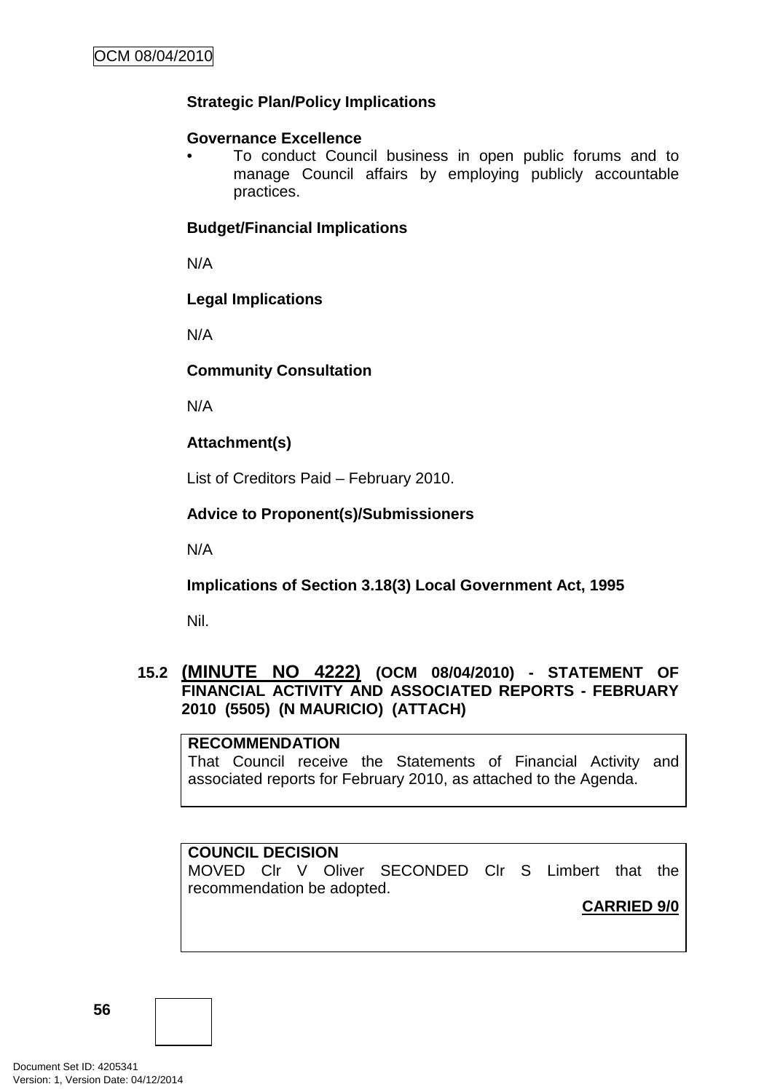# **Strategic Plan/Policy Implications**

# **Governance Excellence**

• To conduct Council business in open public forums and to manage Council affairs by employing publicly accountable practices.

# **Budget/Financial Implications**

N/A

# **Legal Implications**

N/A

# **Community Consultation**

N/A

# **Attachment(s)**

List of Creditors Paid – February 2010.

# **Advice to Proponent(s)/Submissioners**

N/A

# **Implications of Section 3.18(3) Local Government Act, 1995**

Nil.

# **15.2 (MINUTE NO 4222) (OCM 08/04/2010) - STATEMENT OF FINANCIAL ACTIVITY AND ASSOCIATED REPORTS - FEBRUARY 2010 (5505) (N MAURICIO) (ATTACH)**

# **RECOMMENDATION**

That Council receive the Statements of Financial Activity and associated reports for February 2010, as attached to the Agenda.

# **COUNCIL DECISION**

MOVED Clr V Oliver SECONDED Clr S Limbert that the recommendation be adopted.

**CARRIED 9/0**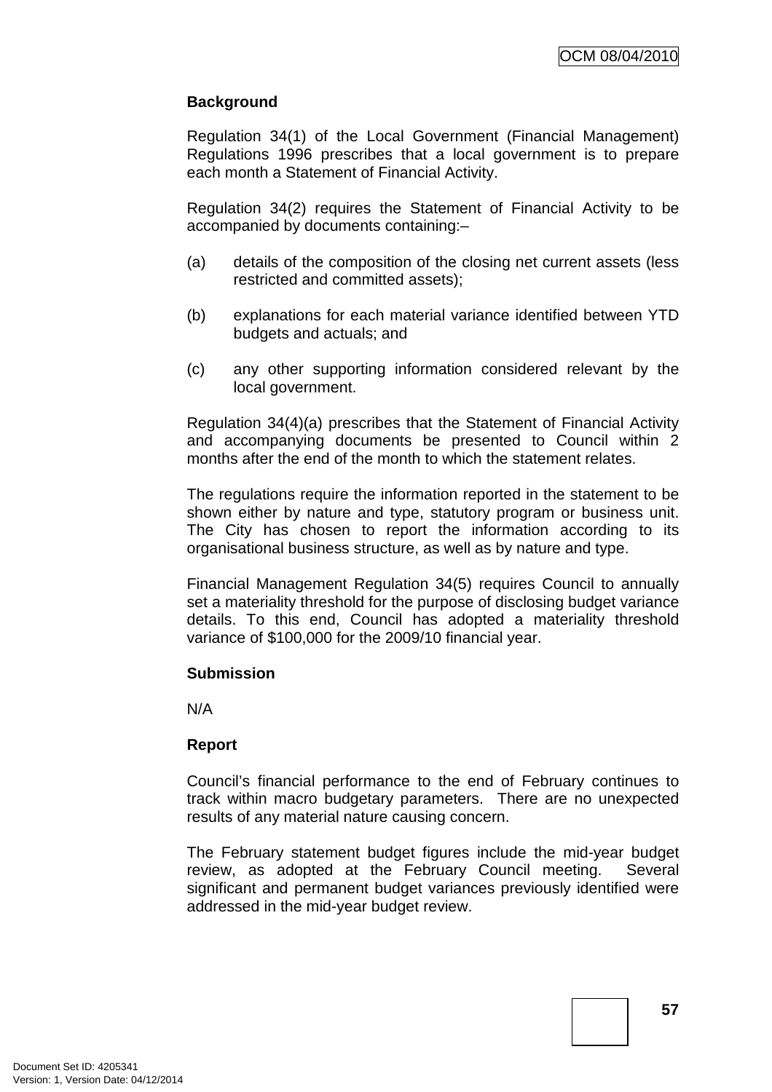# **Background**

Regulation 34(1) of the Local Government (Financial Management) Regulations 1996 prescribes that a local government is to prepare each month a Statement of Financial Activity.

Regulation 34(2) requires the Statement of Financial Activity to be accompanied by documents containing:–

- (a) details of the composition of the closing net current assets (less restricted and committed assets);
- (b) explanations for each material variance identified between YTD budgets and actuals; and
- (c) any other supporting information considered relevant by the local government.

Regulation 34(4)(a) prescribes that the Statement of Financial Activity and accompanying documents be presented to Council within 2 months after the end of the month to which the statement relates.

The regulations require the information reported in the statement to be shown either by nature and type, statutory program or business unit. The City has chosen to report the information according to its organisational business structure, as well as by nature and type.

Financial Management Regulation 34(5) requires Council to annually set a materiality threshold for the purpose of disclosing budget variance details. To this end, Council has adopted a materiality threshold variance of \$100,000 for the 2009/10 financial year.

# **Submission**

N/A

# **Report**

Council's financial performance to the end of February continues to track within macro budgetary parameters. There are no unexpected results of any material nature causing concern.

The February statement budget figures include the mid-year budget review, as adopted at the February Council meeting. Several significant and permanent budget variances previously identified were addressed in the mid-year budget review.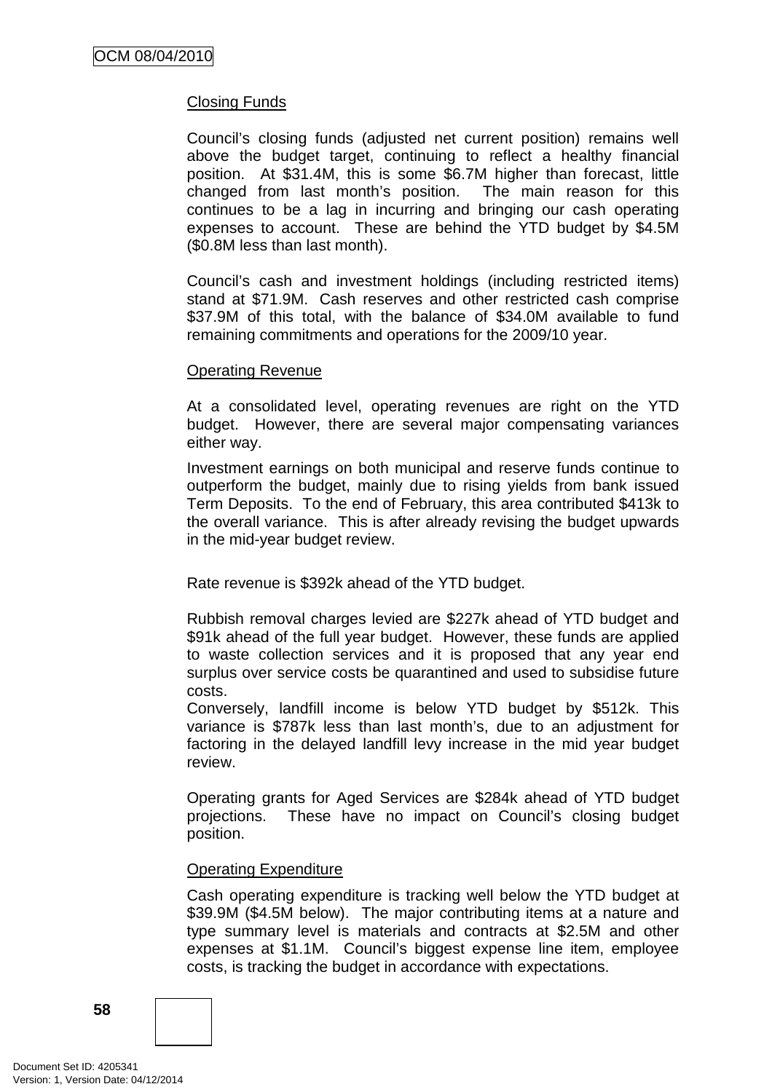# Closing Funds

Council's closing funds (adjusted net current position) remains well above the budget target, continuing to reflect a healthy financial position. At \$31.4M, this is some \$6.7M higher than forecast, little changed from last month's position. The main reason for this continues to be a lag in incurring and bringing our cash operating expenses to account. These are behind the YTD budget by \$4.5M (\$0.8M less than last month).

Council's cash and investment holdings (including restricted items) stand at \$71.9M. Cash reserves and other restricted cash comprise \$37.9M of this total, with the balance of \$34.0M available to fund remaining commitments and operations for the 2009/10 year.

#### Operating Revenue

At a consolidated level, operating revenues are right on the YTD budget. However, there are several major compensating variances either way.

Investment earnings on both municipal and reserve funds continue to outperform the budget, mainly due to rising yields from bank issued Term Deposits. To the end of February, this area contributed \$413k to the overall variance. This is after already revising the budget upwards in the mid-year budget review.

Rate revenue is \$392k ahead of the YTD budget.

Rubbish removal charges levied are \$227k ahead of YTD budget and \$91k ahead of the full year budget. However, these funds are applied to waste collection services and it is proposed that any year end surplus over service costs be quarantined and used to subsidise future costs.

Conversely, landfill income is below YTD budget by \$512k. This variance is \$787k less than last month's, due to an adjustment for factoring in the delayed landfill levy increase in the mid year budget review.

Operating grants for Aged Services are \$284k ahead of YTD budget projections. These have no impact on Council's closing budget position.

# Operating Expenditure

Cash operating expenditure is tracking well below the YTD budget at \$39.9M (\$4.5M below). The major contributing items at a nature and type summary level is materials and contracts at \$2.5M and other expenses at \$1.1M. Council's biggest expense line item, employee costs, is tracking the budget in accordance with expectations.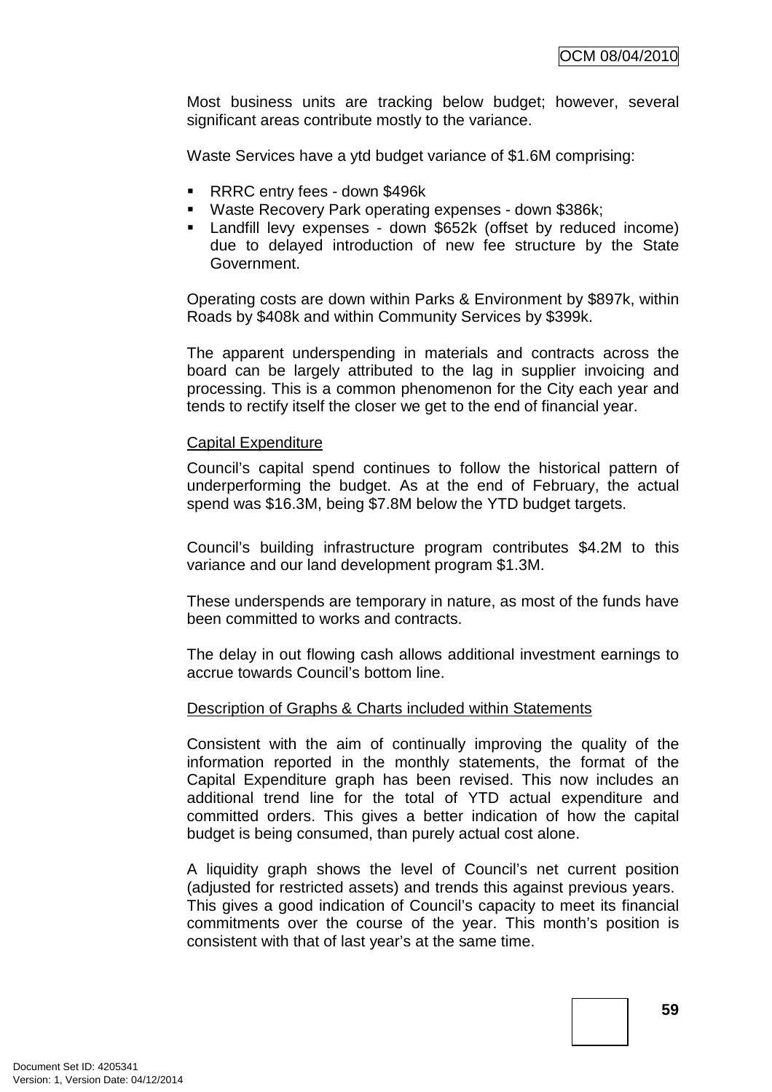Most business units are tracking below budget; however, several significant areas contribute mostly to the variance.

Waste Services have a ytd budget variance of \$1.6M comprising:

- RRRC entry fees down \$496k
- Waste Recovery Park operating expenses down \$386k;
- Landfill levy expenses down \$652k (offset by reduced income) due to delayed introduction of new fee structure by the State Government.

Operating costs are down within Parks & Environment by \$897k, within Roads by \$408k and within Community Services by \$399k.

The apparent underspending in materials and contracts across the board can be largely attributed to the lag in supplier invoicing and processing. This is a common phenomenon for the City each year and tends to rectify itself the closer we get to the end of financial year.

#### Capital Expenditure

Council's capital spend continues to follow the historical pattern of underperforming the budget. As at the end of February, the actual spend was \$16.3M, being \$7.8M below the YTD budget targets.

Council's building infrastructure program contributes \$4.2M to this variance and our land development program \$1.3M.

These underspends are temporary in nature, as most of the funds have been committed to works and contracts.

The delay in out flowing cash allows additional investment earnings to accrue towards Council's bottom line.

#### Description of Graphs & Charts included within Statements

Consistent with the aim of continually improving the quality of the information reported in the monthly statements, the format of the Capital Expenditure graph has been revised. This now includes an additional trend line for the total of YTD actual expenditure and committed orders. This gives a better indication of how the capital budget is being consumed, than purely actual cost alone.

A liquidity graph shows the level of Council's net current position (adjusted for restricted assets) and trends this against previous years. This gives a good indication of Council's capacity to meet its financial commitments over the course of the year. This month's position is consistent with that of last year's at the same time.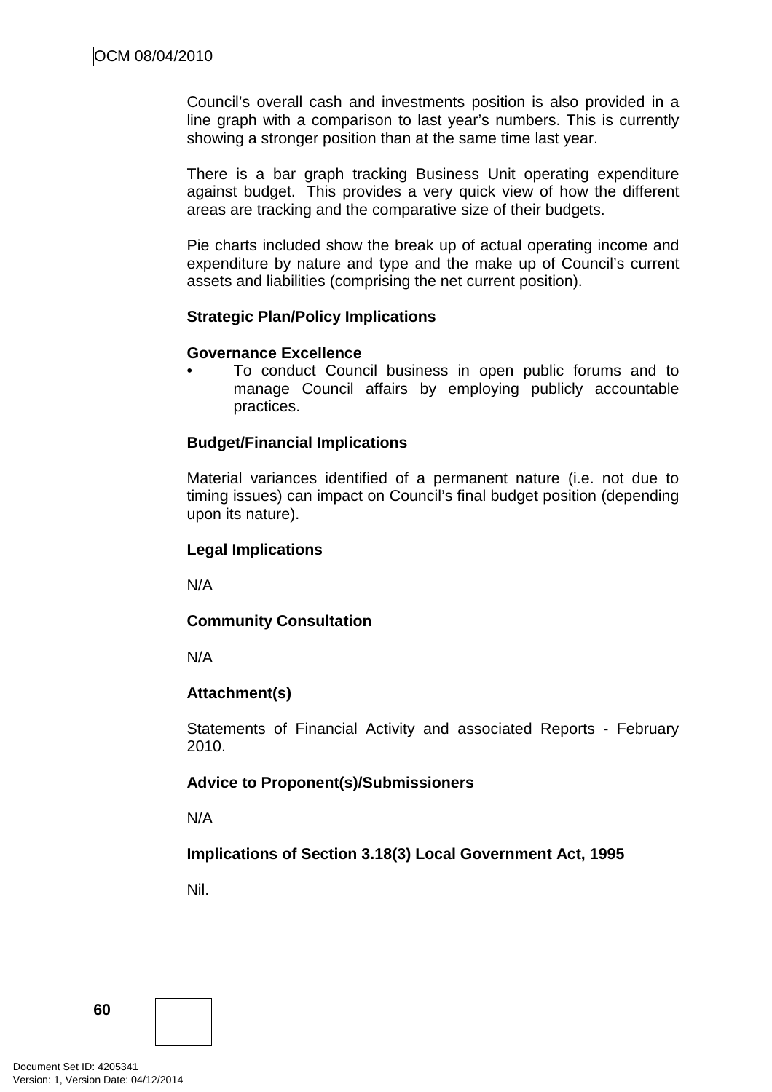Council's overall cash and investments position is also provided in a line graph with a comparison to last year's numbers. This is currently showing a stronger position than at the same time last year.

There is a bar graph tracking Business Unit operating expenditure against budget. This provides a very quick view of how the different areas are tracking and the comparative size of their budgets.

Pie charts included show the break up of actual operating income and expenditure by nature and type and the make up of Council's current assets and liabilities (comprising the net current position).

#### **Strategic Plan/Policy Implications**

#### **Governance Excellence**

• To conduct Council business in open public forums and to manage Council affairs by employing publicly accountable practices.

# **Budget/Financial Implications**

Material variances identified of a permanent nature (i.e. not due to timing issues) can impact on Council's final budget position (depending upon its nature).

#### **Legal Implications**

N/A

# **Community Consultation**

N/A

# **Attachment(s)**

Statements of Financial Activity and associated Reports - February 2010.

# **Advice to Proponent(s)/Submissioners**

N/A

# **Implications of Section 3.18(3) Local Government Act, 1995**

Nil.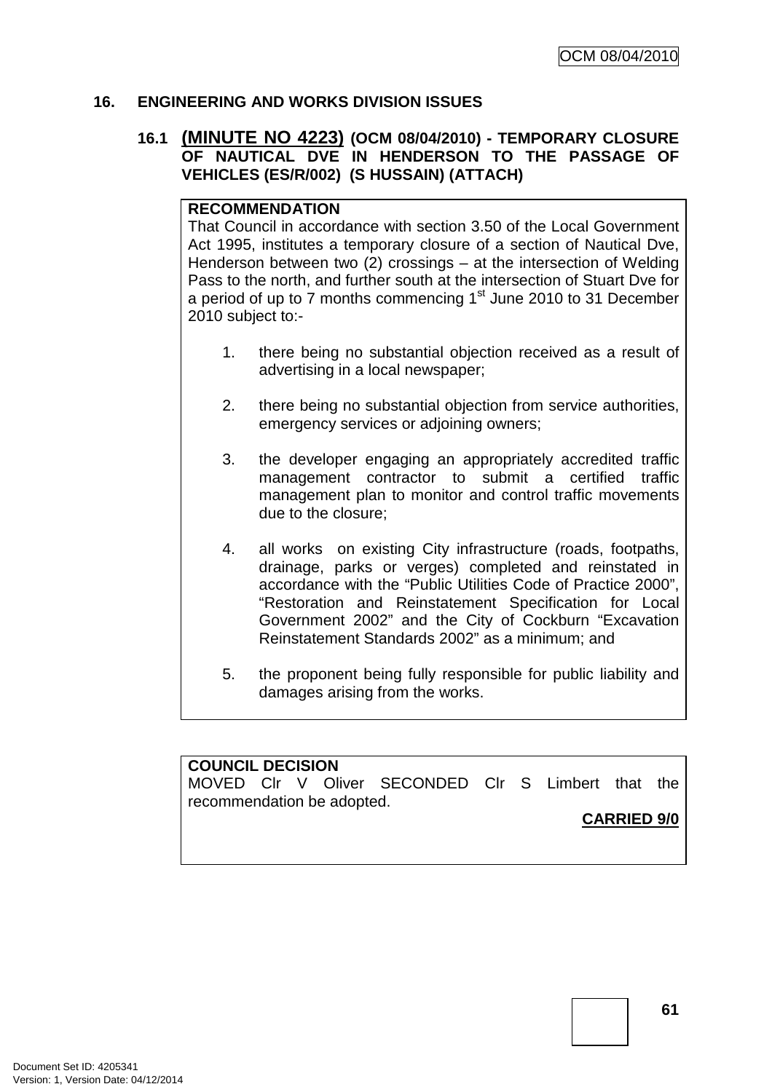# **16. ENGINEERING AND WORKS DIVISION ISSUES**

# **16.1 (MINUTE NO 4223) (OCM 08/04/2010) - TEMPORARY CLOSURE OF NAUTICAL DVE IN HENDERSON TO THE PASSAGE OF VEHICLES (ES/R/002) (S HUSSAIN) (ATTACH)**

# **RECOMMENDATION**

That Council in accordance with section 3.50 of the Local Government Act 1995, institutes a temporary closure of a section of Nautical Dve, Henderson between two (2) crossings – at the intersection of Welding Pass to the north, and further south at the intersection of Stuart Dve for a period of up to 7 months commencing  $1<sup>st</sup>$  June 2010 to 31 December 2010 subject to:-

- 1. there being no substantial objection received as a result of advertising in a local newspaper;
- 2. there being no substantial objection from service authorities, emergency services or adjoining owners;
- 3. the developer engaging an appropriately accredited traffic management contractor to submit a certified traffic management plan to monitor and control traffic movements due to the closure;
- 4. all works on existing City infrastructure (roads, footpaths, drainage, parks or verges) completed and reinstated in accordance with the "Public Utilities Code of Practice 2000", "Restoration and Reinstatement Specification for Local Government 2002" and the City of Cockburn "Excavation Reinstatement Standards 2002" as a minimum; and
- 5. the proponent being fully responsible for public liability and damages arising from the works.

# **COUNCIL DECISION**

MOVED Clr V Oliver SECONDED Clr S Limbert that the recommendation be adopted.

**CARRIED 9/0**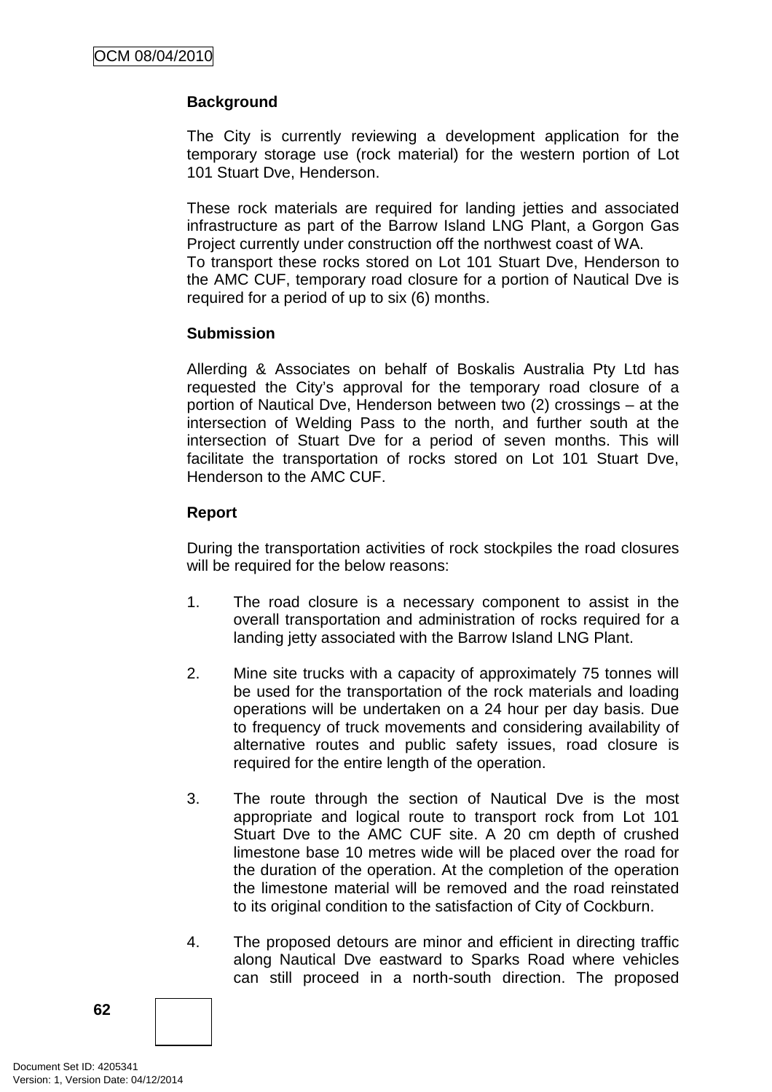# **Background**

The City is currently reviewing a development application for the temporary storage use (rock material) for the western portion of Lot 101 Stuart Dve, Henderson.

These rock materials are required for landing jetties and associated infrastructure as part of the Barrow Island LNG Plant, a Gorgon Gas Project currently under construction off the northwest coast of WA.

To transport these rocks stored on Lot 101 Stuart Dve, Henderson to the AMC CUF, temporary road closure for a portion of Nautical Dve is required for a period of up to six (6) months.

# **Submission**

Allerding & Associates on behalf of Boskalis Australia Pty Ltd has requested the City's approval for the temporary road closure of a portion of Nautical Dve, Henderson between two (2) crossings – at the intersection of Welding Pass to the north, and further south at the intersection of Stuart Dve for a period of seven months. This will facilitate the transportation of rocks stored on Lot 101 Stuart Dve, Henderson to the AMC CUF.

# **Report**

During the transportation activities of rock stockpiles the road closures will be required for the below reasons:

- 1. The road closure is a necessary component to assist in the overall transportation and administration of rocks required for a landing jetty associated with the Barrow Island LNG Plant.
- 2. Mine site trucks with a capacity of approximately 75 tonnes will be used for the transportation of the rock materials and loading operations will be undertaken on a 24 hour per day basis. Due to frequency of truck movements and considering availability of alternative routes and public safety issues, road closure is required for the entire length of the operation.
- 3. The route through the section of Nautical Dve is the most appropriate and logical route to transport rock from Lot 101 Stuart Dve to the AMC CUF site. A 20 cm depth of crushed limestone base 10 metres wide will be placed over the road for the duration of the operation. At the completion of the operation the limestone material will be removed and the road reinstated to its original condition to the satisfaction of City of Cockburn.
- 4. The proposed detours are minor and efficient in directing traffic along Nautical Dve eastward to Sparks Road where vehicles can still proceed in a north-south direction. The proposed

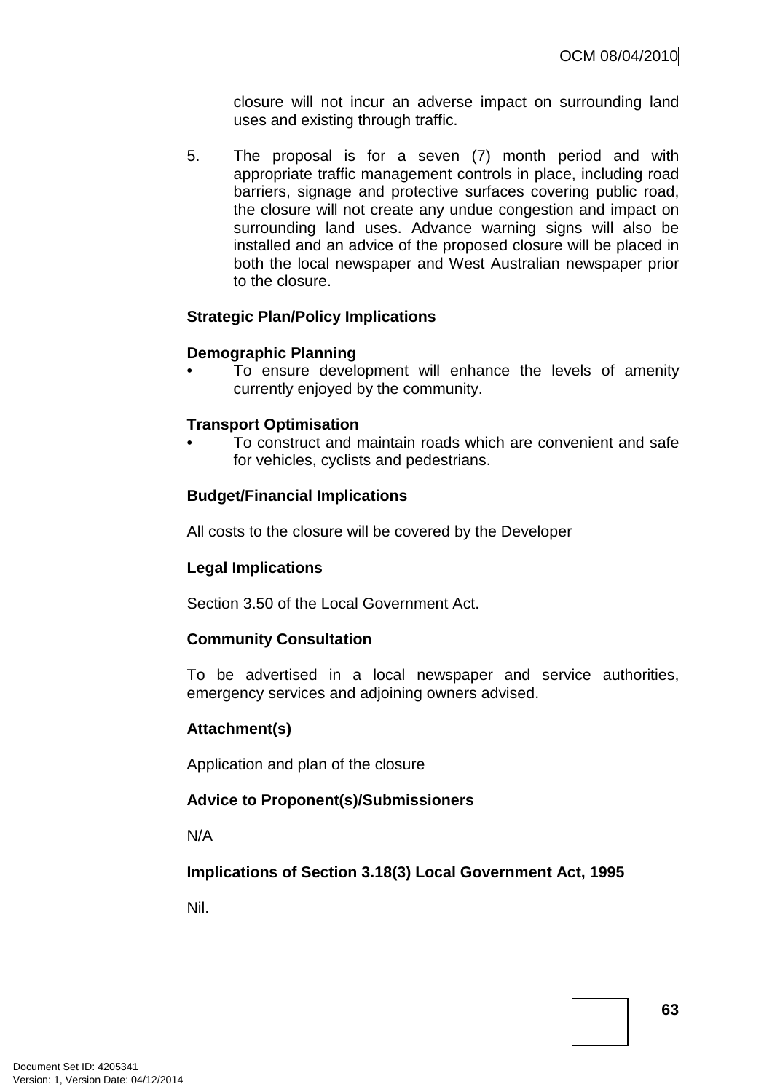closure will not incur an adverse impact on surrounding land uses and existing through traffic.

5. The proposal is for a seven (7) month period and with appropriate traffic management controls in place, including road barriers, signage and protective surfaces covering public road, the closure will not create any undue congestion and impact on surrounding land uses. Advance warning signs will also be installed and an advice of the proposed closure will be placed in both the local newspaper and West Australian newspaper prior to the closure.

#### **Strategic Plan/Policy Implications**

#### **Demographic Planning**

To ensure development will enhance the levels of amenity currently enjoyed by the community.

#### **Transport Optimisation**

• To construct and maintain roads which are convenient and safe for vehicles, cyclists and pedestrians.

# **Budget/Financial Implications**

All costs to the closure will be covered by the Developer

# **Legal Implications**

Section 3.50 of the Local Government Act.

#### **Community Consultation**

To be advertised in a local newspaper and service authorities, emergency services and adjoining owners advised.

# **Attachment(s)**

Application and plan of the closure

# **Advice to Proponent(s)/Submissioners**

N/A

**Implications of Section 3.18(3) Local Government Act, 1995**

Nil.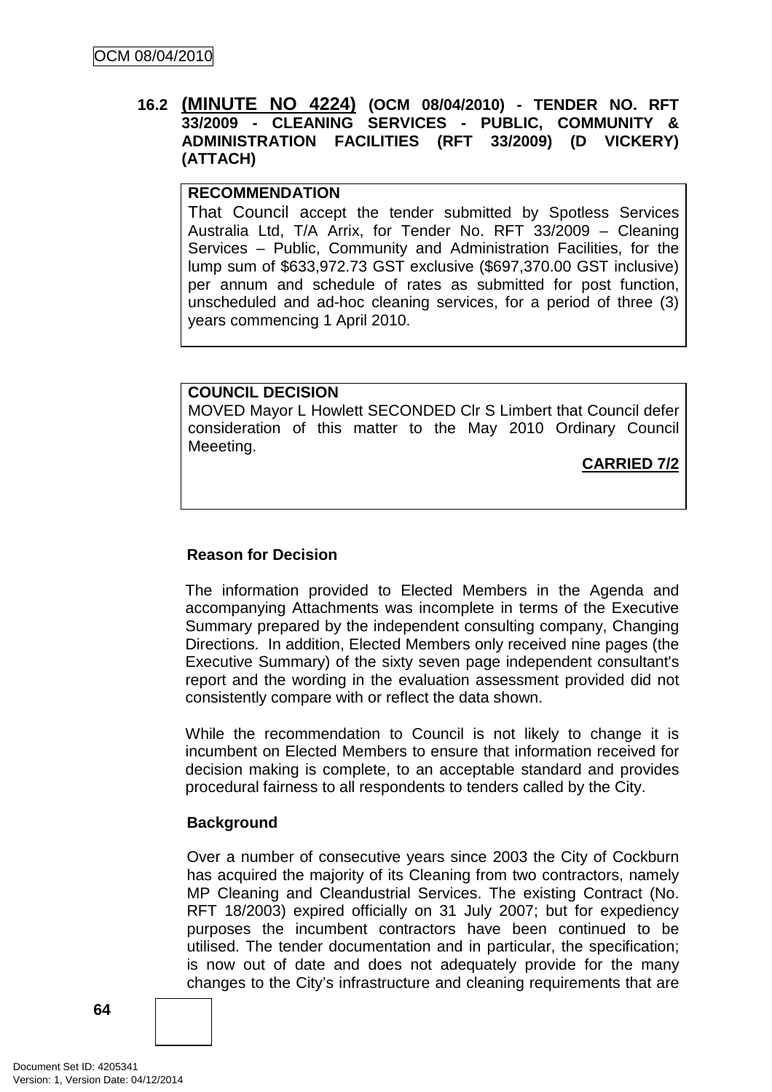# **16.2 (MINUTE NO 4224) (OCM 08/04/2010) - TENDER NO. RFT 33/2009 - CLEANING SERVICES - PUBLIC, COMMUNITY & ADMINISTRATION FACILITIES (RFT 33/2009) (D VICKERY) (ATTACH)**

# **RECOMMENDATION**

That Council accept the tender submitted by Spotless Services Australia Ltd, T/A Arrix, for Tender No. RFT 33/2009 – Cleaning Services – Public, Community and Administration Facilities, for the lump sum of \$633,972.73 GST exclusive (\$697,370.00 GST inclusive) per annum and schedule of rates as submitted for post function, unscheduled and ad-hoc cleaning services, for a period of three (3) years commencing 1 April 2010.

# **COUNCIL DECISION**

MOVED Mayor L Howlett SECONDED Clr S Limbert that Council defer consideration of this matter to the May 2010 Ordinary Council Meeeting.

**CARRIED 7/2**

# **Reason for Decision**

The information provided to Elected Members in the Agenda and accompanying Attachments was incomplete in terms of the Executive Summary prepared by the independent consulting company, Changing Directions. In addition, Elected Members only received nine pages (the Executive Summary) of the sixty seven page independent consultant's report and the wording in the evaluation assessment provided did not consistently compare with or reflect the data shown.

While the recommendation to Council is not likely to change it is incumbent on Elected Members to ensure that information received for decision making is complete, to an acceptable standard and provides procedural fairness to all respondents to tenders called by the City.

# **Background**

Over a number of consecutive years since 2003 the City of Cockburn has acquired the majority of its Cleaning from two contractors, namely MP Cleaning and Cleandustrial Services. The existing Contract (No. RFT 18/2003) expired officially on 31 July 2007; but for expediency purposes the incumbent contractors have been continued to be utilised. The tender documentation and in particular, the specification; is now out of date and does not adequately provide for the many changes to the City's infrastructure and cleaning requirements that are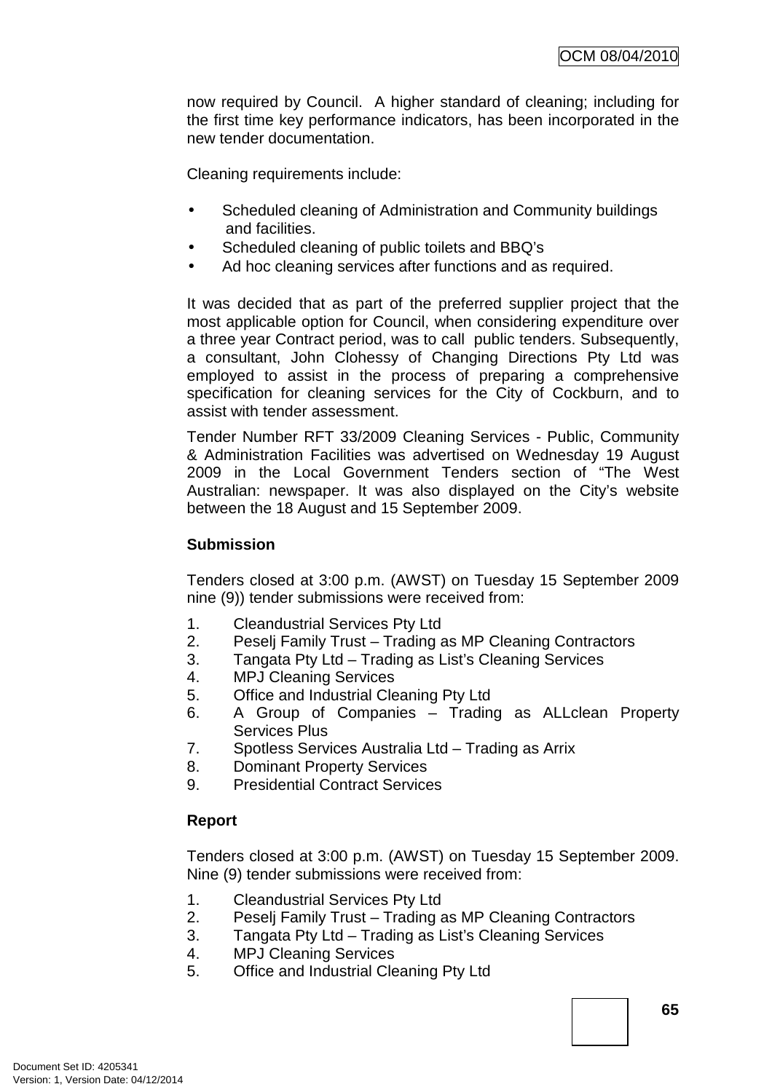now required by Council. A higher standard of cleaning; including for the first time key performance indicators, has been incorporated in the new tender documentation.

Cleaning requirements include:

- Scheduled cleaning of Administration and Community buildings and facilities.
- Scheduled cleaning of public toilets and BBQ's
- Ad hoc cleaning services after functions and as required.

It was decided that as part of the preferred supplier project that the most applicable option for Council, when considering expenditure over a three year Contract period, was to call public tenders. Subsequently, a consultant, John Clohessy of Changing Directions Pty Ltd was employed to assist in the process of preparing a comprehensive specification for cleaning services for the City of Cockburn, and to assist with tender assessment.

Tender Number RFT 33/2009 Cleaning Services - Public, Community & Administration Facilities was advertised on Wednesday 19 August 2009 in the Local Government Tenders section of "The West Australian: newspaper. It was also displayed on the City's website between the 18 August and 15 September 2009.

# **Submission**

Tenders closed at 3:00 p.m. (AWST) on Tuesday 15 September 2009 nine (9)) tender submissions were received from:

- 1. Cleandustrial Services Pty Ltd
- 2. Peselj Family Trust Trading as MP Cleaning Contractors
- 3. Tangata Pty Ltd Trading as List's Cleaning Services
- 4. MPJ Cleaning Services
- 5. Office and Industrial Cleaning Pty Ltd
- 6. A Group of Companies Trading as ALLclean Property Services Plus
- 7. Spotless Services Australia Ltd Trading as Arrix
- 8. Dominant Property Services
- 9. Presidential Contract Services

# **Report**

Tenders closed at 3:00 p.m. (AWST) on Tuesday 15 September 2009. Nine (9) tender submissions were received from:

- 1. Cleandustrial Services Pty Ltd
- 2. Peselj Family Trust Trading as MP Cleaning Contractors
- 3. Tangata Pty Ltd Trading as List's Cleaning Services
- 4. MPJ Cleaning Services
- 5. Office and Industrial Cleaning Pty Ltd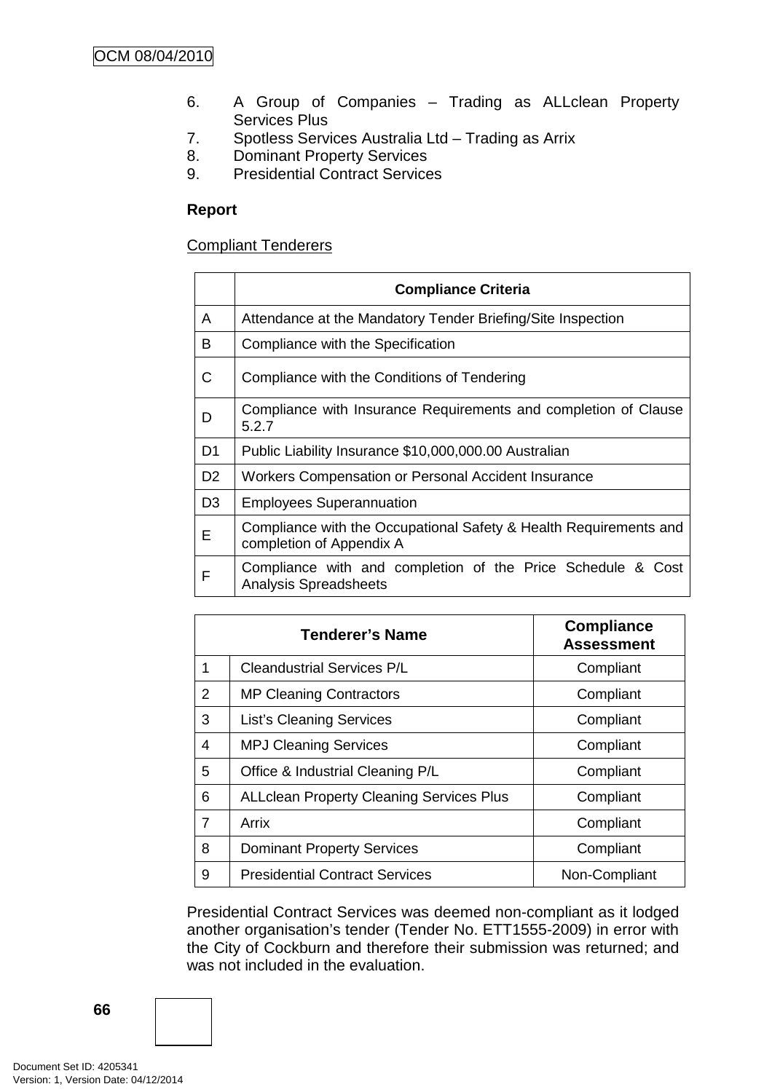- 6. A Group of Companies Trading as ALLclean Property Services Plus
- 7. Spotless Services Australia Ltd Trading as Arrix
- 8. Dominant Property Services
- 9. Presidential Contract Services

# **Report**

# Compliant Tenderers

|                | <b>Compliance Criteria</b>                                                                    |
|----------------|-----------------------------------------------------------------------------------------------|
| A              | Attendance at the Mandatory Tender Briefing/Site Inspection                                   |
| B              | Compliance with the Specification                                                             |
| C              | Compliance with the Conditions of Tendering                                                   |
| D              | Compliance with Insurance Requirements and completion of Clause<br>5.2.7                      |
| D <sub>1</sub> | Public Liability Insurance \$10,000,000.00 Australian                                         |
| D <sub>2</sub> | Workers Compensation or Personal Accident Insurance                                           |
| D <sub>3</sub> | <b>Employees Superannuation</b>                                                               |
| Е              | Compliance with the Occupational Safety & Health Requirements and<br>completion of Appendix A |
| F              | Compliance with and completion of the Price Schedule & Cost<br><b>Analysis Spreadsheets</b>   |

|   | <b>Tenderer's Name</b>                          | <b>Compliance</b><br><b>Assessment</b> |
|---|-------------------------------------------------|----------------------------------------|
| 1 | <b>Cleandustrial Services P/L</b>               | Compliant                              |
| 2 | <b>MP Cleaning Contractors</b>                  | Compliant                              |
| 3 | <b>List's Cleaning Services</b>                 | Compliant                              |
| 4 | <b>MPJ Cleaning Services</b>                    | Compliant                              |
| 5 | Office & Industrial Cleaning P/L                | Compliant                              |
| 6 | <b>ALLclean Property Cleaning Services Plus</b> | Compliant                              |
| 7 | Arrix                                           | Compliant                              |
| 8 | <b>Dominant Property Services</b>               | Compliant                              |
| 9 | <b>Presidential Contract Services</b>           | Non-Compliant                          |

Presidential Contract Services was deemed non-compliant as it lodged another organisation's tender (Tender No. ETT1555-2009) in error with the City of Cockburn and therefore their submission was returned; and was not included in the evaluation.

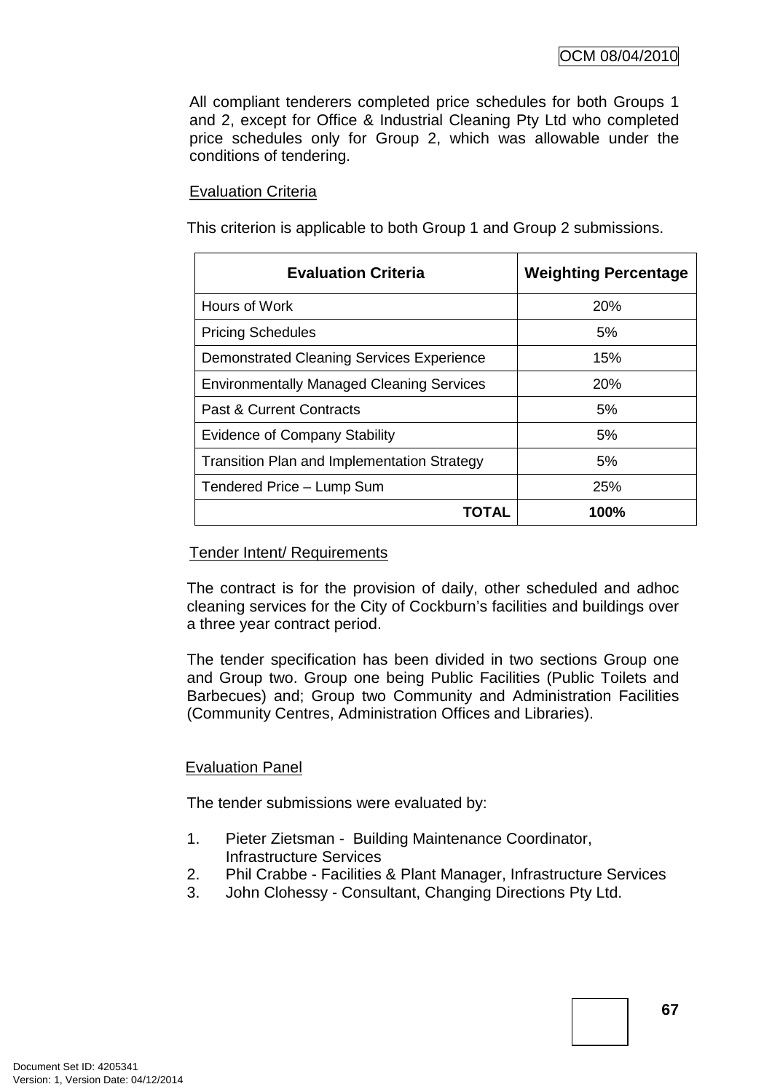All compliant tenderers completed price schedules for both Groups 1 and 2, except for Office & Industrial Cleaning Pty Ltd who completed price schedules only for Group 2, which was allowable under the conditions of tendering.

# Evaluation Criteria

This criterion is applicable to both Group 1 and Group 2 submissions.

| <b>Evaluation Criteria</b>                         | <b>Weighting Percentage</b> |
|----------------------------------------------------|-----------------------------|
| Hours of Work                                      | <b>20%</b>                  |
| <b>Pricing Schedules</b>                           | 5%                          |
| Demonstrated Cleaning Services Experience          | 15%                         |
| <b>Environmentally Managed Cleaning Services</b>   | <b>20%</b>                  |
| Past & Current Contracts                           | 5%                          |
| <b>Evidence of Company Stability</b>               | 5%                          |
| <b>Transition Plan and Implementation Strategy</b> | 5%                          |
| Tendered Price - Lump Sum                          | 25%                         |
|                                                    | 100%                        |

# Tender Intent/ Requirements

The contract is for the provision of daily, other scheduled and adhoc cleaning services for the City of Cockburn's facilities and buildings over a three year contract period.

The tender specification has been divided in two sections Group one and Group two. Group one being Public Facilities (Public Toilets and Barbecues) and; Group two Community and Administration Facilities (Community Centres, Administration Offices and Libraries).

# Evaluation Panel

The tender submissions were evaluated by:

- 1. Pieter Zietsman Building Maintenance Coordinator, Infrastructure Services
- 2. Phil Crabbe Facilities & Plant Manager, Infrastructure Services
- 3. John Clohessy Consultant, Changing Directions Pty Ltd.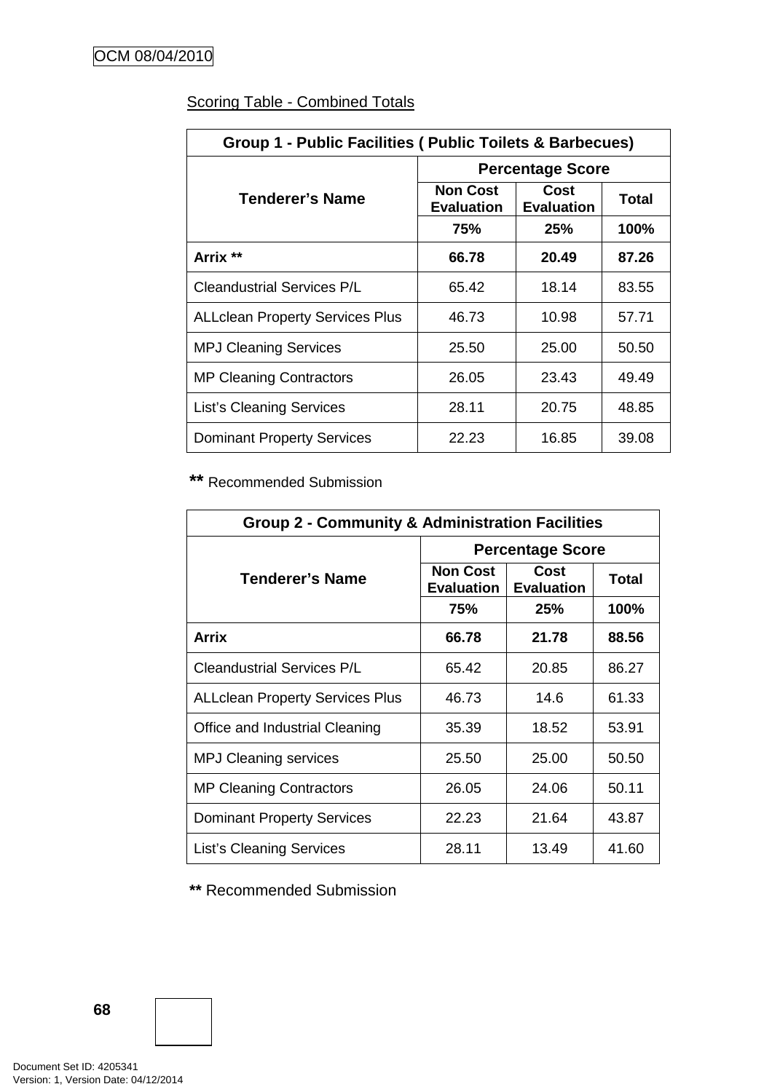| Group 1 - Public Facilities (Public Toilets & Barbecues) |                                      |                           |       |  |  |
|----------------------------------------------------------|--------------------------------------|---------------------------|-------|--|--|
|                                                          | <b>Percentage Score</b>              |                           |       |  |  |
| <b>Tenderer's Name</b>                                   | <b>Non Cost</b><br><b>Evaluation</b> | Cost<br><b>Evaluation</b> | Total |  |  |
|                                                          | 75%                                  | 25%                       | 100%  |  |  |
| Arrix **                                                 | 66.78                                | 20.49                     | 87.26 |  |  |
| <b>Cleandustrial Services P/L</b>                        | 65.42                                | 18.14                     | 83.55 |  |  |
| <b>ALLclean Property Services Plus</b>                   | 46.73                                | 10.98                     | 57.71 |  |  |
| <b>MPJ Cleaning Services</b>                             | 25.50                                | 25.00                     | 50.50 |  |  |
| <b>MP Cleaning Contractors</b>                           | 26.05                                | 23.43                     | 49.49 |  |  |
| <b>List's Cleaning Services</b>                          | 28.11                                | 20.75                     | 48.85 |  |  |
| <b>Dominant Property Services</b>                        | 22.23                                | 16.85                     | 39.08 |  |  |

# Scoring Table - Combined Totals

**\*\*** Recommended Submission

| <b>Group 2 - Community &amp; Administration Facilities</b> |                                      |                           |              |  |  |
|------------------------------------------------------------|--------------------------------------|---------------------------|--------------|--|--|
|                                                            | <b>Percentage Score</b>              |                           |              |  |  |
| <b>Tenderer's Name</b>                                     | <b>Non Cost</b><br><b>Evaluation</b> | Cost<br><b>Evaluation</b> | <b>Total</b> |  |  |
|                                                            | 75%                                  | 25%                       | 100%         |  |  |
| Arrix                                                      | 66.78                                | 21.78                     | 88.56        |  |  |
| <b>Cleandustrial Services P/L</b>                          | 65.42                                | 20.85                     | 86.27        |  |  |
| <b>ALLclean Property Services Plus</b>                     | 46.73                                | 14.6                      | 61.33        |  |  |
| Office and Industrial Cleaning                             | 35.39                                | 18.52                     | 53.91        |  |  |
| <b>MPJ Cleaning services</b>                               | 25.50                                | 25.00                     | 50.50        |  |  |
| <b>MP Cleaning Contractors</b>                             | 26.05                                | 24.06                     | 50.11        |  |  |
| <b>Dominant Property Services</b>                          | 22.23                                | 21.64                     | 43.87        |  |  |
| <b>List's Cleaning Services</b>                            | 28.11                                | 13.49                     | 41.60        |  |  |

**\*\*** Recommended Submission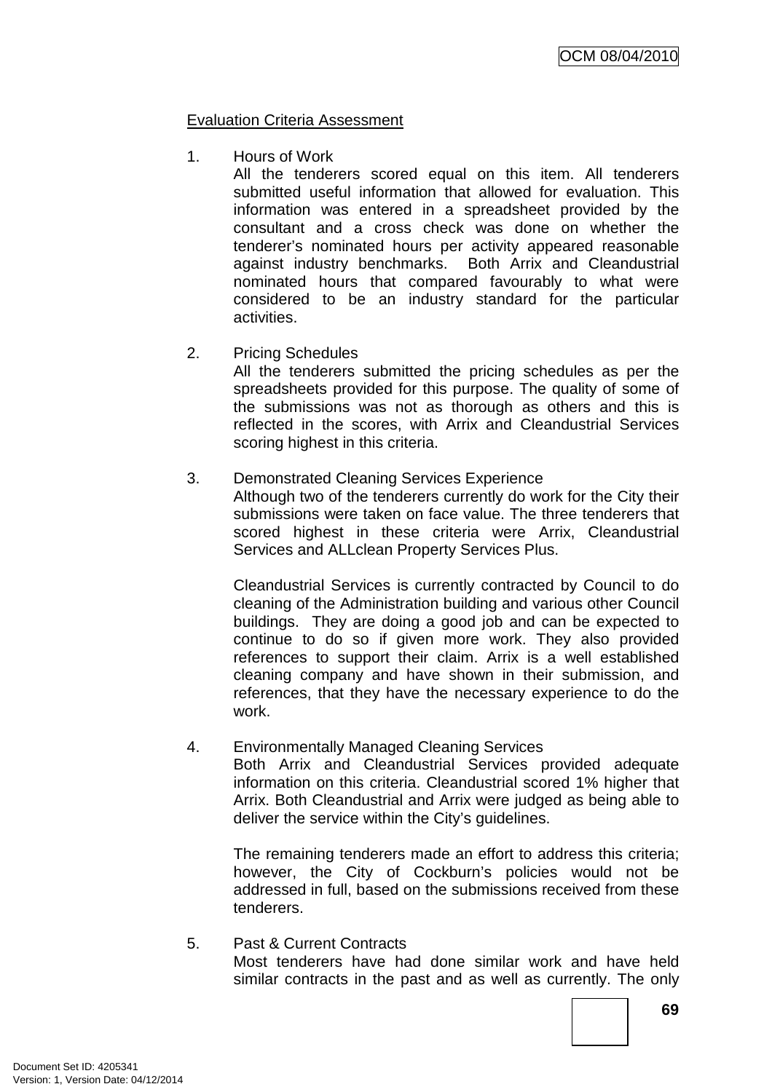### Evaluation Criteria Assessment

1. Hours of Work

All the tenderers scored equal on this item. All tenderers submitted useful information that allowed for evaluation. This information was entered in a spreadsheet provided by the consultant and a cross check was done on whether the tenderer's nominated hours per activity appeared reasonable against industry benchmarks. Both Arrix and Cleandustrial nominated hours that compared favourably to what were considered to be an industry standard for the particular activities.

2. Pricing Schedules

All the tenderers submitted the pricing schedules as per the spreadsheets provided for this purpose. The quality of some of the submissions was not as thorough as others and this is reflected in the scores, with Arrix and Cleandustrial Services scoring highest in this criteria.

### 3. Demonstrated Cleaning Services Experience

Although two of the tenderers currently do work for the City their submissions were taken on face value. The three tenderers that scored highest in these criteria were Arrix, Cleandustrial Services and ALLclean Property Services Plus.

Cleandustrial Services is currently contracted by Council to do cleaning of the Administration building and various other Council buildings. They are doing a good job and can be expected to continue to do so if given more work. They also provided references to support their claim. Arrix is a well established cleaning company and have shown in their submission, and references, that they have the necessary experience to do the work.

#### 4. Environmentally Managed Cleaning Services

Both Arrix and Cleandustrial Services provided adequate information on this criteria. Cleandustrial scored 1% higher that Arrix. Both Cleandustrial and Arrix were judged as being able to deliver the service within the City's guidelines.

The remaining tenderers made an effort to address this criteria; however, the City of Cockburn's policies would not be addressed in full, based on the submissions received from these tenderers.

#### 5. Past & Current Contracts

Most tenderers have had done similar work and have held similar contracts in the past and as well as currently. The only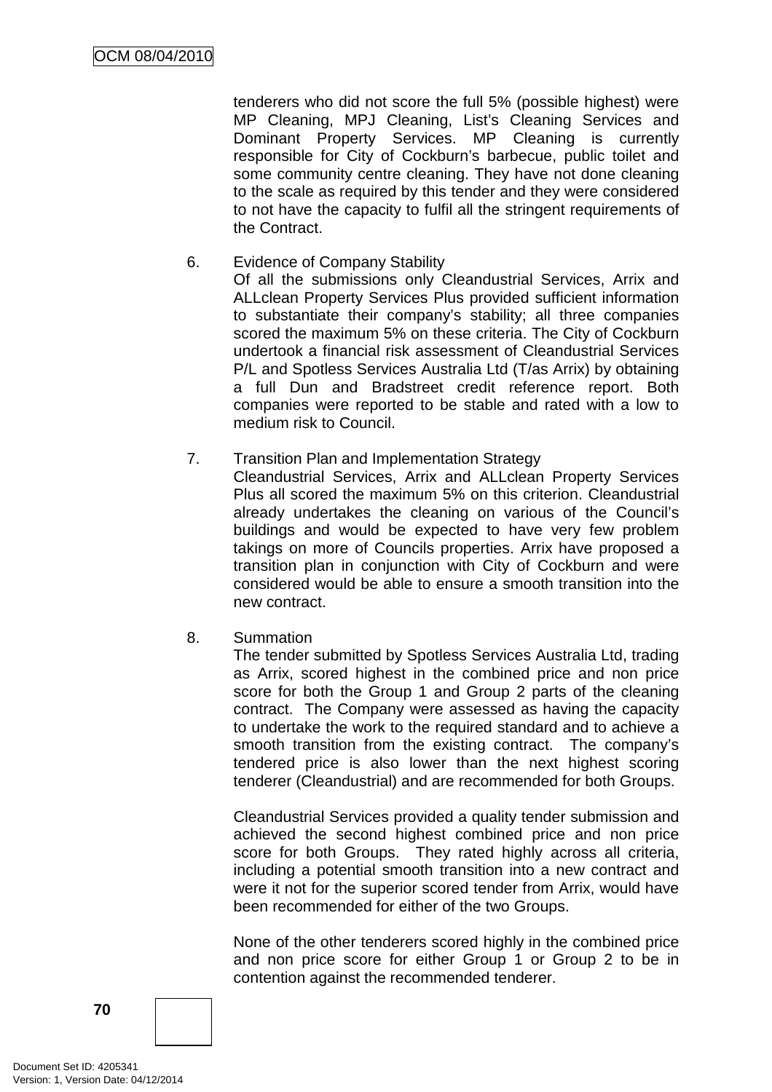tenderers who did not score the full 5% (possible highest) were MP Cleaning, MPJ Cleaning, List's Cleaning Services and Dominant Property Services. MP Cleaning is currently responsible for City of Cockburn's barbecue, public toilet and some community centre cleaning. They have not done cleaning to the scale as required by this tender and they were considered to not have the capacity to fulfil all the stringent requirements of the Contract.

- 6. Evidence of Company Stability Of all the submissions only Cleandustrial Services, Arrix and ALLclean Property Services Plus provided sufficient information to substantiate their company's stability; all three companies scored the maximum 5% on these criteria. The City of Cockburn undertook a financial risk assessment of Cleandustrial Services P/L and Spotless Services Australia Ltd (T/as Arrix) by obtaining a full Dun and Bradstreet credit reference report. Both companies were reported to be stable and rated with a low to medium risk to Council.
- 7. Transition Plan and Implementation Strategy Cleandustrial Services, Arrix and ALLclean Property Services Plus all scored the maximum 5% on this criterion. Cleandustrial already undertakes the cleaning on various of the Council's buildings and would be expected to have very few problem takings on more of Councils properties. Arrix have proposed a transition plan in conjunction with City of Cockburn and were considered would be able to ensure a smooth transition into the
- 8. Summation

new contract.

The tender submitted by Spotless Services Australia Ltd, trading as Arrix, scored highest in the combined price and non price score for both the Group 1 and Group 2 parts of the cleaning contract. The Company were assessed as having the capacity to undertake the work to the required standard and to achieve a smooth transition from the existing contract. The company's tendered price is also lower than the next highest scoring tenderer (Cleandustrial) and are recommended for both Groups.

Cleandustrial Services provided a quality tender submission and achieved the second highest combined price and non price score for both Groups. They rated highly across all criteria, including a potential smooth transition into a new contract and were it not for the superior scored tender from Arrix, would have been recommended for either of the two Groups.

None of the other tenderers scored highly in the combined price and non price score for either Group 1 or Group 2 to be in contention against the recommended tenderer.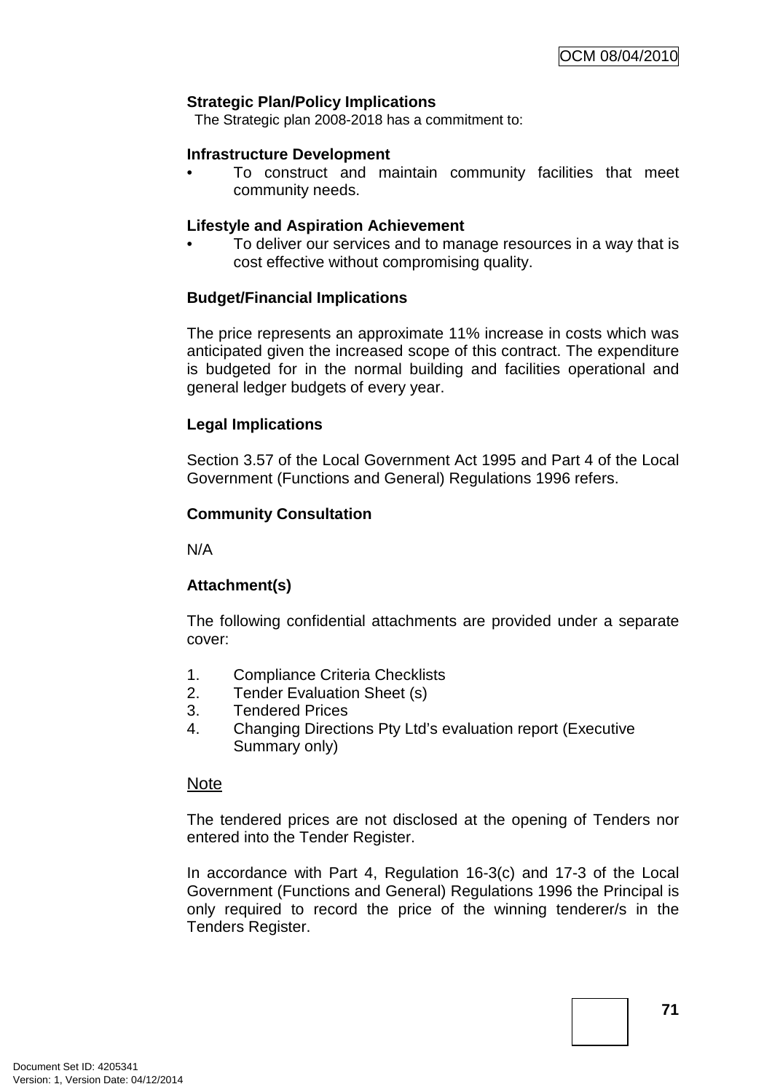#### **Strategic Plan/Policy Implications**

The Strategic plan 2008-2018 has a commitment to:

#### **Infrastructure Development**

• To construct and maintain community facilities that meet community needs.

#### **Lifestyle and Aspiration Achievement**

• To deliver our services and to manage resources in a way that is cost effective without compromising quality.

#### **Budget/Financial Implications**

The price represents an approximate 11% increase in costs which was anticipated given the increased scope of this contract. The expenditure is budgeted for in the normal building and facilities operational and general ledger budgets of every year.

#### **Legal Implications**

Section 3.57 of the Local Government Act 1995 and Part 4 of the Local Government (Functions and General) Regulations 1996 refers.

#### **Community Consultation**

N/A

#### **Attachment(s)**

The following confidential attachments are provided under a separate cover:

- 1. Compliance Criteria Checklists
- 2. Tender Evaluation Sheet (s)
- 3. Tendered Prices
- 4. Changing Directions Pty Ltd's evaluation report (Executive Summary only)

#### Note

The tendered prices are not disclosed at the opening of Tenders nor entered into the Tender Register.

In accordance with Part 4, Regulation 16-3(c) and 17-3 of the Local Government (Functions and General) Regulations 1996 the Principal is only required to record the price of the winning tenderer/s in the Tenders Register.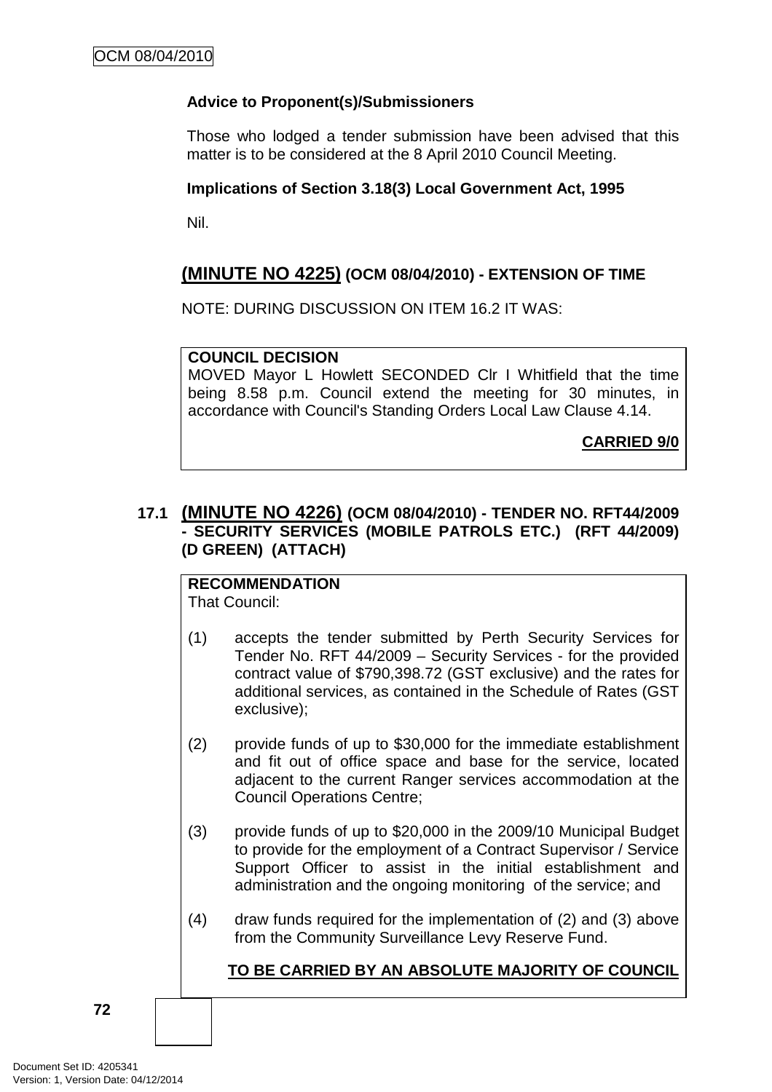## **Advice to Proponent(s)/Submissioners**

Those who lodged a tender submission have been advised that this matter is to be considered at the 8 April 2010 Council Meeting.

### **Implications of Section 3.18(3) Local Government Act, 1995**

Nil.

# **(MINUTE NO 4225) (OCM 08/04/2010) - EXTENSION OF TIME**

NOTE: DURING DISCUSSION ON ITEM 16.2 IT WAS:

### **COUNCIL DECISION**

MOVED Mayor L Howlett SECONDED Clr I Whitfield that the time being 8.58 p.m. Council extend the meeting for 30 minutes, in accordance with Council's Standing Orders Local Law Clause 4.14.

**CARRIED 9/0**

## **17.1 (MINUTE NO 4226) (OCM 08/04/2010) - TENDER NO. RFT44/2009 - SECURITY SERVICES (MOBILE PATROLS ETC.) (RFT 44/2009) (D GREEN) (ATTACH)**

# **RECOMMENDATION**

That Council:

- (1) accepts the tender submitted by Perth Security Services for Tender No. RFT 44/2009 – Security Services - for the provided contract value of \$790,398.72 (GST exclusive) and the rates for additional services, as contained in the Schedule of Rates (GST exclusive);
- (2) provide funds of up to \$30,000 for the immediate establishment and fit out of office space and base for the service, located adjacent to the current Ranger services accommodation at the Council Operations Centre;
- (3) provide funds of up to \$20,000 in the 2009/10 Municipal Budget to provide for the employment of a Contract Supervisor / Service Support Officer to assist in the initial establishment and administration and the ongoing monitoring of the service; and
- (4) draw funds required for the implementation of (2) and (3) above from the Community Surveillance Levy Reserve Fund.

## **TO BE CARRIED BY AN ABSOLUTE MAJORITY OF COUNCIL**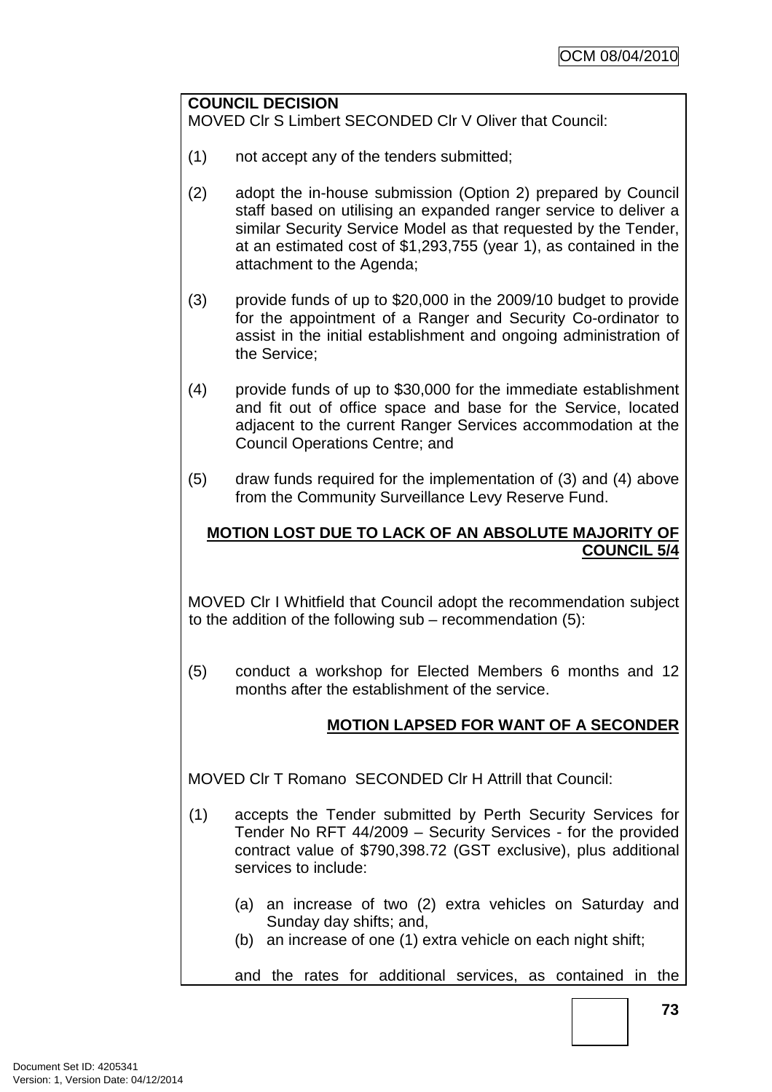#### **COUNCIL DECISION**

MOVED Clr S Limbert SECONDED Clr V Oliver that Council:

- (1) not accept any of the tenders submitted;
- (2) adopt the in-house submission (Option 2) prepared by Council staff based on utilising an expanded ranger service to deliver a similar Security Service Model as that requested by the Tender, at an estimated cost of \$1,293,755 (year 1), as contained in the attachment to the Agenda;
- (3) provide funds of up to \$20,000 in the 2009/10 budget to provide for the appointment of a Ranger and Security Co-ordinator to assist in the initial establishment and ongoing administration of the Service;
- (4) provide funds of up to \$30,000 for the immediate establishment and fit out of office space and base for the Service, located adjacent to the current Ranger Services accommodation at the Council Operations Centre; and
- (5) draw funds required for the implementation of (3) and (4) above from the Community Surveillance Levy Reserve Fund.

## **MOTION LOST DUE TO LACK OF AN ABSOLUTE MAJORITY OF COUNCIL 5/4**

MOVED Clr I Whitfield that Council adopt the recommendation subject to the addition of the following sub – recommendation (5):

(5) conduct a workshop for Elected Members 6 months and 12 months after the establishment of the service.

## **MOTION LAPSED FOR WANT OF A SECONDER**

MOVED Clr T Romano SECONDED Clr H Attrill that Council:

- (1) accepts the Tender submitted by Perth Security Services for Tender No RFT 44/2009 – Security Services - for the provided contract value of \$790,398.72 (GST exclusive), plus additional services to include:
	- (a) an increase of two (2) extra vehicles on Saturday and Sunday day shifts; and,
	- (b) an increase of one (1) extra vehicle on each night shift;

and the rates for additional services, as contained in the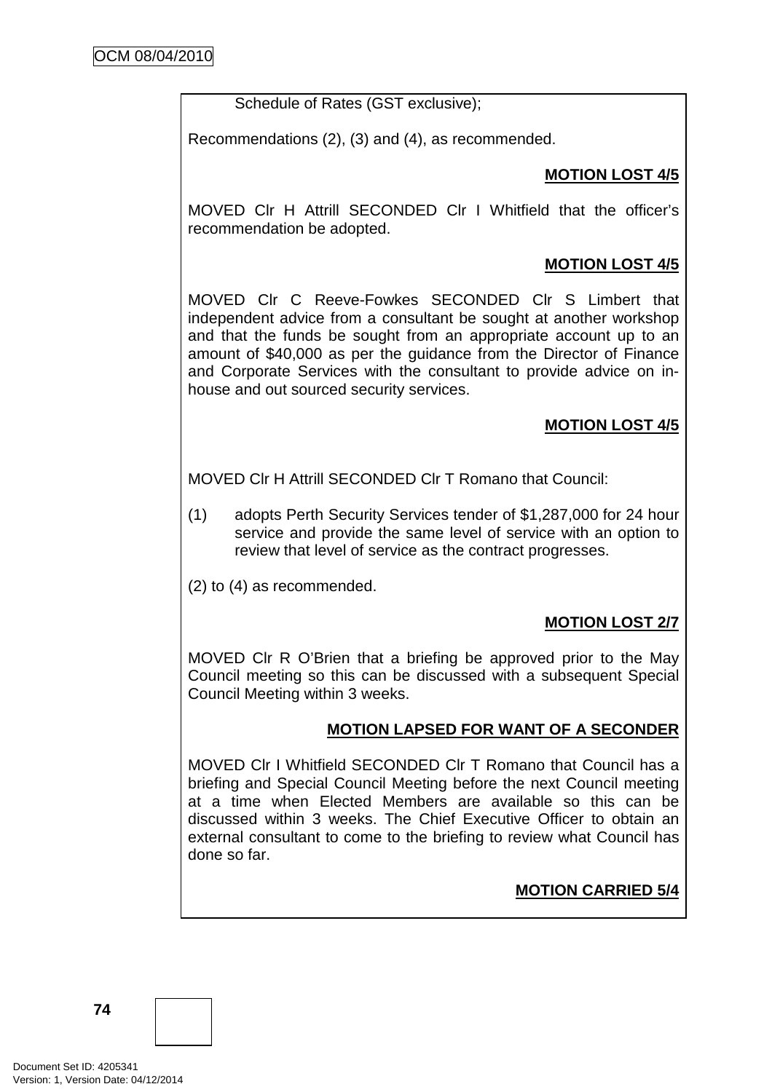Schedule of Rates (GST exclusive);

Recommendations (2), (3) and (4), as recommended.

## **MOTION LOST 4/5**

MOVED Clr H Attrill SECONDED Clr I Whitfield that the officer's recommendation be adopted.

## **MOTION LOST 4/5**

MOVED Clr C Reeve-Fowkes SECONDED Clr S Limbert that independent advice from a consultant be sought at another workshop and that the funds be sought from an appropriate account up to an amount of \$40,000 as per the guidance from the Director of Finance and Corporate Services with the consultant to provide advice on inhouse and out sourced security services.

## **MOTION LOST 4/5**

MOVED Clr H Attrill SECONDED Clr T Romano that Council:

- (1) adopts Perth Security Services tender of \$1,287,000 for 24 hour service and provide the same level of service with an option to review that level of service as the contract progresses.
- (2) to (4) as recommended.

## **MOTION LOST 2/7**

MOVED Clr R O'Brien that a briefing be approved prior to the May Council meeting so this can be discussed with a subsequent Special Council Meeting within 3 weeks.

#### **MOTION LAPSED FOR WANT OF A SECONDER**

MOVED Clr I Whitfield SECONDED Clr T Romano that Council has a briefing and Special Council Meeting before the next Council meeting at a time when Elected Members are available so this can be discussed within 3 weeks. The Chief Executive Officer to obtain an external consultant to come to the briefing to review what Council has done so far.

## **MOTION CARRIED 5/4**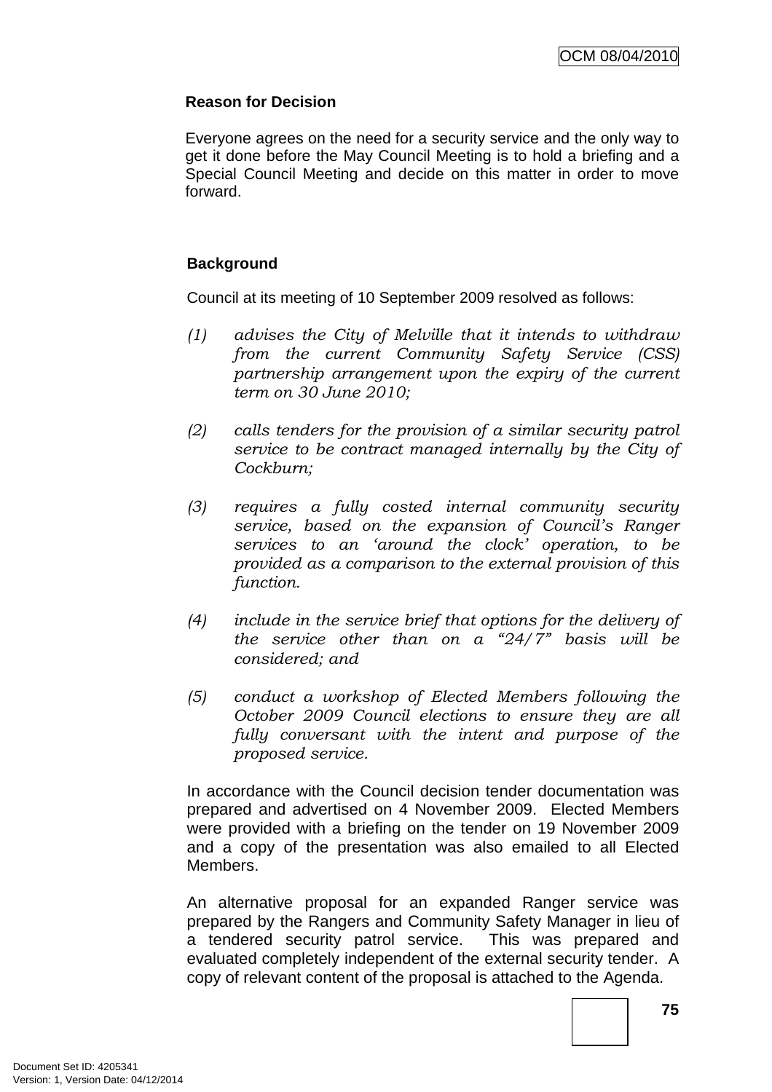## **Reason for Decision**

Everyone agrees on the need for a security service and the only way to get it done before the May Council Meeting is to hold a briefing and a Special Council Meeting and decide on this matter in order to move forward.

## **Background**

Council at its meeting of 10 September 2009 resolved as follows:

- (1) advises the City of Melville that it intends to withdraw from the current Community Safety Service (CSS) partnership arrangement upon the expiry of the current term on 30 June 2010;
- (2) calls tenders for the provision of a similar security patrol service to be contract managed internally by the City of Cockburn;
- (3) requires a fully costed internal community security service, based on the expansion of Council's Ranger services to an 'around the clock' operation, to be provided as a comparison to the external provision of this function.
- (4) include in the service brief that options for the delivery of the service other than on a  $24/7$ " basis will be considered; and
- (5) conduct a workshop of Elected Members following the October 2009 Council elections to ensure they are all fully conversant with the intent and purpose of the proposed service.

In accordance with the Council decision tender documentation was prepared and advertised on 4 November 2009. Elected Members were provided with a briefing on the tender on 19 November 2009 and a copy of the presentation was also emailed to all Elected Members.

An alternative proposal for an expanded Ranger service was prepared by the Rangers and Community Safety Manager in lieu of a tendered security patrol service. This was prepared and evaluated completely independent of the external security tender. A copy of relevant content of the proposal is attached to the Agenda.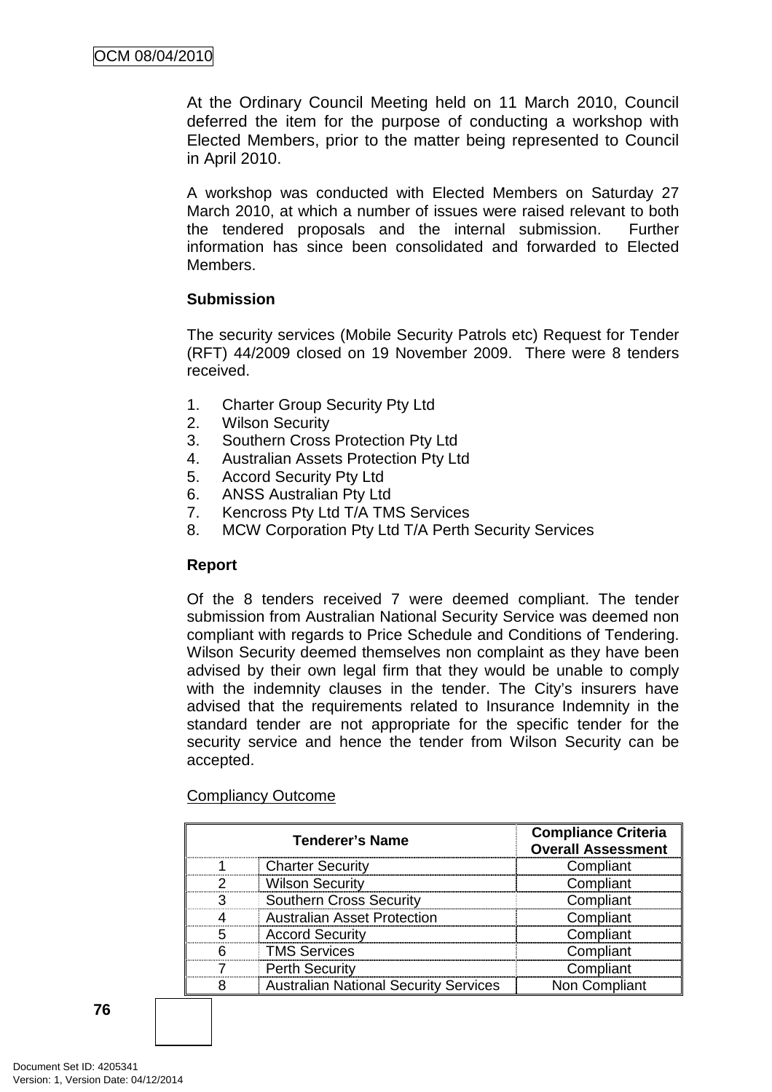At the Ordinary Council Meeting held on 11 March 2010, Council deferred the item for the purpose of conducting a workshop with Elected Members, prior to the matter being represented to Council in April 2010.

A workshop was conducted with Elected Members on Saturday 27 March 2010, at which a number of issues were raised relevant to both the tendered proposals and the internal submission. Further information has since been consolidated and forwarded to Elected Members.

## **Submission**

The security services (Mobile Security Patrols etc) Request for Tender (RFT) 44/2009 closed on 19 November 2009. There were 8 tenders received.

- 1. Charter Group Security Pty Ltd
- 2. Wilson Security
- 3. Southern Cross Protection Pty Ltd
- 4. Australian Assets Protection Pty Ltd
- 5. Accord Security Pty Ltd
- 6. ANSS Australian Pty Ltd
- 7. Kencross Pty Ltd T/A TMS Services
- 8. MCW Corporation Pty Ltd T/A Perth Security Services

## **Report**

Of the 8 tenders received 7 were deemed compliant. The tender submission from Australian National Security Service was deemed non compliant with regards to Price Schedule and Conditions of Tendering. Wilson Security deemed themselves non complaint as they have been advised by their own legal firm that they would be unable to comply with the indemnity clauses in the tender. The City's insurers have advised that the requirements related to Insurance Indemnity in the standard tender are not appropriate for the specific tender for the security service and hence the tender from Wilson Security can be accepted.

| <b>Tenderer's Name</b> |                                              | <b>Compliance Criteria</b><br><b>Overall Assessment</b> |
|------------------------|----------------------------------------------|---------------------------------------------------------|
|                        | <b>Charter Security</b>                      | Compliant                                               |
|                        | <b>Wilson Security</b>                       | Compliant                                               |
| ≏                      | <b>Southern Cross Security</b>               | Compliant                                               |
|                        | <b>Australian Asset Protection</b>           | Compliant                                               |
| г,                     | <b>Accord Security</b>                       | Compliant                                               |
|                        | <b>TMS Services</b>                          | Compliant                                               |
|                        | <b>Perth Security</b>                        | Compliant                                               |
|                        | <b>Australian National Security Services</b> | Non Compliant                                           |

## Compliancy Outcome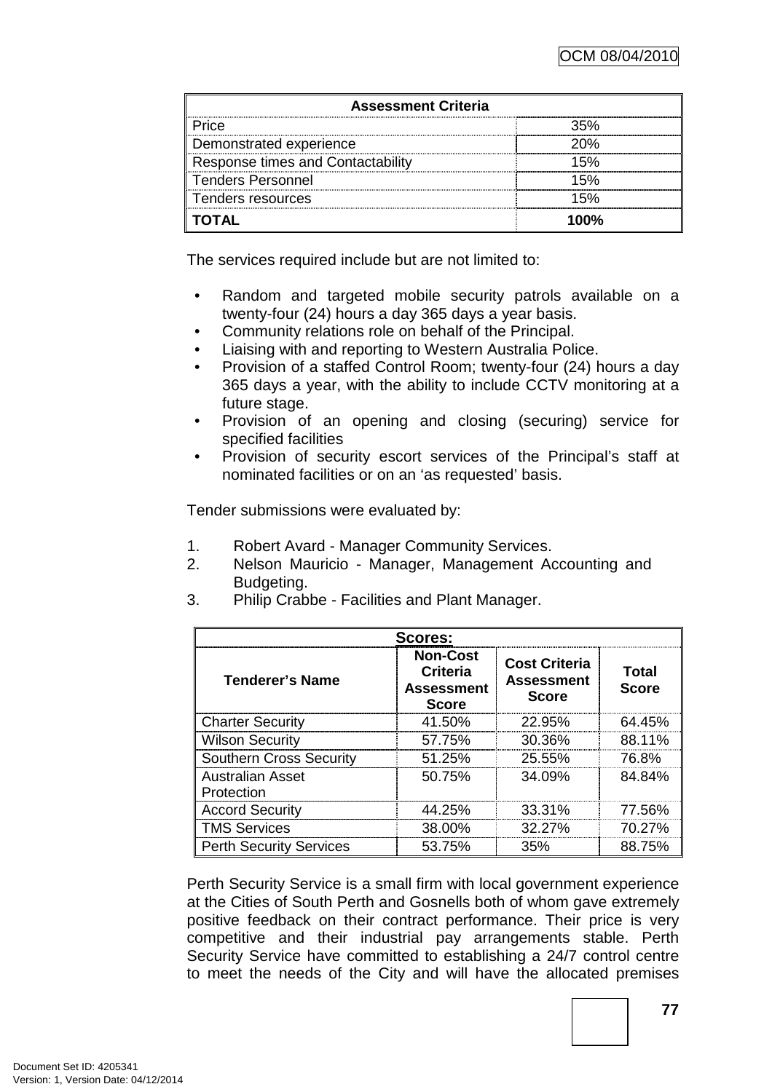| <b>Assessment Criteria</b>               |       |  |  |
|------------------------------------------|-------|--|--|
| ⊃rice.                                   |       |  |  |
| Demonstrated experience                  | ንበ%   |  |  |
| <b>Response times and Contactability</b> | 50    |  |  |
| <b>Tenders Personnel</b>                 |       |  |  |
| Tenders resources                        |       |  |  |
| <b>TOTAL</b>                             | 1 በበ% |  |  |

The services required include but are not limited to:

- Random and targeted mobile security patrols available on a twenty-four (24) hours a day 365 days a year basis.
- Community relations role on behalf of the Principal.
- Liaising with and reporting to Western Australia Police.
- Provision of a staffed Control Room; twenty-four (24) hours a day 365 days a year, with the ability to include CCTV monitoring at a future stage.
- Provision of an opening and closing (securing) service for specified facilities
- Provision of security escort services of the Principal's staff at nominated facilities or on an 'as requested' basis.

Tender submissions were evaluated by:

- 1. Robert Avard Manager Community Services.
- 2. Nelson Mauricio Manager, Management Accounting and Budgeting.
- 3. Philip Crabbe Facilities and Plant Manager.

| Scores:                               |                                                                         |                                                           |                       |  |
|---------------------------------------|-------------------------------------------------------------------------|-----------------------------------------------------------|-----------------------|--|
| Tenderer's Name                       | <b>Non-Cost</b><br><b>Criteria</b><br><b>Assessment</b><br><b>Score</b> | <b>Cost Criteria</b><br><b>Assessment</b><br><b>Score</b> | Total<br><b>Score</b> |  |
| <b>Charter Security</b>               | 41.50%                                                                  | 22.95%                                                    | 64.45%                |  |
| <b>Wilson Security</b>                | 57.75%                                                                  | 30.36%                                                    | 88.11%                |  |
| <b>Southern Cross Security</b>        | 51.25%                                                                  | 25.55%                                                    | 76.8%                 |  |
| <b>Australian Asset</b><br>Protection | 50.75%                                                                  | 34.09%                                                    | 84.84%                |  |
| <b>Accord Security</b>                | 44.25%                                                                  | 33.31%                                                    | 77.56%                |  |
| <b>TMS Services</b>                   | 38.00%                                                                  | 32.27%                                                    | 70.27%                |  |
| <b>Perth Security Services</b>        | 53.75%                                                                  | 35%                                                       | 88.75%                |  |

Perth Security Service is a small firm with local government experience at the Cities of South Perth and Gosnells both of whom gave extremely positive feedback on their contract performance. Their price is very competitive and their industrial pay arrangements stable. Perth Security Service have committed to establishing a 24/7 control centre to meet the needs of the City and will have the allocated premises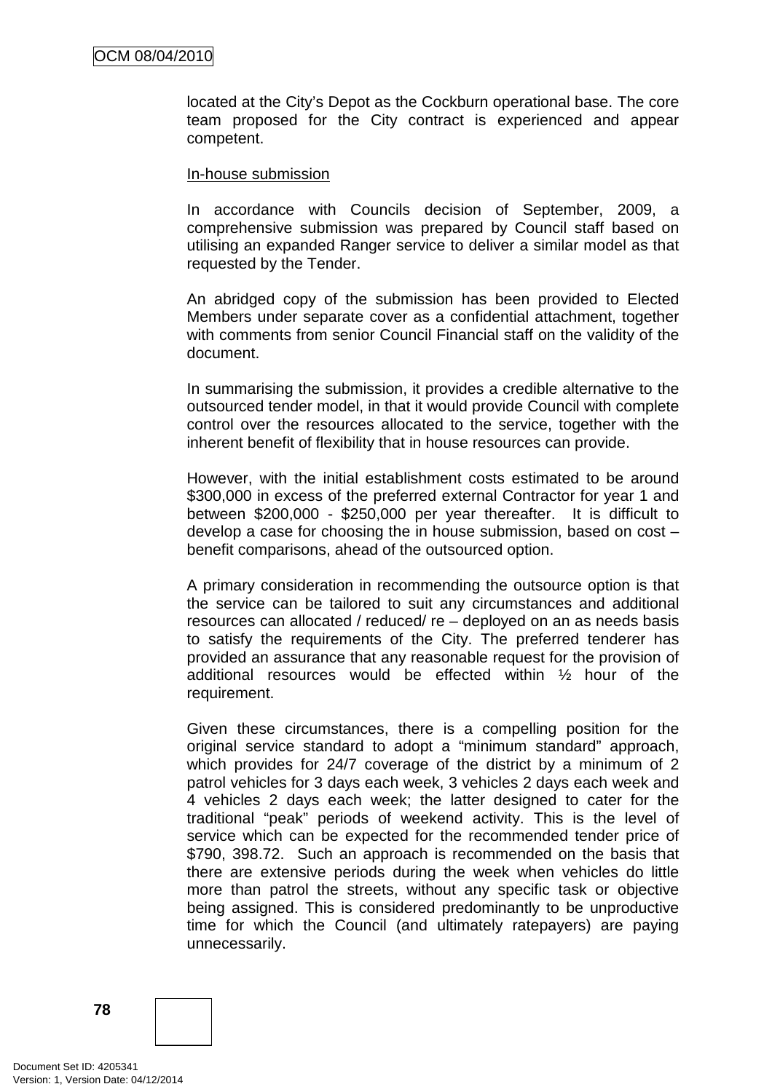located at the City's Depot as the Cockburn operational base. The core team proposed for the City contract is experienced and appear competent.

#### In-house submission

In accordance with Councils decision of September, 2009, a comprehensive submission was prepared by Council staff based on utilising an expanded Ranger service to deliver a similar model as that requested by the Tender.

An abridged copy of the submission has been provided to Elected Members under separate cover as a confidential attachment, together with comments from senior Council Financial staff on the validity of the document.

In summarising the submission, it provides a credible alternative to the outsourced tender model, in that it would provide Council with complete control over the resources allocated to the service, together with the inherent benefit of flexibility that in house resources can provide.

However, with the initial establishment costs estimated to be around \$300,000 in excess of the preferred external Contractor for year 1 and between \$200,000 - \$250,000 per year thereafter. It is difficult to develop a case for choosing the in house submission, based on cost – benefit comparisons, ahead of the outsourced option.

A primary consideration in recommending the outsource option is that the service can be tailored to suit any circumstances and additional resources can allocated / reduced/ re – deployed on an as needs basis to satisfy the requirements of the City. The preferred tenderer has provided an assurance that any reasonable request for the provision of additional resources would be effected within ½ hour of the requirement.

Given these circumstances, there is a compelling position for the original service standard to adopt a "minimum standard" approach, which provides for 24/7 coverage of the district by a minimum of 2 patrol vehicles for 3 days each week, 3 vehicles 2 days each week and 4 vehicles 2 days each week; the latter designed to cater for the traditional "peak" periods of weekend activity. This is the level of service which can be expected for the recommended tender price of \$790, 398.72. Such an approach is recommended on the basis that there are extensive periods during the week when vehicles do little more than patrol the streets, without any specific task or objective being assigned. This is considered predominantly to be unproductive time for which the Council (and ultimately ratepayers) are paying unnecessarily.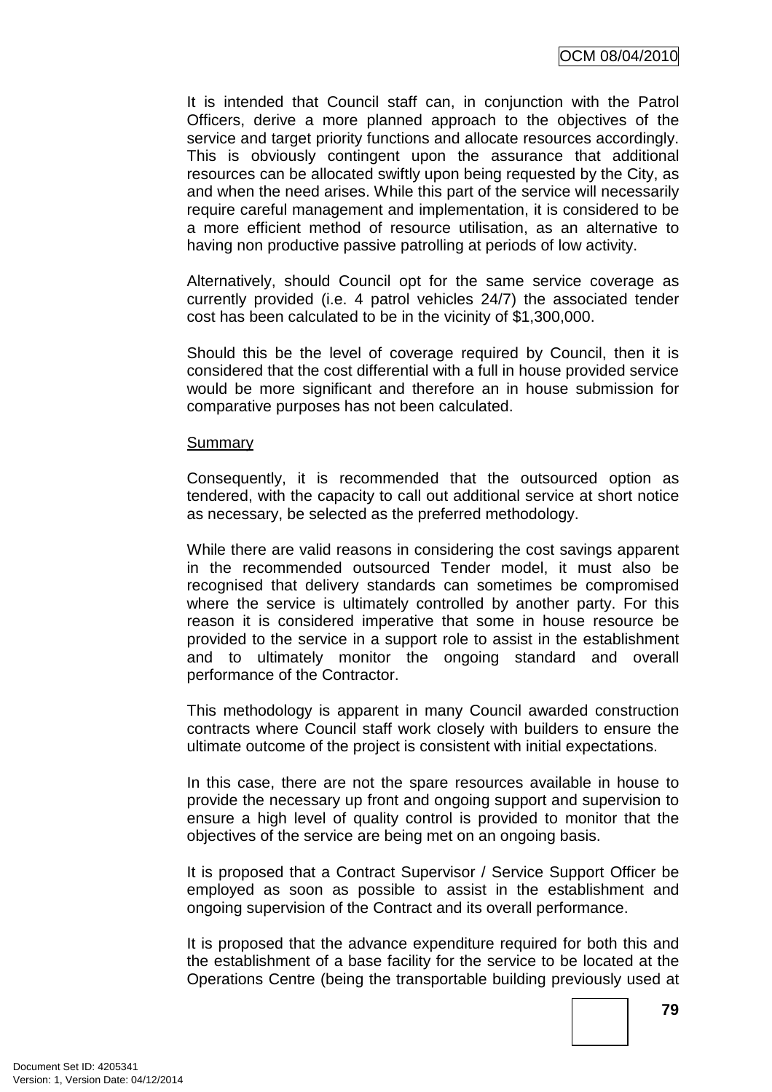It is intended that Council staff can, in conjunction with the Patrol Officers, derive a more planned approach to the objectives of the service and target priority functions and allocate resources accordingly. This is obviously contingent upon the assurance that additional resources can be allocated swiftly upon being requested by the City, as and when the need arises. While this part of the service will necessarily require careful management and implementation, it is considered to be a more efficient method of resource utilisation, as an alternative to having non productive passive patrolling at periods of low activity.

Alternatively, should Council opt for the same service coverage as currently provided (i.e. 4 patrol vehicles 24/7) the associated tender cost has been calculated to be in the vicinity of \$1,300,000.

Should this be the level of coverage required by Council, then it is considered that the cost differential with a full in house provided service would be more significant and therefore an in house submission for comparative purposes has not been calculated.

#### **Summary**

Consequently, it is recommended that the outsourced option as tendered, with the capacity to call out additional service at short notice as necessary, be selected as the preferred methodology.

While there are valid reasons in considering the cost savings apparent in the recommended outsourced Tender model, it must also be recognised that delivery standards can sometimes be compromised where the service is ultimately controlled by another party. For this reason it is considered imperative that some in house resource be provided to the service in a support role to assist in the establishment and to ultimately monitor the ongoing standard and overall performance of the Contractor.

This methodology is apparent in many Council awarded construction contracts where Council staff work closely with builders to ensure the ultimate outcome of the project is consistent with initial expectations.

In this case, there are not the spare resources available in house to provide the necessary up front and ongoing support and supervision to ensure a high level of quality control is provided to monitor that the objectives of the service are being met on an ongoing basis.

It is proposed that a Contract Supervisor / Service Support Officer be employed as soon as possible to assist in the establishment and ongoing supervision of the Contract and its overall performance.

It is proposed that the advance expenditure required for both this and the establishment of a base facility for the service to be located at the Operations Centre (being the transportable building previously used at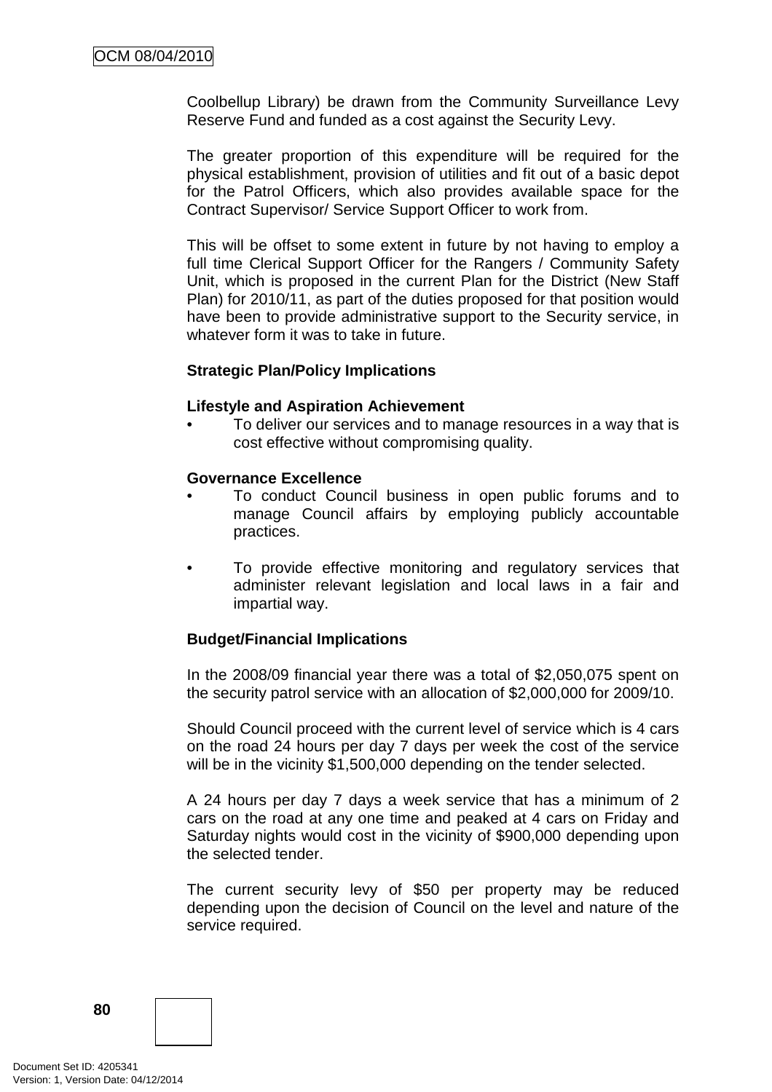Coolbellup Library) be drawn from the Community Surveillance Levy Reserve Fund and funded as a cost against the Security Levy.

The greater proportion of this expenditure will be required for the physical establishment, provision of utilities and fit out of a basic depot for the Patrol Officers, which also provides available space for the Contract Supervisor/ Service Support Officer to work from.

This will be offset to some extent in future by not having to employ a full time Clerical Support Officer for the Rangers / Community Safety Unit, which is proposed in the current Plan for the District (New Staff Plan) for 2010/11, as part of the duties proposed for that position would have been to provide administrative support to the Security service, in whatever form it was to take in future.

#### **Strategic Plan/Policy Implications**

#### **Lifestyle and Aspiration Achievement**

• To deliver our services and to manage resources in a way that is cost effective without compromising quality.

#### **Governance Excellence**

- To conduct Council business in open public forums and to manage Council affairs by employing publicly accountable practices.
- To provide effective monitoring and regulatory services that administer relevant legislation and local laws in a fair and impartial way.

#### **Budget/Financial Implications**

In the 2008/09 financial year there was a total of \$2,050,075 spent on the security patrol service with an allocation of \$2,000,000 for 2009/10.

Should Council proceed with the current level of service which is 4 cars on the road 24 hours per day 7 days per week the cost of the service will be in the vicinity \$1,500,000 depending on the tender selected.

A 24 hours per day 7 days a week service that has a minimum of 2 cars on the road at any one time and peaked at 4 cars on Friday and Saturday nights would cost in the vicinity of \$900,000 depending upon the selected tender.

The current security levy of \$50 per property may be reduced depending upon the decision of Council on the level and nature of the service required.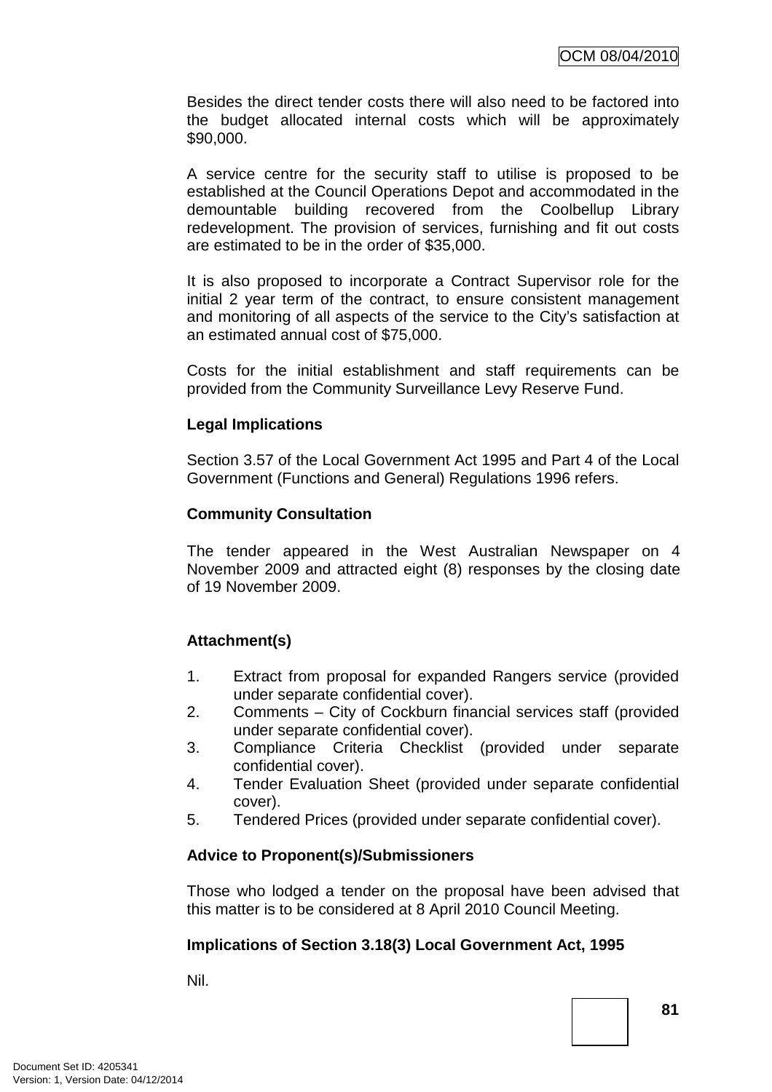Besides the direct tender costs there will also need to be factored into the budget allocated internal costs which will be approximately \$90,000.

A service centre for the security staff to utilise is proposed to be established at the Council Operations Depot and accommodated in the demountable building recovered from the Coolbellup Library redevelopment. The provision of services, furnishing and fit out costs are estimated to be in the order of \$35,000.

It is also proposed to incorporate a Contract Supervisor role for the initial 2 year term of the contract, to ensure consistent management and monitoring of all aspects of the service to the City's satisfaction at an estimated annual cost of \$75,000.

Costs for the initial establishment and staff requirements can be provided from the Community Surveillance Levy Reserve Fund.

### **Legal Implications**

Section 3.57 of the Local Government Act 1995 and Part 4 of the Local Government (Functions and General) Regulations 1996 refers.

### **Community Consultation**

The tender appeared in the West Australian Newspaper on 4 November 2009 and attracted eight (8) responses by the closing date of 19 November 2009.

## **Attachment(s)**

- 1. Extract from proposal for expanded Rangers service (provided under separate confidential cover).
- 2. Comments City of Cockburn financial services staff (provided under separate confidential cover).
- 3. Compliance Criteria Checklist (provided under separate confidential cover).
- 4. Tender Evaluation Sheet (provided under separate confidential cover).
- 5. Tendered Prices (provided under separate confidential cover).

## **Advice to Proponent(s)/Submissioners**

Those who lodged a tender on the proposal have been advised that this matter is to be considered at 8 April 2010 Council Meeting.

## **Implications of Section 3.18(3) Local Government Act, 1995**

Nil.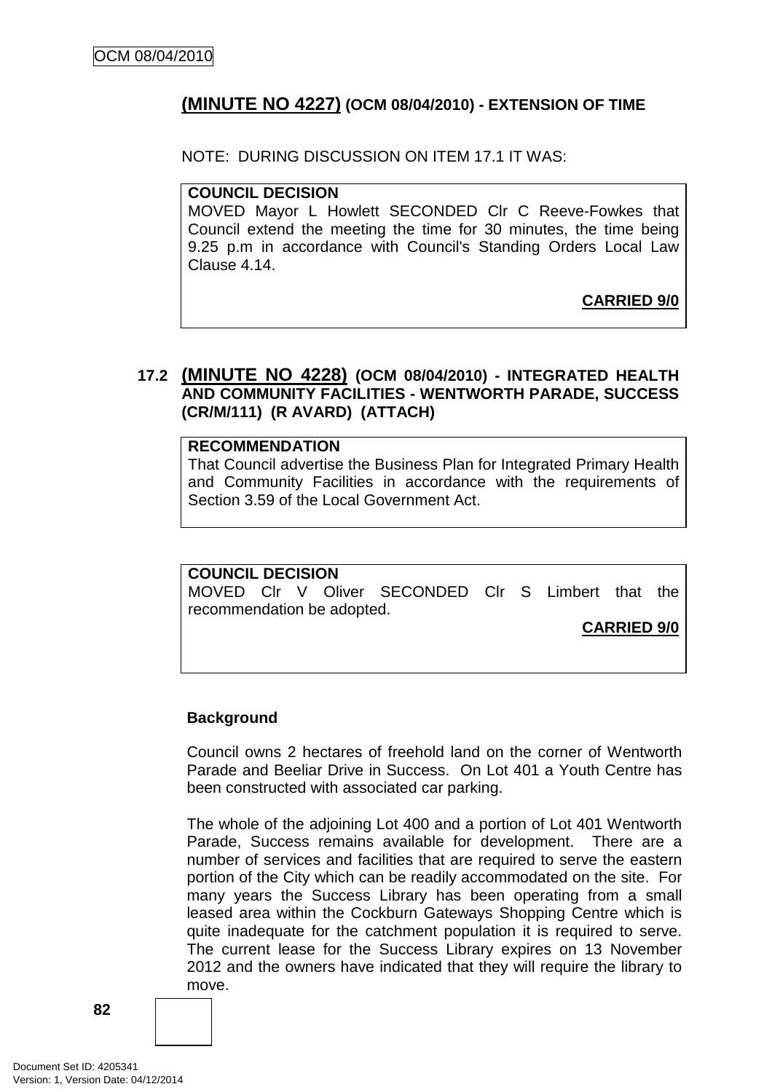## **(MINUTE NO 4227) (OCM 08/04/2010) - EXTENSION OF TIME**

NOTE: DURING DISCUSSION ON ITEM 17.1 IT WAS:

### **COUNCIL DECISION**

MOVED Mayor L Howlett SECONDED Clr C Reeve-Fowkes that Council extend the meeting the time for 30 minutes, the time being 9.25 p.m in accordance with Council's Standing Orders Local Law Clause 4.14.

## **CARRIED 9/0**

### **17.2 (MINUTE NO 4228) (OCM 08/04/2010) - INTEGRATED HEALTH AND COMMUNITY FACILITIES - WENTWORTH PARADE, SUCCESS (CR/M/111) (R AVARD) (ATTACH)**

#### **RECOMMENDATION**

That Council advertise the Business Plan for Integrated Primary Health and Community Facilities in accordance with the requirements of Section 3.59 of the Local Government Act.

#### **COUNCIL DECISION**

MOVED Clr V Oliver SECONDED Clr S Limbert that the recommendation be adopted.

**CARRIED 9/0**

#### **Background**

Council owns 2 hectares of freehold land on the corner of Wentworth Parade and Beeliar Drive in Success. On Lot 401 a Youth Centre has been constructed with associated car parking.

The whole of the adjoining Lot 400 and a portion of Lot 401 Wentworth Parade, Success remains available for development. There are a number of services and facilities that are required to serve the eastern portion of the City which can be readily accommodated on the site. For many years the Success Library has been operating from a small leased area within the Cockburn Gateways Shopping Centre which is quite inadequate for the catchment population it is required to serve. The current lease for the Success Library expires on 13 November 2012 and the owners have indicated that they will require the library to move.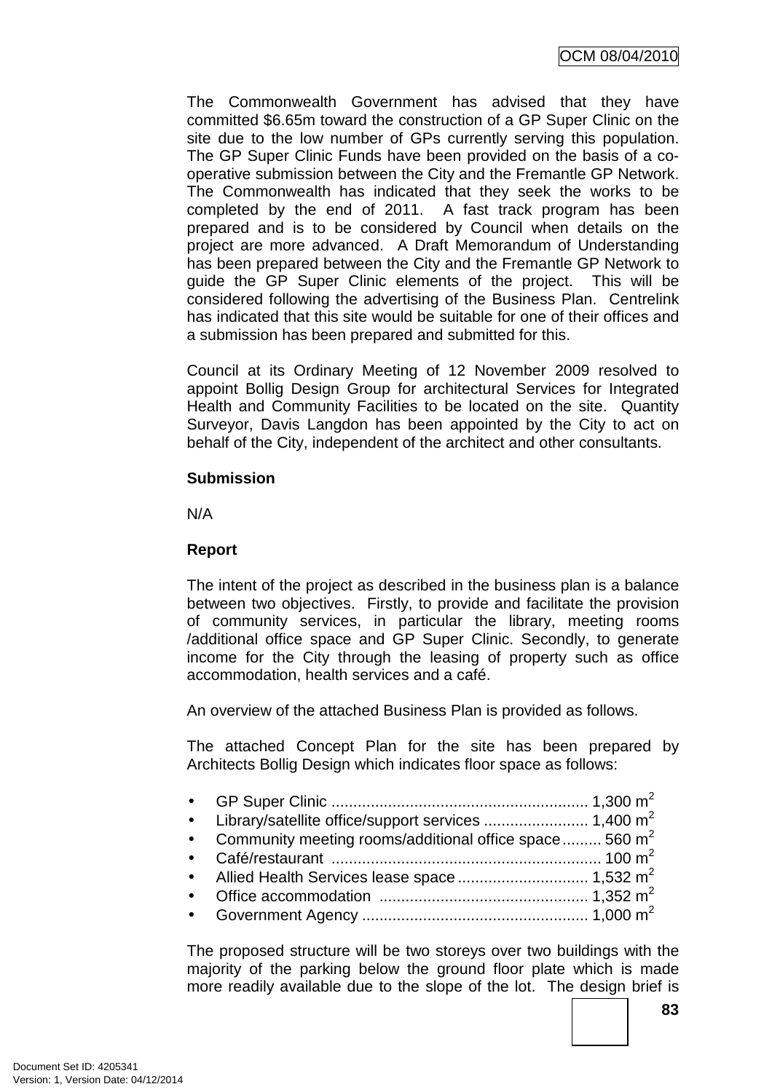The Commonwealth Government has advised that they have committed \$6.65m toward the construction of a GP Super Clinic on the site due to the low number of GPs currently serving this population. The GP Super Clinic Funds have been provided on the basis of a cooperative submission between the City and the Fremantle GP Network. The Commonwealth has indicated that they seek the works to be completed by the end of 2011. A fast track program has been prepared and is to be considered by Council when details on the project are more advanced. A Draft Memorandum of Understanding has been prepared between the City and the Fremantle GP Network to guide the GP Super Clinic elements of the project. This will be considered following the advertising of the Business Plan. Centrelink has indicated that this site would be suitable for one of their offices and a submission has been prepared and submitted for this.

Council at its Ordinary Meeting of 12 November 2009 resolved to appoint Bollig Design Group for architectural Services for Integrated Health and Community Facilities to be located on the site. Quantity Surveyor, Davis Langdon has been appointed by the City to act on behalf of the City, independent of the architect and other consultants.

### **Submission**

N/A

### **Report**

The intent of the project as described in the business plan is a balance between two objectives. Firstly, to provide and facilitate the provision of community services, in particular the library, meeting rooms /additional office space and GP Super Clinic. Secondly, to generate income for the City through the leasing of property such as office accommodation, health services and a café.

An overview of the attached Business Plan is provided as follows.

The attached Concept Plan for the site has been prepared by Architects Bollig Design which indicates floor space as follows:

| • Community meeting rooms/additional office space  560 $m^2$ |  |
|--------------------------------------------------------------|--|
|                                                              |  |
|                                                              |  |
|                                                              |  |
|                                                              |  |
|                                                              |  |

The proposed structure will be two storeys over two buildings with the majority of the parking below the ground floor plate which is made more readily available due to the slope of the lot. The design brief is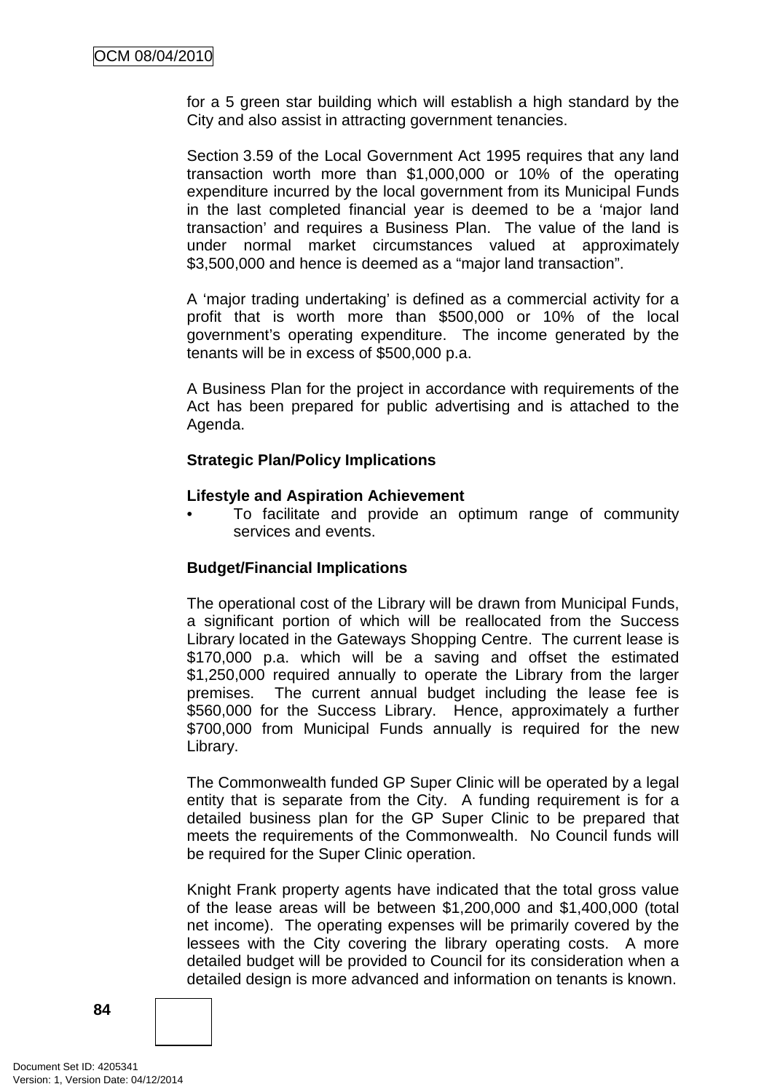for a 5 green star building which will establish a high standard by the City and also assist in attracting government tenancies.

Section 3.59 of the Local Government Act 1995 requires that any land transaction worth more than \$1,000,000 or 10% of the operating expenditure incurred by the local government from its Municipal Funds in the last completed financial year is deemed to be a 'major land transaction' and requires a Business Plan. The value of the land is under normal market circumstances valued at approximately \$3,500,000 and hence is deemed as a "major land transaction".

A 'major trading undertaking' is defined as a commercial activity for a profit that is worth more than \$500,000 or 10% of the local government's operating expenditure. The income generated by the tenants will be in excess of \$500,000 p.a.

A Business Plan for the project in accordance with requirements of the Act has been prepared for public advertising and is attached to the Agenda.

### **Strategic Plan/Policy Implications**

#### **Lifestyle and Aspiration Achievement**

• To facilitate and provide an optimum range of community services and events.

#### **Budget/Financial Implications**

The operational cost of the Library will be drawn from Municipal Funds, a significant portion of which will be reallocated from the Success Library located in the Gateways Shopping Centre. The current lease is \$170,000 p.a. which will be a saving and offset the estimated \$1,250,000 required annually to operate the Library from the larger premises. The current annual budget including the lease fee is \$560,000 for the Success Library. Hence, approximately a further \$700,000 from Municipal Funds annually is required for the new Library.

The Commonwealth funded GP Super Clinic will be operated by a legal entity that is separate from the City. A funding requirement is for a detailed business plan for the GP Super Clinic to be prepared that meets the requirements of the Commonwealth. No Council funds will be required for the Super Clinic operation.

Knight Frank property agents have indicated that the total gross value of the lease areas will be between \$1,200,000 and \$1,400,000 (total net income). The operating expenses will be primarily covered by the lessees with the City covering the library operating costs. A more detailed budget will be provided to Council for its consideration when a detailed design is more advanced and information on tenants is known.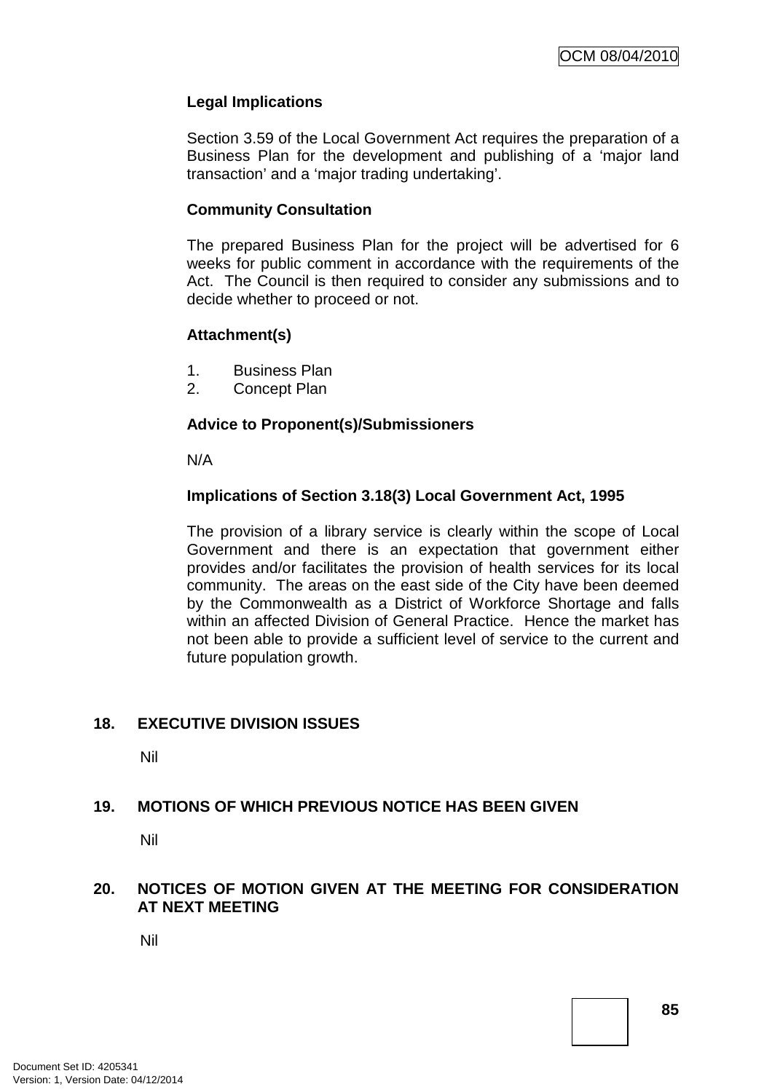### **Legal Implications**

Section 3.59 of the Local Government Act requires the preparation of a Business Plan for the development and publishing of a 'major land transaction' and a 'major trading undertaking'.

#### **Community Consultation**

The prepared Business Plan for the project will be advertised for 6 weeks for public comment in accordance with the requirements of the Act. The Council is then required to consider any submissions and to decide whether to proceed or not.

#### **Attachment(s)**

- 1. Business Plan
- 2. Concept Plan

#### **Advice to Proponent(s)/Submissioners**

N/A

#### **Implications of Section 3.18(3) Local Government Act, 1995**

The provision of a library service is clearly within the scope of Local Government and there is an expectation that government either provides and/or facilitates the provision of health services for its local community. The areas on the east side of the City have been deemed by the Commonwealth as a District of Workforce Shortage and falls within an affected Division of General Practice. Hence the market has not been able to provide a sufficient level of service to the current and future population growth.

#### **18. EXECUTIVE DIVISION ISSUES**

Nil

#### **19. MOTIONS OF WHICH PREVIOUS NOTICE HAS BEEN GIVEN**

Nil

#### **20. NOTICES OF MOTION GIVEN AT THE MEETING FOR CONSIDERATION AT NEXT MEETING**

Nil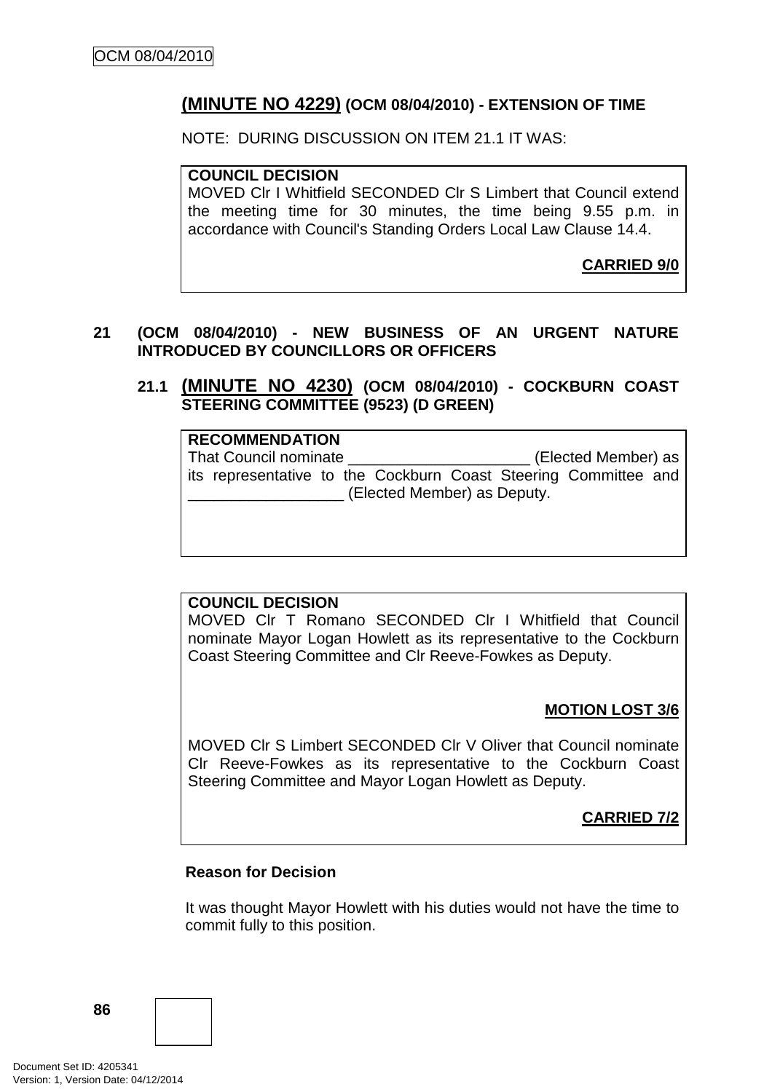## **(MINUTE NO 4229) (OCM 08/04/2010) - EXTENSION OF TIME**

NOTE: DURING DISCUSSION ON ITEM 21.1 IT WAS:

**COUNCIL DECISION**  MOVED Clr I Whitfield SECONDED Clr S Limbert that Council extend the meeting time for 30 minutes, the time being 9.55 p.m. in accordance with Council's Standing Orders Local Law Clause 14.4.

**CARRIED 9/0**

### **21 (OCM 08/04/2010) - NEW BUSINESS OF AN URGENT NATURE INTRODUCED BY COUNCILLORS OR OFFICERS**

**21.1 (MINUTE NO 4230) (OCM 08/04/2010) - COCKBURN COAST STEERING COMMITTEE (9523) (D GREEN)** 

| <b>RECOMMENDATION</b>                                           |                     |  |  |  |  |  |  |
|-----------------------------------------------------------------|---------------------|--|--|--|--|--|--|
| That Council nominate                                           | (Elected Member) as |  |  |  |  |  |  |
| its representative to the Cockburn Coast Steering Committee and |                     |  |  |  |  |  |  |
| (Elected Member) as Deputy.                                     |                     |  |  |  |  |  |  |

#### **COUNCIL DECISION**

MOVED Clr T Romano SECONDED Clr I Whitfield that Council nominate Mayor Logan Howlett as its representative to the Cockburn Coast Steering Committee and Clr Reeve-Fowkes as Deputy.

## **MOTION LOST 3/6**

MOVED Clr S Limbert SECONDED Clr V Oliver that Council nominate Clr Reeve-Fowkes as its representative to the Cockburn Coast Steering Committee and Mayor Logan Howlett as Deputy.

**CARRIED 7/2**

#### **Reason for Decision**

It was thought Mayor Howlett with his duties would not have the time to commit fully to this position.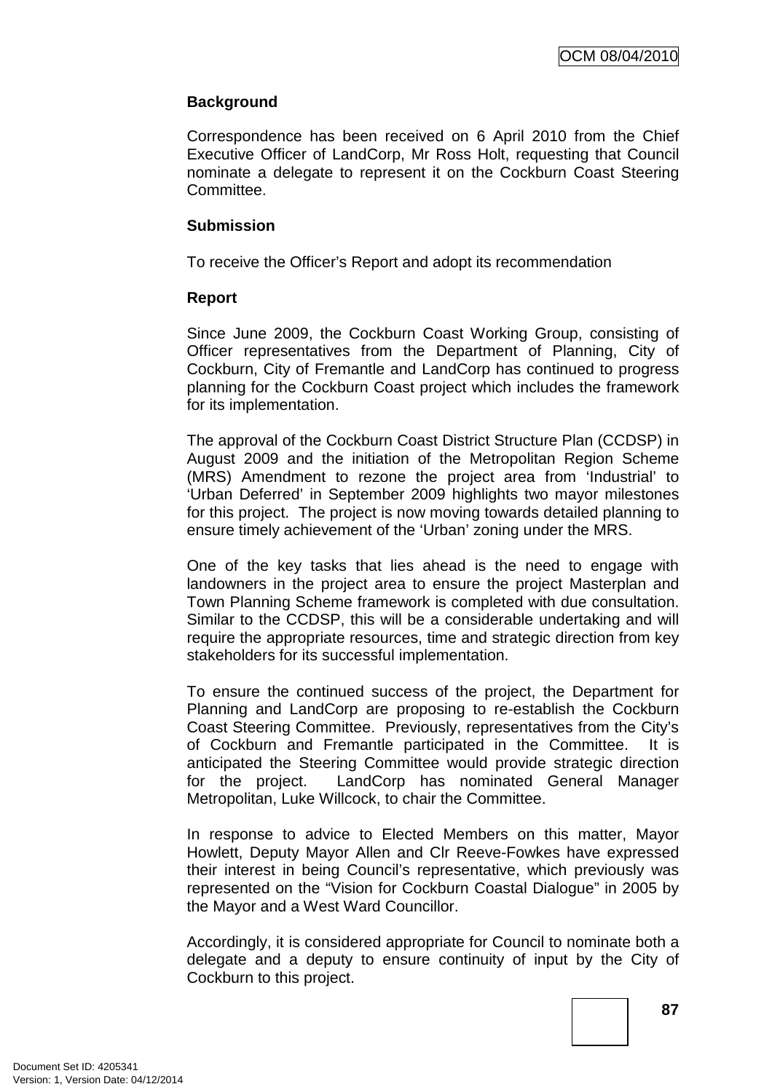### **Background**

Correspondence has been received on 6 April 2010 from the Chief Executive Officer of LandCorp, Mr Ross Holt, requesting that Council nominate a delegate to represent it on the Cockburn Coast Steering Committee.

#### **Submission**

To receive the Officer's Report and adopt its recommendation

#### **Report**

Since June 2009, the Cockburn Coast Working Group, consisting of Officer representatives from the Department of Planning, City of Cockburn, City of Fremantle and LandCorp has continued to progress planning for the Cockburn Coast project which includes the framework for its implementation.

The approval of the Cockburn Coast District Structure Plan (CCDSP) in August 2009 and the initiation of the Metropolitan Region Scheme (MRS) Amendment to rezone the project area from 'Industrial' to 'Urban Deferred' in September 2009 highlights two mayor milestones for this project. The project is now moving towards detailed planning to ensure timely achievement of the 'Urban' zoning under the MRS.

One of the key tasks that lies ahead is the need to engage with landowners in the project area to ensure the project Masterplan and Town Planning Scheme framework is completed with due consultation. Similar to the CCDSP, this will be a considerable undertaking and will require the appropriate resources, time and strategic direction from key stakeholders for its successful implementation.

To ensure the continued success of the project, the Department for Planning and LandCorp are proposing to re-establish the Cockburn Coast Steering Committee. Previously, representatives from the City's of Cockburn and Fremantle participated in the Committee. It is anticipated the Steering Committee would provide strategic direction for the project. LandCorp has nominated General Manager Metropolitan, Luke Willcock, to chair the Committee.

In response to advice to Elected Members on this matter, Mayor Howlett, Deputy Mayor Allen and Clr Reeve-Fowkes have expressed their interest in being Council's representative, which previously was represented on the "Vision for Cockburn Coastal Dialogue" in 2005 by the Mayor and a West Ward Councillor.

Accordingly, it is considered appropriate for Council to nominate both a delegate and a deputy to ensure continuity of input by the City of Cockburn to this project.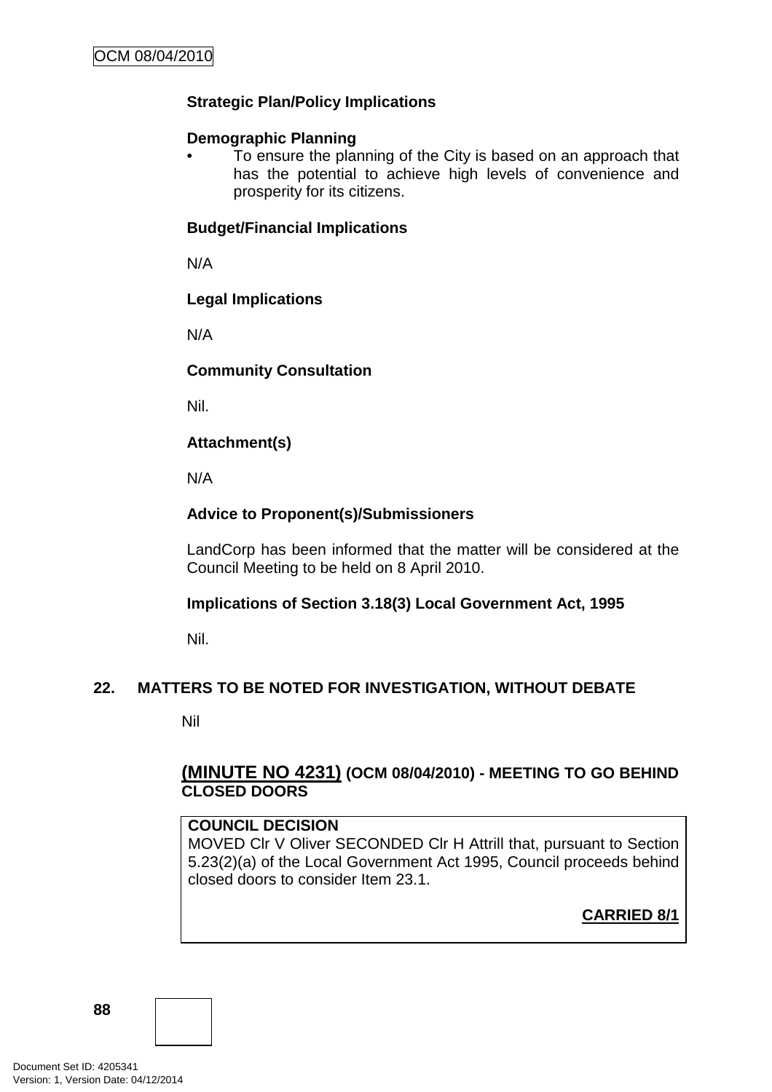## **Strategic Plan/Policy Implications**

### **Demographic Planning**

• To ensure the planning of the City is based on an approach that has the potential to achieve high levels of convenience and prosperity for its citizens.

### **Budget/Financial Implications**

N/A

### **Legal Implications**

N/A

### **Community Consultation**

Nil.

### **Attachment(s)**

N/A

## **Advice to Proponent(s)/Submissioners**

LandCorp has been informed that the matter will be considered at the Council Meeting to be held on 8 April 2010.

## **Implications of Section 3.18(3) Local Government Act, 1995**

Nil.

## **22. MATTERS TO BE NOTED FOR INVESTIGATION, WITHOUT DEBATE**

Nil

## **(MINUTE NO 4231) (OCM 08/04/2010) - MEETING TO GO BEHIND CLOSED DOORS**

#### **COUNCIL DECISION**

MOVED Clr V Oliver SECONDED Clr H Attrill that, pursuant to Section 5.23(2)(a) of the Local Government Act 1995, Council proceeds behind closed doors to consider Item 23.1.

**CARRIED 8/1**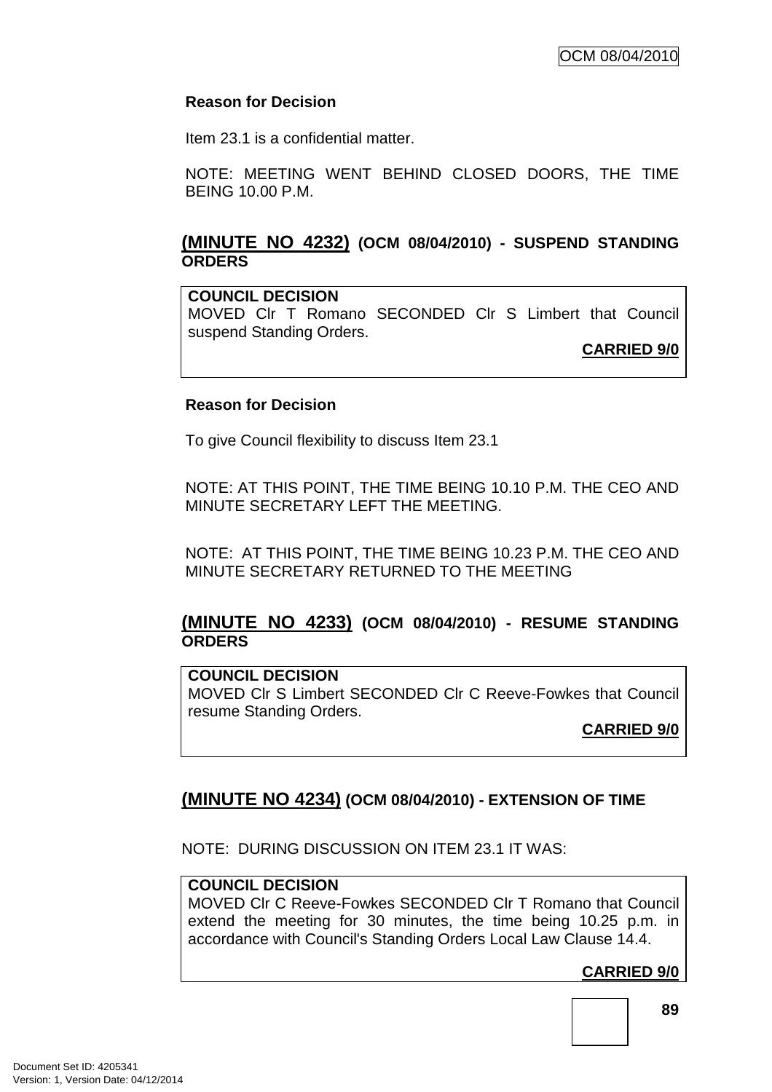### **Reason for Decision**

Item 23.1 is a confidential matter.

NOTE: MEETING WENT BEHIND CLOSED DOORS, THE TIME BEING 10.00 P.M.

## **(MINUTE NO 4232) (OCM 08/04/2010) - SUSPEND STANDING ORDERS**

**COUNCIL DECISION** 

MOVED Clr T Romano SECONDED Clr S Limbert that Council suspend Standing Orders.

**CARRIED 9/0**

### **Reason for Decision**

To give Council flexibility to discuss Item 23.1

NOTE: AT THIS POINT, THE TIME BEING 10.10 P.M. THE CEO AND MINUTE SECRETARY LEFT THE MEETING.

NOTE: AT THIS POINT, THE TIME BEING 10.23 P.M. THE CEO AND MINUTE SECRETARY RETURNED TO THE MEETING

## **(MINUTE NO 4233) (OCM 08/04/2010) - RESUME STANDING ORDERS**

**COUNCIL DECISION**  MOVED Clr S Limbert SECONDED Clr C Reeve-Fowkes that Council resume Standing Orders.

**CARRIED 9/0**

# **(MINUTE NO 4234) (OCM 08/04/2010) - EXTENSION OF TIME**

NOTE: DURING DISCUSSION ON ITEM 23.1 IT WAS:

## **COUNCIL DECISION**

MOVED Clr C Reeve-Fowkes SECONDED Clr T Romano that Council extend the meeting for 30 minutes, the time being 10.25 p.m. in accordance with Council's Standing Orders Local Law Clause 14.4.

**CARRIED 9/0**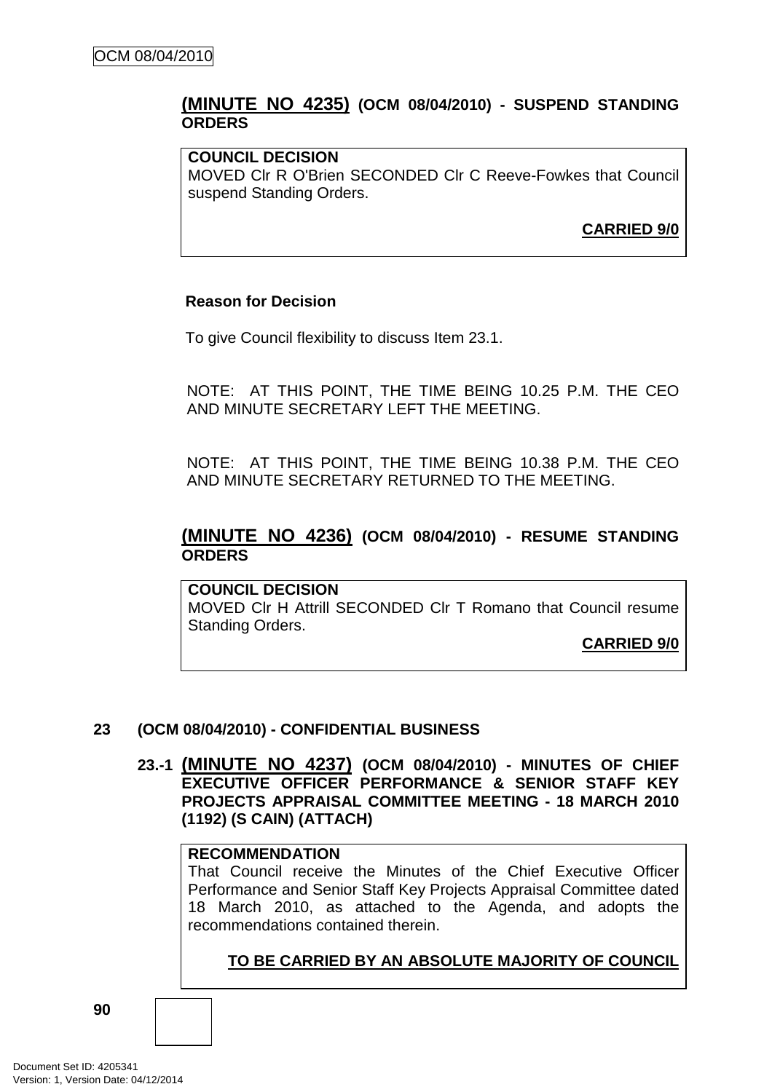### **(MINUTE NO 4235) (OCM 08/04/2010) - SUSPEND STANDING ORDERS**

#### **COUNCIL DECISION**

MOVED Clr R O'Brien SECONDED Clr C Reeve-Fowkes that Council suspend Standing Orders.

**CARRIED 9/0**

#### **Reason for Decision**

To give Council flexibility to discuss Item 23.1.

NOTE: AT THIS POINT, THE TIME BEING 10.25 P.M. THE CEO AND MINUTE SECRETARY LEFT THE MEETING.

NOTE: AT THIS POINT, THE TIME BEING 10.38 P.M. THE CEO AND MINUTE SECRETARY RETURNED TO THE MEETING.

### **(MINUTE NO 4236) (OCM 08/04/2010) - RESUME STANDING ORDERS**

**COUNCIL DECISION**  MOVED Clr H Attrill SECONDED Clr T Romano that Council resume Standing Orders.

**CARRIED 9/0**

#### **23 (OCM 08/04/2010) - CONFIDENTIAL BUSINESS**

**23.-1 (MINUTE NO 4237) (OCM 08/04/2010) - MINUTES OF CHIEF EXECUTIVE OFFICER PERFORMANCE & SENIOR STAFF KEY PROJECTS APPRAISAL COMMITTEE MEETING - 18 MARCH 2010 (1192) (S CAIN) (ATTACH)** 

#### **RECOMMENDATION**

That Council receive the Minutes of the Chief Executive Officer Performance and Senior Staff Key Projects Appraisal Committee dated 18 March 2010, as attached to the Agenda, and adopts the recommendations contained therein.

### **TO BE CARRIED BY AN ABSOLUTE MAJORITY OF COUNCIL**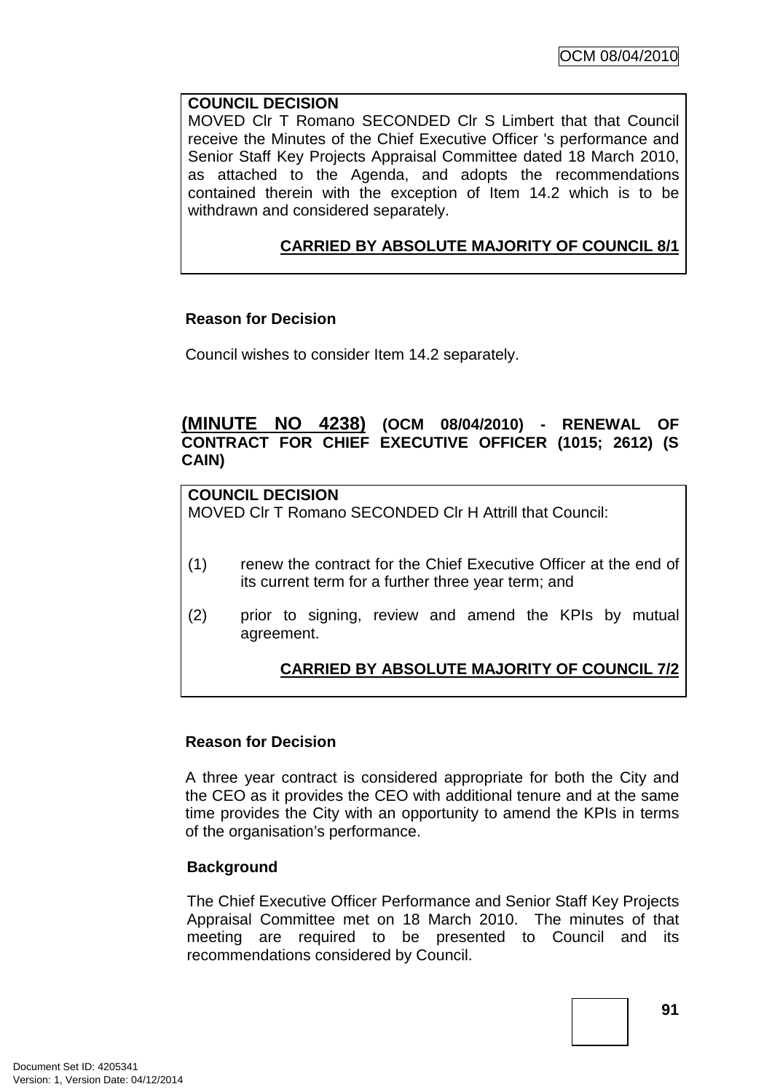### **COUNCIL DECISION**

MOVED Clr T Romano SECONDED Clr S Limbert that that Council receive the Minutes of the Chief Executive Officer 's performance and Senior Staff Key Projects Appraisal Committee dated 18 March 2010, as attached to the Agenda, and adopts the recommendations contained therein with the exception of Item 14.2 which is to be withdrawn and considered separately.

## **CARRIED BY ABSOLUTE MAJORITY OF COUNCIL 8/1**

### **Reason for Decision**

Council wishes to consider Item 14.2 separately.

### **(MINUTE NO 4238) (OCM 08/04/2010) - RENEWAL OF CONTRACT FOR CHIEF EXECUTIVE OFFICER (1015; 2612) (S CAIN)**

# **COUNCIL DECISION**

MOVED Clr T Romano SECONDED Clr H Attrill that Council:

- (1) renew the contract for the Chief Executive Officer at the end of its current term for a further three year term; and
- (2) prior to signing, review and amend the KPIs by mutual agreement.

## **CARRIED BY ABSOLUTE MAJORITY OF COUNCIL 7/2**

#### **Reason for Decision**

A three year contract is considered appropriate for both the City and the CEO as it provides the CEO with additional tenure and at the same time provides the City with an opportunity to amend the KPIs in terms of the organisation's performance.

#### **Background**

The Chief Executive Officer Performance and Senior Staff Key Projects Appraisal Committee met on 18 March 2010. The minutes of that meeting are required to be presented to Council and its recommendations considered by Council.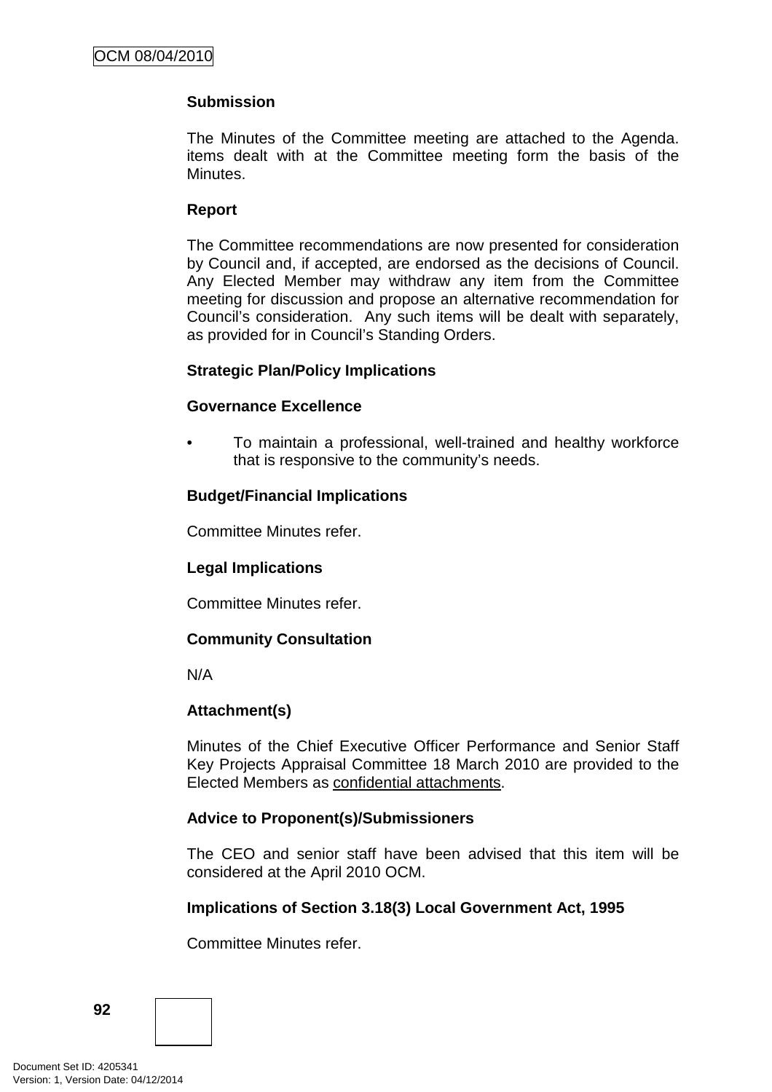### **Submission**

The Minutes of the Committee meeting are attached to the Agenda. items dealt with at the Committee meeting form the basis of the Minutes.

### **Report**

The Committee recommendations are now presented for consideration by Council and, if accepted, are endorsed as the decisions of Council. Any Elected Member may withdraw any item from the Committee meeting for discussion and propose an alternative recommendation for Council's consideration. Any such items will be dealt with separately, as provided for in Council's Standing Orders.

#### **Strategic Plan/Policy Implications**

#### **Governance Excellence**

• To maintain a professional, well-trained and healthy workforce that is responsive to the community's needs.

### **Budget/Financial Implications**

Committee Minutes refer.

## **Legal Implications**

Committee Minutes refer.

#### **Community Consultation**

N/A

#### **Attachment(s)**

Minutes of the Chief Executive Officer Performance and Senior Staff Key Projects Appraisal Committee 18 March 2010 are provided to the Elected Members as confidential attachments.

#### **Advice to Proponent(s)/Submissioners**

The CEO and senior staff have been advised that this item will be considered at the April 2010 OCM.

#### **Implications of Section 3.18(3) Local Government Act, 1995**

Committee Minutes refer.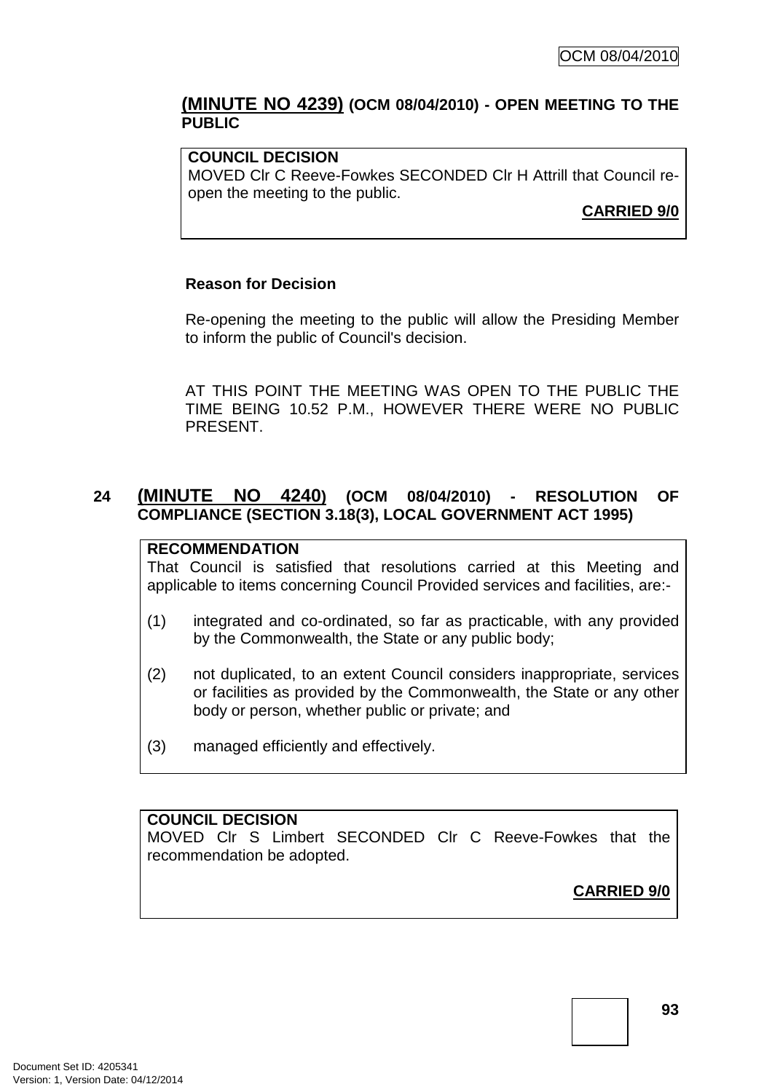### **(MINUTE NO 4239) (OCM 08/04/2010) - OPEN MEETING TO THE PUBLIC**

#### **COUNCIL DECISION**

MOVED Clr C Reeve-Fowkes SECONDED Clr H Attrill that Council reopen the meeting to the public.

**CARRIED 9/0**

#### **Reason for Decision**

Re-opening the meeting to the public will allow the Presiding Member to inform the public of Council's decision.

AT THIS POINT THE MEETING WAS OPEN TO THE PUBLIC THE TIME BEING 10.52 P.M., HOWEVER THERE WERE NO PUBLIC PRESENT.

## **24 (MINUTE NO 4240) (OCM 08/04/2010) - RESOLUTION OF COMPLIANCE (SECTION 3.18(3), LOCAL GOVERNMENT ACT 1995)**

#### **RECOMMENDATION**

That Council is satisfied that resolutions carried at this Meeting and applicable to items concerning Council Provided services and facilities, are:-

- (1) integrated and co-ordinated, so far as practicable, with any provided by the Commonwealth, the State or any public body;
- (2) not duplicated, to an extent Council considers inappropriate, services or facilities as provided by the Commonwealth, the State or any other body or person, whether public or private; and
- (3) managed efficiently and effectively.

#### **COUNCIL DECISION**

MOVED Clr S Limbert SECONDED Clr C Reeve-Fowkes that the recommendation be adopted.

**CARRIED 9/0**